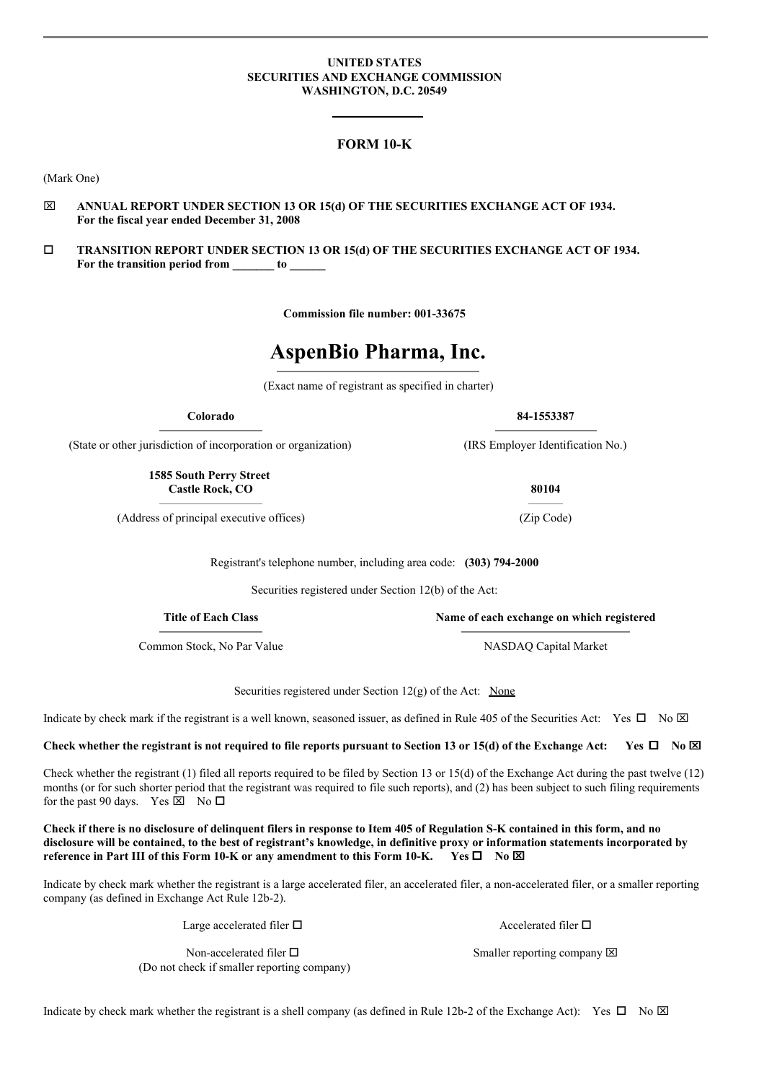### **UNITED STATES SECURITIES AND EXCHANGE COMMISSION WASHINGTON, D.C. 20549**

# **FORM 10-K**

(Mark One)

x **ANNUAL REPORT UNDER SECTION 13 OR 15(d) OF THE SECURITIES EXCHANGE ACT OF 1934. For the fiscal year ended December 31, 2008**

o **TRANSITION REPORT UNDER SECTION 13 OR 15(d) OF THE SECURITIES EXCHANGE ACT OF 1934. For the transition period from \_\_\_\_\_\_\_ to \_\_\_\_\_\_**

**Commission file number: 001-33675**

# **AspenBio Pharma, Inc.**

(Exact name of registrant as specified in charter)

**Colorado 84-1553387**

(State or other jurisdiction of incorporation or organization) (IRS Employer Identification No.)

**1585 South Perry Street Castle Rock, CO 80104**

(Address of principal executive offices) (Zip Code)

Registrant's telephone number, including area code: **(303) 794-2000**

Securities registered under Section 12(b) of the Act:

**Title of Each Class Name of each exchange on which registered**

Common Stock, No Par Value 2008 2009 12:30 NASDAQ Capital Market

Securities registered under Section  $12(g)$  of the Act: None

Indicate by check mark if the registrant is a well known, seasoned issuer, as defined in Rule 405 of the Securities Act: Yes  $\Box$  No  $\boxtimes$ 

# Check whether the registrant is not required to file reports pursuant to Section 13 or 15(d) of the Exchange Act: Yes  $\Box$  No  $\boxtimes$

Check whether the registrant (1) filed all reports required to be filed by Section 13 or 15(d) of the Exchange Act during the past twelve (12) months (or for such shorter period that the registrant was required to file such reports), and (2) has been subject to such filing requirements for the past 90 days. Yes  $\boxtimes$  No  $\square$ 

Check if there is no disclosure of delinquent filers in response to Item 405 of Regulation S-K contained in this form, and no disclosure will be contained, to the best of registrant's knowledge, in definitive proxy or information statements incorporated by *reference* in Part III of this Form 10-K or any amendment to this Form 10-K. Yes  $\Box$  No  $\boxtimes$ 

Indicate by check mark whether the registrant is a large accelerated filer, an accelerated filer, a non-accelerated filer, or a smaller reporting company (as defined in Exchange Act Rule 12b-2).

Large accelerated filer  $\Box$ 

Non-accelerated filer  $\Box$ (Do not check if smaller reporting company) Accelerated filer  $\Box$ 

Smaller reporting company  $\boxtimes$ 

Indicate by check mark whether the registrant is a shell company (as defined in Rule 12b-2 of the Exchange Act): Yes  $\Box$  No  $\boxtimes$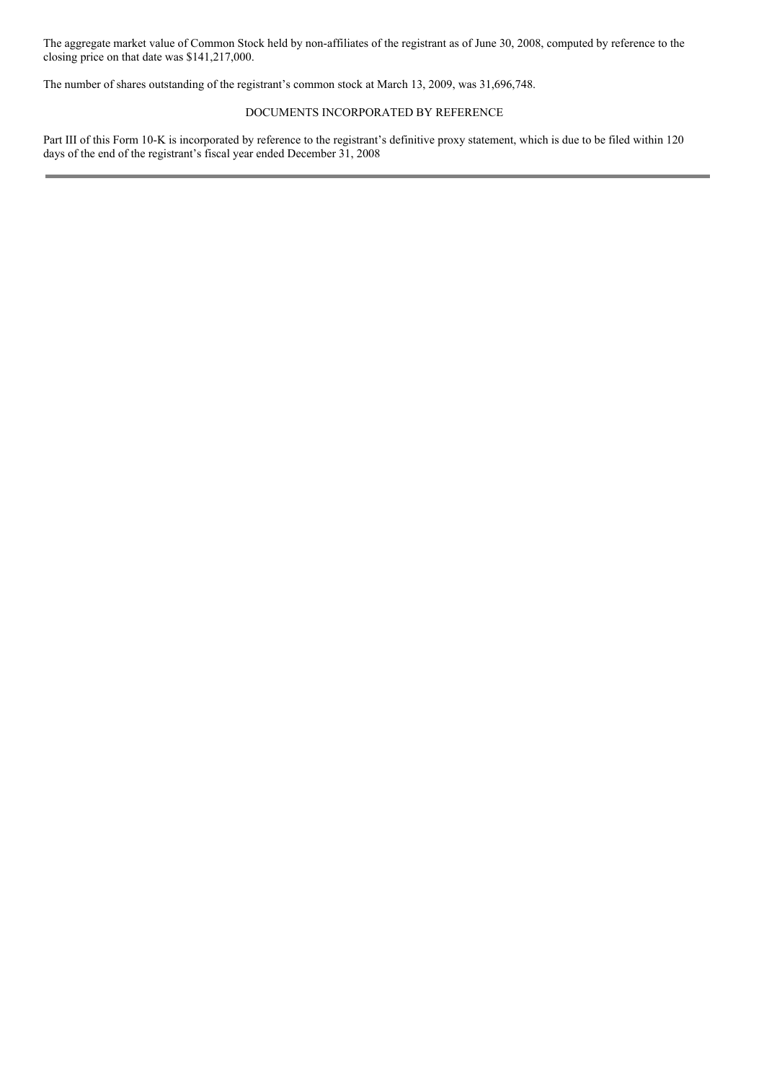The aggregate market value of Common Stock held by non-affiliates of the registrant as of June 30, 2008, computed by reference to the closing price on that date was \$141,217,000.

The number of shares outstanding of the registrant's common stock at March 13, 2009, was 31,696,748.

# DOCUMENTS INCORPORATED BY REFERENCE

Part III of this Form 10-K is incorporated by reference to the registrant's definitive proxy statement, which is due to be filed within 120 days of the end of the registrant's fiscal year ended December 31, 2008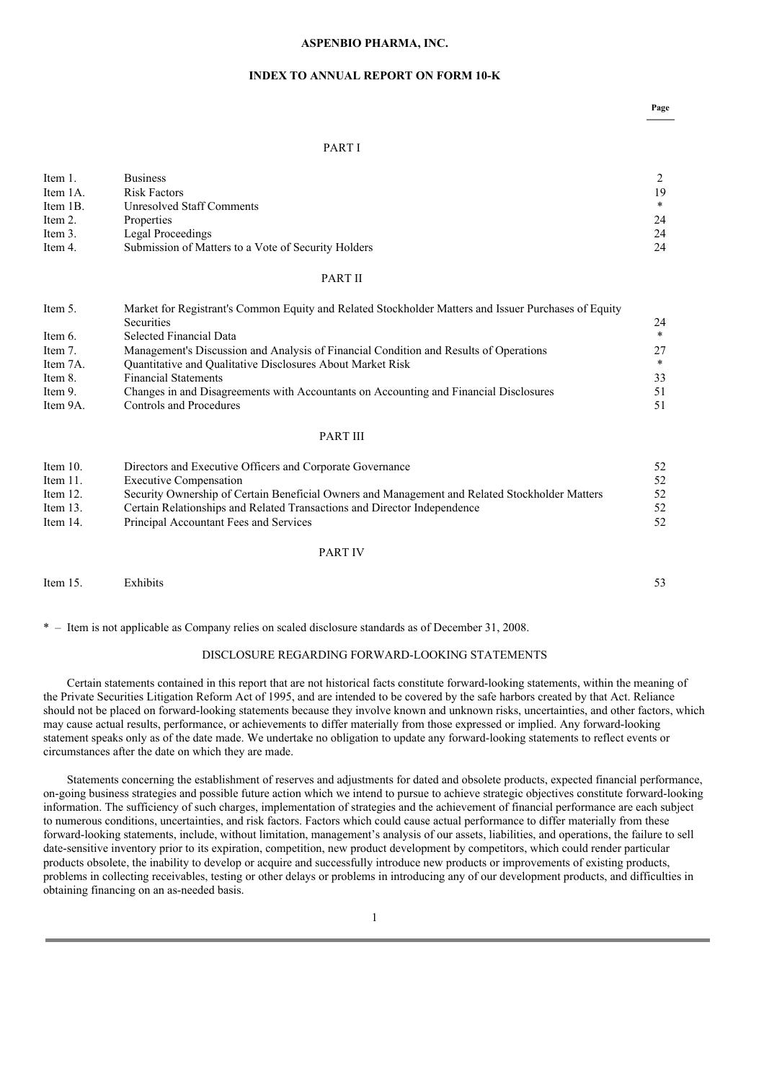# **ASPENBIO PHARMA, INC.**

# **INDEX TO ANNUAL REPORT ON FORM 10-K**

#### **Page**

### PART I

| Item 1.  | <b>Business</b>                                     |        |
|----------|-----------------------------------------------------|--------|
| Item 1A. | <b>Risk Factors</b>                                 | 19     |
| Item 1B. | Unresolved Staff Comments                           | $\sim$ |
| Item 2.  | Properties                                          | 24     |
| Item 3.  | Legal Proceedings                                   | 24     |
| Item 4.  | Submission of Matters to a Vote of Security Holders | 24     |

# PART II

| Item 5.  | Market for Registrant's Common Equity and Related Stockholder Matters and Issuer Purchases of Equity |         |  |  |
|----------|------------------------------------------------------------------------------------------------------|---------|--|--|
|          | Securities                                                                                           | 24      |  |  |
| Item 6.  | Selected Financial Data                                                                              | $\ast$  |  |  |
| Item 7.  | Management's Discussion and Analysis of Financial Condition and Results of Operations                | 27      |  |  |
| Item 7A. | <b>Ouantitative and Oualitative Disclosures About Market Risk</b>                                    | $\star$ |  |  |
| Item 8.  | <b>Financial Statements</b>                                                                          | 33      |  |  |
| Item 9.  | Changes in and Disagreements with Accountants on Accounting and Financial Disclosures                | 51      |  |  |
| Item 9A. | Controls and Procedures                                                                              | 51      |  |  |

#### PART III

| Item $10$ . | Directors and Executive Officers and Corporate Governance                                      | 52 |
|-------------|------------------------------------------------------------------------------------------------|----|
| Item $11$ . | <b>Executive Compensation</b>                                                                  | 52 |
| Item $12$ . | Security Ownership of Certain Beneficial Owners and Management and Related Stockholder Matters | 52 |
| Item $13$ . | Certain Relationships and Related Transactions and Director Independence                       | 52 |
| Item $14$ . | Principal Accountant Fees and Services                                                         | 52 |
|             |                                                                                                |    |

#### PART IV

Item 15. Exhibits 53

\* – Item is not applicable as Company relies on scaled disclosure standards as of December 31, 2008.

### DISCLOSURE REGARDING FORWARD-LOOKING STATEMENTS

Certain statements contained in this report that are not historical facts constitute forward-looking statements, within the meaning of the Private Securities Litigation Reform Act of 1995, and are intended to be covered by the safe harbors created by that Act. Reliance should not be placed on forward-looking statements because they involve known and unknown risks, uncertainties, and other factors, which may cause actual results, performance, or achievements to differ materially from those expressed or implied. Any forward-looking statement speaks only as of the date made. We undertake no obligation to update any forward-looking statements to reflect events or circumstances after the date on which they are made.

Statements concerning the establishment of reserves and adjustments for dated and obsolete products, expected financial performance, on-going business strategies and possible future action which we intend to pursue to achieve strategic objectives constitute forward-looking information. The sufficiency of such charges, implementation of strategies and the achievement of financial performance are each subject to numerous conditions, uncertainties, and risk factors. Factors which could cause actual performance to differ materially from these forward-looking statements, include, without limitation, management's analysis of our assets, liabilities, and operations, the failure to sell date-sensitive inventory prior to its expiration, competition, new product development by competitors, which could render particular products obsolete, the inability to develop or acquire and successfully introduce new products or improvements of existing products, problems in collecting receivables, testing or other delays or problems in introducing any of our development products, and difficulties in obtaining financing on an as-needed basis.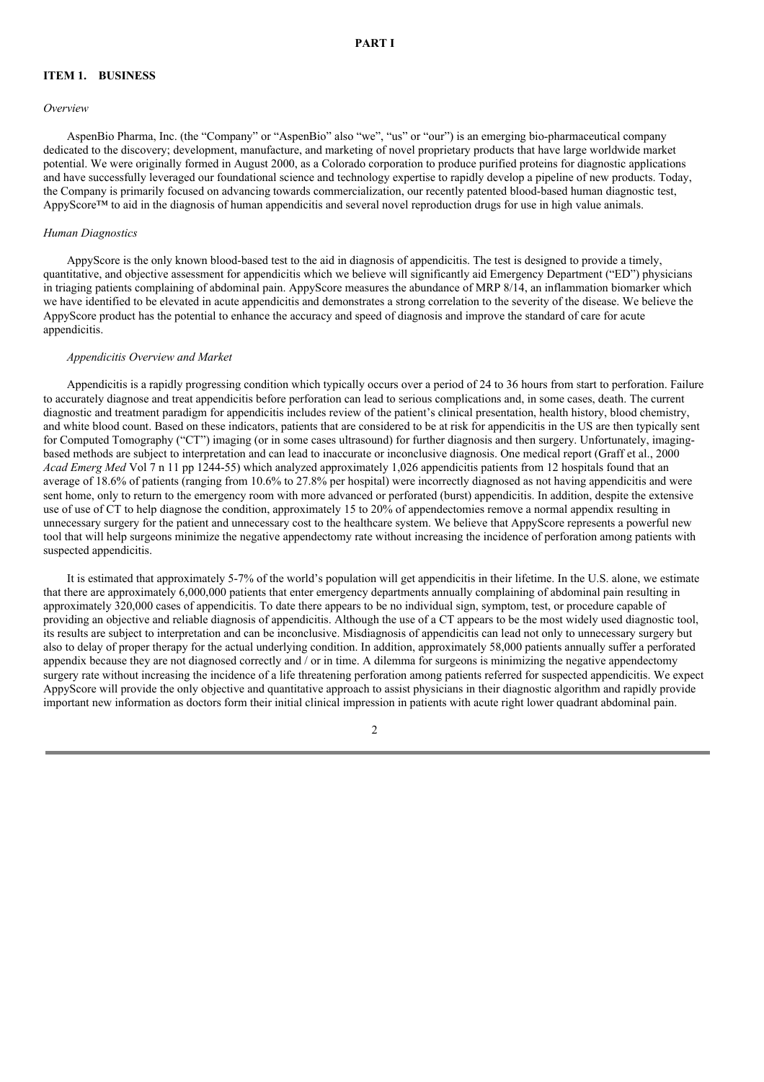# **ITEM 1. BUSINESS**

### *Overview*

AspenBio Pharma, Inc. (the "Company" or "AspenBio" also "we", "us" or "our") is an emerging bio-pharmaceutical company dedicated to the discovery; development, manufacture, and marketing of novel proprietary products that have large worldwide market potential. We were originally formed in August 2000, as a Colorado corporation to produce purified proteins for diagnostic applications and have successfully leveraged our foundational science and technology expertise to rapidly develop a pipeline of new products. Today, the Company is primarily focused on advancing towards commercialization, our recently patented blood-based human diagnostic test, AppyScore™ to aid in the diagnosis of human appendicitis and several novel reproduction drugs for use in high value animals.

#### *Human Diagnostics*

AppyScore is the only known blood-based test to the aid in diagnosis of appendicitis. The test is designed to provide a timely, quantitative, and objective assessment for appendicitis which we believe will significantly aid Emergency Department ("ED") physicians in triaging patients complaining of abdominal pain. AppyScore measures the abundance of MRP 8/14, an inflammation biomarker which we have identified to be elevated in acute appendicitis and demonstrates a strong correlation to the severity of the disease. We believe the AppyScore product has the potential to enhance the accuracy and speed of diagnosis and improve the standard of care for acute appendicitis.

# *Appendicitis Overview and Market*

Appendicitis is a rapidly progressing condition which typically occurs over a period of 24 to 36 hours from start to perforation. Failure to accurately diagnose and treat appendicitis before perforation can lead to serious complications and, in some cases, death. The current diagnostic and treatment paradigm for appendicitis includes review of the patient's clinical presentation, health history, blood chemistry, and white blood count. Based on these indicators, patients that are considered to be at risk for appendicitis in the US are then typically sent for Computed Tomography ("CT") imaging (or in some cases ultrasound) for further diagnosis and then surgery. Unfortunately, imagingbased methods are subject to interpretation and can lead to inaccurate or inconclusive diagnosis. One medical report (Graff et al., 2000 *Acad Emerg Med* Vol 7 n 11 pp 1244-55) which analyzed approximately 1,026 appendicitis patients from 12 hospitals found that an average of 18.6% of patients (ranging from 10.6% to 27.8% per hospital) were incorrectly diagnosed as not having appendicitis and were sent home, only to return to the emergency room with more advanced or perforated (burst) appendicitis. In addition, despite the extensive use of use of CT to help diagnose the condition, approximately 15 to 20% of appendectomies remove a normal appendix resulting in unnecessary surgery for the patient and unnecessary cost to the healthcare system. We believe that AppyScore represents a powerful new tool that will help surgeons minimize the negative appendectomy rate without increasing the incidence of perforation among patients with suspected appendicitis.

It is estimated that approximately 5-7% of the world's population will get appendicitis in their lifetime. In the U.S. alone, we estimate that there are approximately 6,000,000 patients that enter emergency departments annually complaining of abdominal pain resulting in approximately 320,000 cases of appendicitis. To date there appears to be no individual sign, symptom, test, or procedure capable of providing an objective and reliable diagnosis of appendicitis. Although the use of a CT appears to be the most widely used diagnostic tool, its results are subject to interpretation and can be inconclusive. Misdiagnosis of appendicitis can lead not only to unnecessary surgery but also to delay of proper therapy for the actual underlying condition. In addition, approximately 58,000 patients annually suffer a perforated appendix because they are not diagnosed correctly and / or in time. A dilemma for surgeons is minimizing the negative appendectomy surgery rate without increasing the incidence of a life threatening perforation among patients referred for suspected appendicitis. We expect AppyScore will provide the only objective and quantitative approach to assist physicians in their diagnostic algorithm and rapidly provide important new information as doctors form their initial clinical impression in patients with acute right lower quadrant abdominal pain.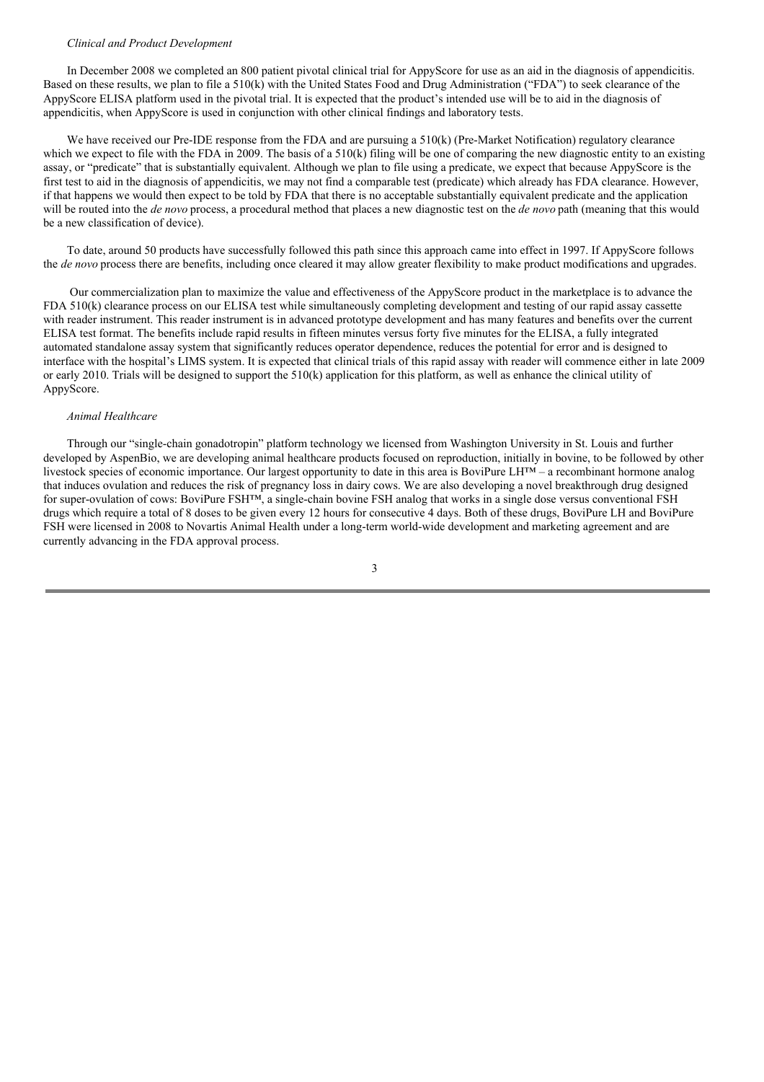#### *Clinical and Product Development*

In December 2008 we completed an 800 patient pivotal clinical trial for AppyScore for use as an aid in the diagnosis of appendicitis. Based on these results, we plan to file a 510(k) with the United States Food and Drug Administration ("FDA") to seek clearance of the AppyScore ELISA platform used in the pivotal trial. It is expected that the product's intended use will be to aid in the diagnosis of appendicitis, when AppyScore is used in conjunction with other clinical findings and laboratory tests.

We have received our Pre-IDE response from the FDA and are pursuing a 510(k) (Pre-Market Notification) regulatory clearance which we expect to file with the FDA in 2009. The basis of a 510(k) filing will be one of comparing the new diagnostic entity to an existing assay, or "predicate" that is substantially equivalent. Although we plan to file using a predicate, we expect that because AppyScore is the first test to aid in the diagnosis of appendicitis, we may not find a comparable test (predicate) which already has FDA clearance. However, if that happens we would then expect to be told by FDA that there is no acceptable substantially equivalent predicate and the application will be routed into the *de novo* process, a procedural method that places a new diagnostic test on the *de novo* path (meaning that this would be a new classification of device).

To date, around 50 products have successfully followed this path since this approach came into effect in 1997. If AppyScore follows the *de novo* process there are benefits, including once cleared it may allow greater flexibility to make product modifications and upgrades.

Our commercialization plan to maximize the value and effectiveness of the AppyScore product in the marketplace is to advance the FDA 510(k) clearance process on our ELISA test while simultaneously completing development and testing of our rapid assay cassette with reader instrument. This reader instrument is in advanced prototype development and has many features and benefits over the current ELISA test format. The benefits include rapid results in fifteen minutes versus forty five minutes for the ELISA, a fully integrated automated standalone assay system that significantly reduces operator dependence, reduces the potential for error and is designed to interface with the hospital's LIMS system. It is expected that clinical trials of this rapid assay with reader will commence either in late 2009 or early 2010. Trials will be designed to support the 510(k) application for this platform, as well as enhance the clinical utility of AppyScore.

# *Animal Healthcare*

Through our "single-chain gonadotropin" platform technology we licensed from Washington University in St. Louis and further developed by AspenBio, we are developing animal healthcare products focused on reproduction, initially in bovine, to be followed by other livestock species of economic importance. Our largest opportunity to date in this area is BoviPure LH™ – a recombinant hormone analog that induces ovulation and reduces the risk of pregnancy loss in dairy cows. We are also developing a novel breakthrough drug designed for super-ovulation of cows: BoviPure FSH™, a single-chain bovine FSH analog that works in a single dose versus conventional FSH drugs which require a total of 8 doses to be given every 12 hours for consecutive 4 days. Both of these drugs, BoviPure LH and BoviPure FSH were licensed in 2008 to Novartis Animal Health under a long-term world-wide development and marketing agreement and are currently advancing in the FDA approval process.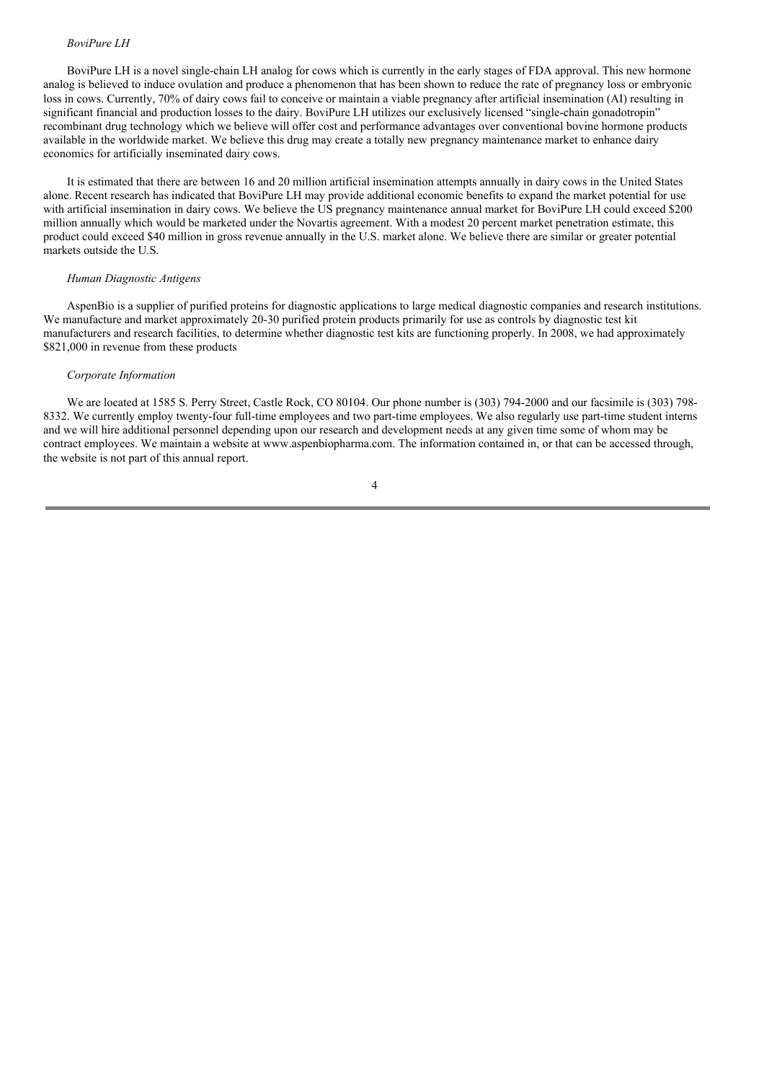# *BoviPure LH*

BoviPure LH is a novel single-chain LH analog for cows which is currently in the early stages of FDA approval. This new hormone analog is believed to induce ovulation and produce a phenomenon that has been shown to reduce the rate of pregnancy loss or embryonic loss in cows. Currently, 70% of dairy cows fail to conceive or maintain a viable pregnancy after artificial insemination (AI) resulting in significant financial and production losses to the dairy. BoviPure LH utilizes our exclusively licensed "single-chain gonadotropin" recombinant drug technology which we believe will offer cost and performance advantages over conventional bovine hormone products available in the worldwide market. We believe this drug may create a totally new pregnancy maintenance market to enhance dairy economics for artificially inseminated dairy cows.

It is estimated that there are between 16 and 20 million artificial insemination attempts annually in dairy cows in the United States alone. Recent research has indicated that BoviPure LH may provide additional economic benefits to expand the market potential for use with artificial insemination in dairy cows. We believe the US pregnancy maintenance annual market for BoviPure LH could exceed \$200 million annually which would be marketed under the Novartis agreement. With a modest 20 percent market penetration estimate, this product could exceed \$40 million in gross revenue annually in the U.S. market alone. We believe there are similar or greater potential markets outside the U.S.

### *Human Diagnostic Antigens*

AspenBio is a supplier of purified proteins for diagnostic applications to large medical diagnostic companies and research institutions. We manufacture and market approximately 20-30 purified protein products primarily for use as controls by diagnostic test kit manufacturers and research facilities, to determine whether diagnostic test kits are functioning properly. In 2008, we had approximately \$821,000 in revenue from these products

# *Corporate Information*

We are located at 1585 S. Perry Street, Castle Rock, CO 80104. Our phone number is (303) 794-2000 and our facsimile is (303) 798- 8332. We currently employ twenty-four full-time employees and two part-time employees. We also regularly use part-time student interns and we will hire additional personnel depending upon our research and development needs at any given time some of whom may be contract employees. We maintain a website at www.aspenbiopharma.com. The information contained in, or that can be accessed through, the website is not part of this annual report.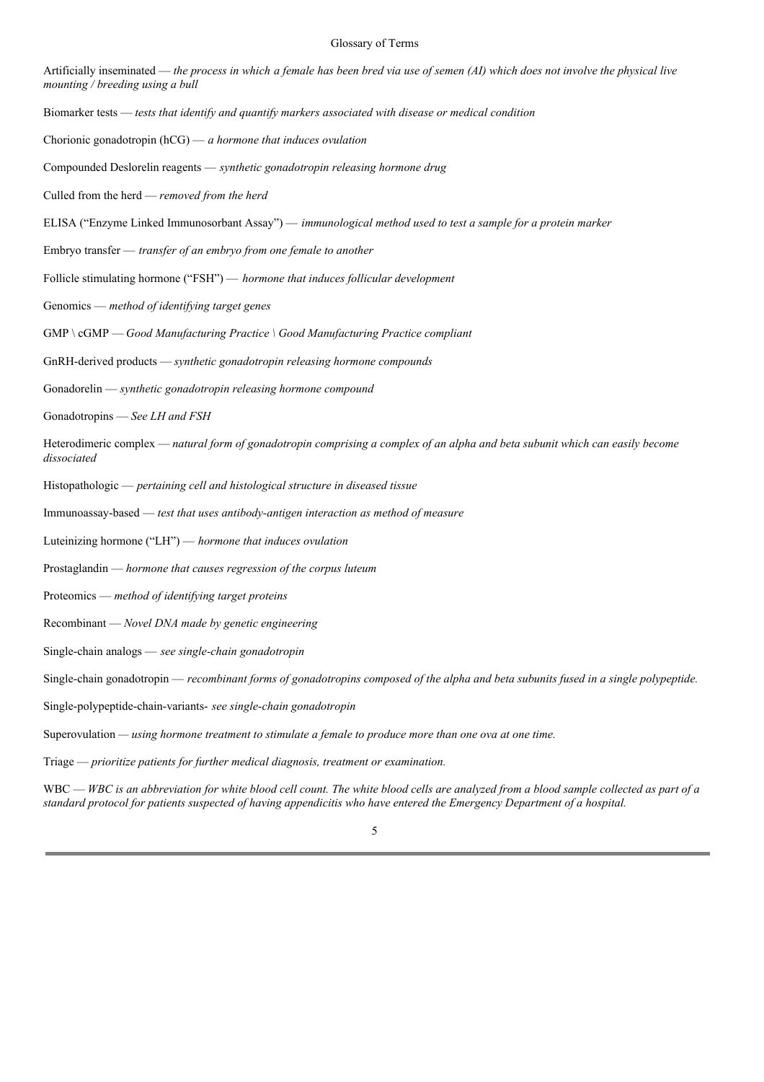# Glossary of Terms

| Artificially inseminated — the process in which a female has been bred via use of semen (AI) which does not involve the physical live<br>mounting / breeding using a bull |
|---------------------------------------------------------------------------------------------------------------------------------------------------------------------------|
| Biomarker tests — tests that identify and quantify markers associated with disease or medical condition                                                                   |
| Chorionic gonadotropin $(hCG)$ — a hormone that induces ovulation                                                                                                         |
| Compounded Deslorelin reagents - synthetic gonadotropin releasing hormone drug                                                                                            |
| Culled from the herd - removed from the herd                                                                                                                              |
| ELISA ("Enzyme Linked Immunosorbant Assay") — immunological method used to test a sample for a protein marker                                                             |
| Embryo transfer - transfer of an embryo from one female to another                                                                                                        |
| Follicle stimulating hormone ("FSH") - hormone that induces follicular development                                                                                        |
| Genomics — method of identifying target genes                                                                                                                             |
| GMP \ cGMP - Good Manufacturing Practice \ Good Manufacturing Practice compliant                                                                                          |
| GnRH-derived products - synthetic gonadotropin releasing hormone compounds                                                                                                |
| Gonadorelin — synthetic gonadotropin releasing hormone compound                                                                                                           |
| Gonadotropins - See LH and FSH                                                                                                                                            |
| Heterodimeric complex — natural form of gonadotropin comprising a complex of an alpha and beta subunit which can easily become<br>dissociated                             |
| Histopathologic — pertaining cell and histological structure in diseased tissue                                                                                           |
| Immunoassay-based — test that uses antibody-antigen interaction as method of measure                                                                                      |
| Luteinizing hormone ("LH") — <i>hormone that induces ovulation</i>                                                                                                        |
| Prostaglandin - hormone that causes regression of the corpus luteum                                                                                                       |
| Proteomics — method of identifying target proteins                                                                                                                        |
| Recombinant - Novel DNA made by genetic engineering                                                                                                                       |
| Single-chain analogs — see single-chain gonadotropin                                                                                                                      |
| Single-chain gonadotropin — recombinant forms of gonadotropins composed of the alpha and beta subunits fused in a single polypeptide.                                     |
| Single-polypeptide-chain-variants- see single-chain gonadotropin                                                                                                          |

Superovulation *— using hormone treatment to stimulate a female to produce more than one ova at one time.*

Triage — *prioritize patients for further medical diagnosis, treatment or examination.*

 $WBC - WBC$  is an abbreviation for white blood cell count. The white blood cells are analyzed from a blood sample collected as part of a standard protocol for patients suspected of having appendicitis who have entered the Emergency Department of a hospital.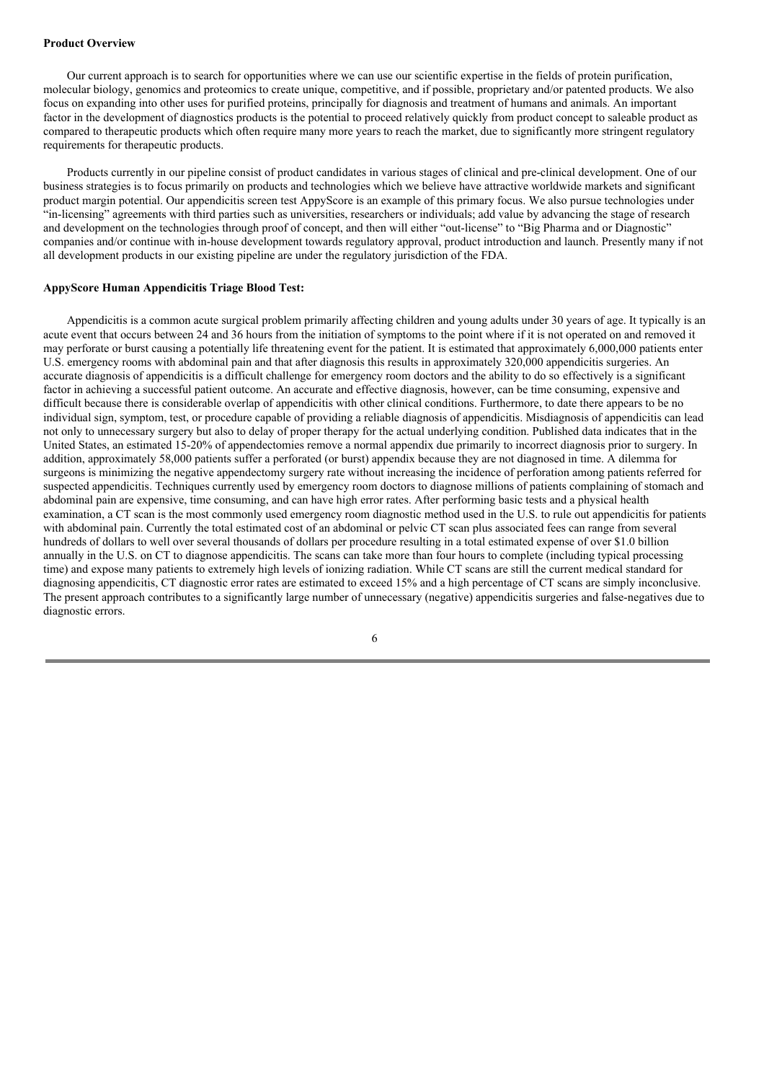#### **Product Overview**

Our current approach is to search for opportunities where we can use our scientific expertise in the fields of protein purification, molecular biology, genomics and proteomics to create unique, competitive, and if possible, proprietary and/or patented products. We also focus on expanding into other uses for purified proteins, principally for diagnosis and treatment of humans and animals. An important factor in the development of diagnostics products is the potential to proceed relatively quickly from product concept to saleable product as compared to therapeutic products which often require many more years to reach the market, due to significantly more stringent regulatory requirements for therapeutic products.

Products currently in our pipeline consist of product candidates in various stages of clinical and pre-clinical development. One of our business strategies is to focus primarily on products and technologies which we believe have attractive worldwide markets and significant product margin potential. Our appendicitis screen test AppyScore is an example of this primary focus. We also pursue technologies under "in-licensing" agreements with third parties such as universities, researchers or individuals; add value by advancing the stage of research and development on the technologies through proof of concept, and then will either "out-license" to "Big Pharma and or Diagnostic" companies and/or continue with in-house development towards regulatory approval, product introduction and launch. Presently many if not all development products in our existing pipeline are under the regulatory jurisdiction of the FDA.

#### **AppyScore Human Appendicitis Triage Blood Test:**

Appendicitis is a common acute surgical problem primarily affecting children and young adults under 30 years of age. It typically is an acute event that occurs between 24 and 36 hours from the initiation of symptoms to the point where if it is not operated on and removed it may perforate or burst causing a potentially life threatening event for the patient. It is estimated that approximately 6,000,000 patients enter U.S. emergency rooms with abdominal pain and that after diagnosis this results in approximately 320,000 appendicitis surgeries. An accurate diagnosis of appendicitis is a difficult challenge for emergency room doctors and the ability to do so effectively is a significant factor in achieving a successful patient outcome. An accurate and effective diagnosis, however, can be time consuming, expensive and difficult because there is considerable overlap of appendicitis with other clinical conditions. Furthermore, to date there appears to be no individual sign, symptom, test, or procedure capable of providing a reliable diagnosis of appendicitis. Misdiagnosis of appendicitis can lead not only to unnecessary surgery but also to delay of proper therapy for the actual underlying condition. Published data indicates that in the United States, an estimated 15-20% of appendectomies remove a normal appendix due primarily to incorrect diagnosis prior to surgery. In addition, approximately 58,000 patients suffer a perforated (or burst) appendix because they are not diagnosed in time. A dilemma for surgeons is minimizing the negative appendectomy surgery rate without increasing the incidence of perforation among patients referred for suspected appendicitis. Techniques currently used by emergency room doctors to diagnose millions of patients complaining of stomach and abdominal pain are expensive, time consuming, and can have high error rates. After performing basic tests and a physical health examination, a CT scan is the most commonly used emergency room diagnostic method used in the U.S. to rule out appendicitis for patients with abdominal pain. Currently the total estimated cost of an abdominal or pelvic CT scan plus associated fees can range from several hundreds of dollars to well over several thousands of dollars per procedure resulting in a total estimated expense of over \$1.0 billion annually in the U.S. on CT to diagnose appendicitis. The scans can take more than four hours to complete (including typical processing time) and expose many patients to extremely high levels of ionizing radiation. While CT scans are still the current medical standard for diagnosing appendicitis, CT diagnostic error rates are estimated to exceed 15% and a high percentage of CT scans are simply inconclusive. The present approach contributes to a significantly large number of unnecessary (negative) appendicitis surgeries and false-negatives due to diagnostic errors.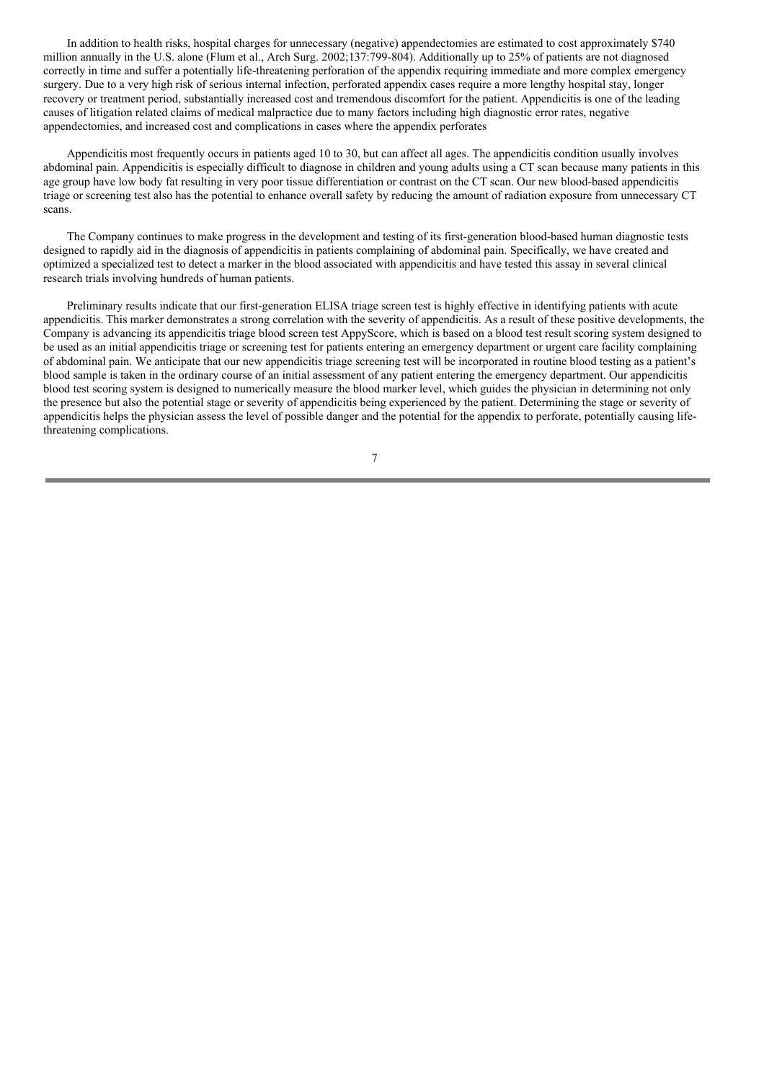In addition to health risks, hospital charges for unnecessary (negative) appendectomies are estimated to cost approximately \$740 million annually in the U.S. alone (Flum et al., Arch Surg. 2002;137:799-804). Additionally up to 25% of patients are not diagnosed correctly in time and suffer a potentially life-threatening perforation of the appendix requiring immediate and more complex emergency surgery. Due to a very high risk of serious internal infection, perforated appendix cases require a more lengthy hospital stay, longer recovery or treatment period, substantially increased cost and tremendous discomfort for the patient. Appendicitis is one of the leading causes of litigation related claims of medical malpractice due to many factors including high diagnostic error rates, negative appendectomies, and increased cost and complications in cases where the appendix perforates

Appendicitis most frequently occurs in patients aged 10 to 30, but can affect all ages. The appendicitis condition usually involves abdominal pain. Appendicitis is especially difficult to diagnose in children and young adults using a CT scan because many patients in this age group have low body fat resulting in very poor tissue differentiation or contrast on the CT scan. Our new blood-based appendicitis triage or screening test also has the potential to enhance overall safety by reducing the amount of radiation exposure from unnecessary CT scans.

The Company continues to make progress in the development and testing of its first-generation blood-based human diagnostic tests designed to rapidly aid in the diagnosis of appendicitis in patients complaining of abdominal pain. Specifically, we have created and optimized a specialized test to detect a marker in the blood associated with appendicitis and have tested this assay in several clinical research trials involving hundreds of human patients.

Preliminary results indicate that our first-generation ELISA triage screen test is highly effective in identifying patients with acute appendicitis. This marker demonstrates a strong correlation with the severity of appendicitis. As a result of these positive developments, the Company is advancing its appendicitis triage blood screen test AppyScore, which is based on a blood test result scoring system designed to be used as an initial appendicitis triage or screening test for patients entering an emergency department or urgent care facility complaining of abdominal pain. We anticipate that our new appendicitis triage screening test will be incorporated in routine blood testing as a patient's blood sample is taken in the ordinary course of an initial assessment of any patient entering the emergency department. Our appendicitis blood test scoring system is designed to numerically measure the blood marker level, which guides the physician in determining not only the presence but also the potential stage or severity of appendicitis being experienced by the patient. Determining the stage or severity of appendicitis helps the physician assess the level of possible danger and the potential for the appendix to perforate, potentially causing lifethreatening complications.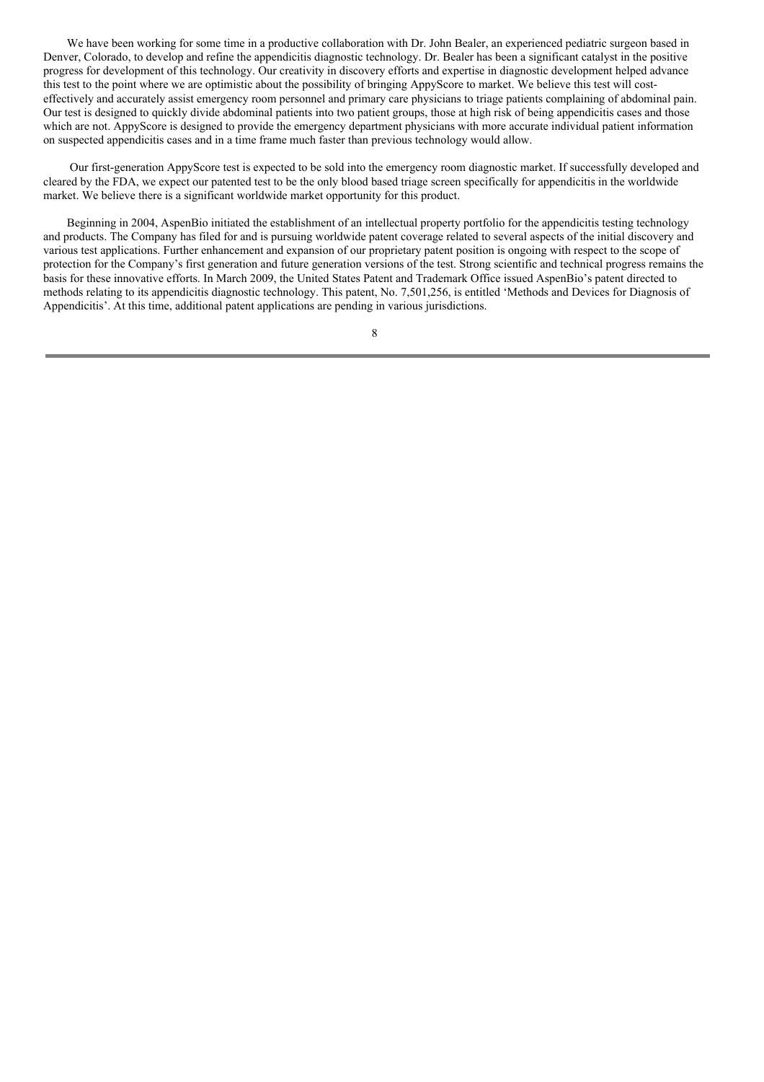We have been working for some time in a productive collaboration with Dr. John Bealer, an experienced pediatric surgeon based in Denver, Colorado, to develop and refine the appendicitis diagnostic technology. Dr. Bealer has been a significant catalyst in the positive progress for development of this technology. Our creativity in discovery efforts and expertise in diagnostic development helped advance this test to the point where we are optimistic about the possibility of bringing AppyScore to market. We believe this test will costeffectively and accurately assist emergency room personnel and primary care physicians to triage patients complaining of abdominal pain. Our test is designed to quickly divide abdominal patients into two patient groups, those at high risk of being appendicitis cases and those which are not. AppyScore is designed to provide the emergency department physicians with more accurate individual patient information on suspected appendicitis cases and in a time frame much faster than previous technology would allow.

Our first-generation AppyScore test is expected to be sold into the emergency room diagnostic market. If successfully developed and cleared by the FDA, we expect our patented test to be the only blood based triage screen specifically for appendicitis in the worldwide market. We believe there is a significant worldwide market opportunity for this product.

Beginning in 2004, AspenBio initiated the establishment of an intellectual property portfolio for the appendicitis testing technology and products. The Company has filed for and is pursuing worldwide patent coverage related to several aspects of the initial discovery and various test applications. Further enhancement and expansion of our proprietary patent position is ongoing with respect to the scope of protection for the Company's first generation and future generation versions of the test. Strong scientific and technical progress remains the basis for these innovative efforts. In March 2009, the United States Patent and Trademark Office issued AspenBio's patent directed to methods relating to its appendicitis diagnostic technology. This patent, No. 7,501,256, is entitled 'Methods and Devices for Diagnosis of Appendicitis'. At this time, additional patent applications are pending in various jurisdictions.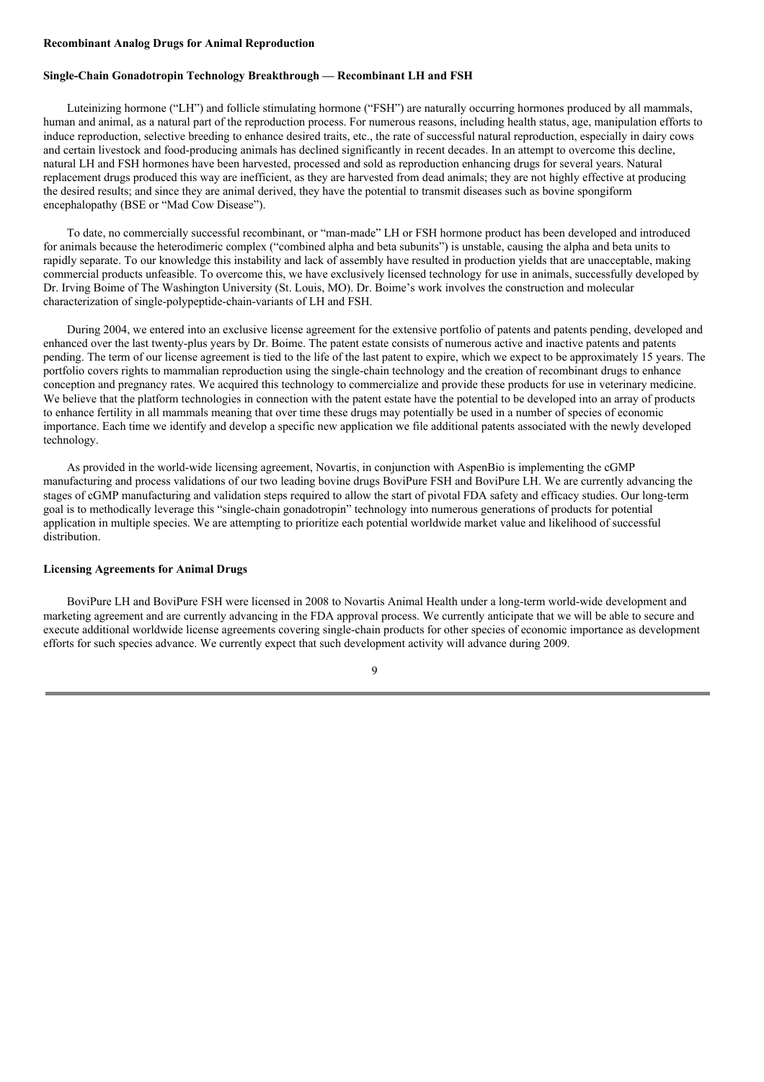# **Recombinant Analog Drugs for Animal Reproduction**

# **Single-Chain Gonadotropin Technology Breakthrough — Recombinant LH and FSH**

Luteinizing hormone ("LH") and follicle stimulating hormone ("FSH") are naturally occurring hormones produced by all mammals, human and animal, as a natural part of the reproduction process. For numerous reasons, including health status, age, manipulation efforts to induce reproduction, selective breeding to enhance desired traits, etc., the rate of successful natural reproduction, especially in dairy cows and certain livestock and food-producing animals has declined significantly in recent decades. In an attempt to overcome this decline, natural LH and FSH hormones have been harvested, processed and sold as reproduction enhancing drugs for several years. Natural replacement drugs produced this way are inefficient, as they are harvested from dead animals; they are not highly effective at producing the desired results; and since they are animal derived, they have the potential to transmit diseases such as bovine spongiform encephalopathy (BSE or "Mad Cow Disease").

To date, no commercially successful recombinant, or "man-made" LH or FSH hormone product has been developed and introduced for animals because the heterodimeric complex ("combined alpha and beta subunits") is unstable, causing the alpha and beta units to rapidly separate. To our knowledge this instability and lack of assembly have resulted in production yields that are unacceptable, making commercial products unfeasible. To overcome this, we have exclusively licensed technology for use in animals, successfully developed by Dr. Irving Boime of The Washington University (St. Louis, MO). Dr. Boime's work involves the construction and molecular characterization of single-polypeptide-chain-variants of LH and FSH.

During 2004, we entered into an exclusive license agreement for the extensive portfolio of patents and patents pending, developed and enhanced over the last twenty-plus years by Dr. Boime. The patent estate consists of numerous active and inactive patents and patents pending. The term of our license agreement is tied to the life of the last patent to expire, which we expect to be approximately 15 years. The portfolio covers rights to mammalian reproduction using the single-chain technology and the creation of recombinant drugs to enhance conception and pregnancy rates. We acquired this technology to commercialize and provide these products for use in veterinary medicine. We believe that the platform technologies in connection with the patent estate have the potential to be developed into an array of products to enhance fertility in all mammals meaning that over time these drugs may potentially be used in a number of species of economic importance. Each time we identify and develop a specific new application we file additional patents associated with the newly developed technology.

As provided in the world-wide licensing agreement, Novartis, in conjunction with AspenBio is implementing the cGMP manufacturing and process validations of our two leading bovine drugs BoviPure FSH and BoviPure LH. We are currently advancing the stages of cGMP manufacturing and validation steps required to allow the start of pivotal FDA safety and efficacy studies. Our long-term goal is to methodically leverage this "single-chain gonadotropin" technology into numerous generations of products for potential application in multiple species. We are attempting to prioritize each potential worldwide market value and likelihood of successful distribution.

# **Licensing Agreements for Animal Drugs**

BoviPure LH and BoviPure FSH were licensed in 2008 to Novartis Animal Health under a long-term world-wide development and marketing agreement and are currently advancing in the FDA approval process. We currently anticipate that we will be able to secure and execute additional worldwide license agreements covering single-chain products for other species of economic importance as development efforts for such species advance. We currently expect that such development activity will advance during 2009.

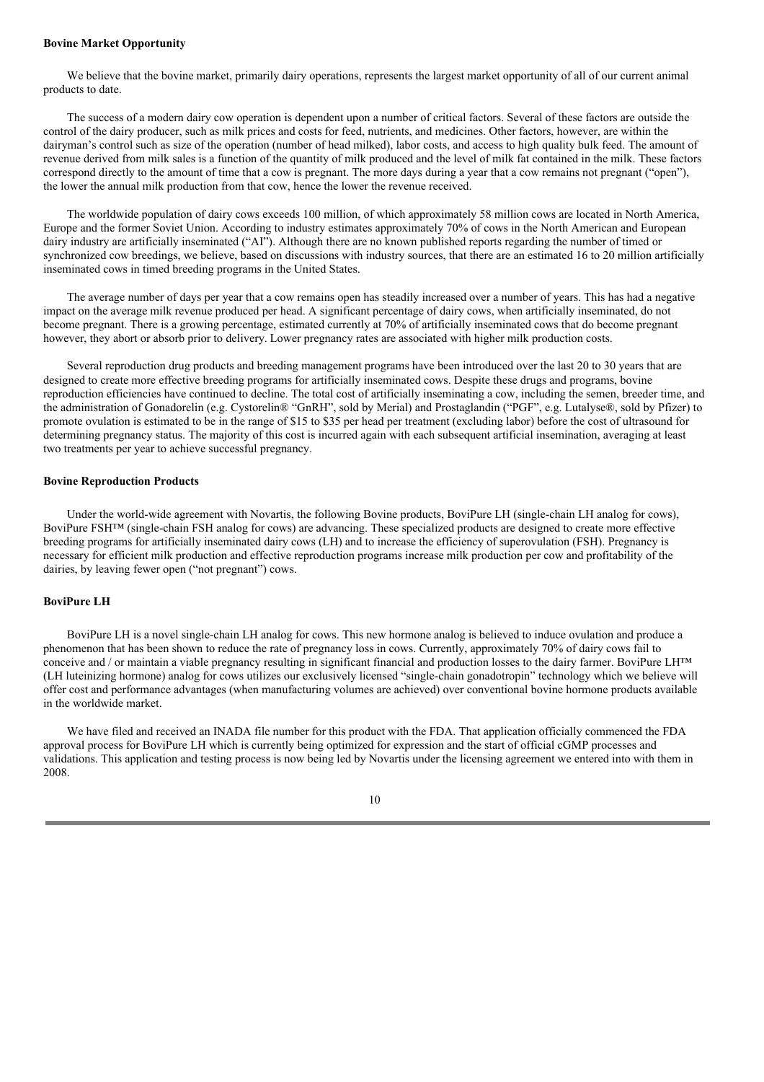#### **Bovine Market Opportunity**

We believe that the bovine market, primarily dairy operations, represents the largest market opportunity of all of our current animal products to date.

The success of a modern dairy cow operation is dependent upon a number of critical factors. Several of these factors are outside the control of the dairy producer, such as milk prices and costs for feed, nutrients, and medicines. Other factors, however, are within the dairyman's control such as size of the operation (number of head milked), labor costs, and access to high quality bulk feed. The amount of revenue derived from milk sales is a function of the quantity of milk produced and the level of milk fat contained in the milk. These factors correspond directly to the amount of time that a cow is pregnant. The more days during a year that a cow remains not pregnant ("open"), the lower the annual milk production from that cow, hence the lower the revenue received.

The worldwide population of dairy cows exceeds 100 million, of which approximately 58 million cows are located in North America, Europe and the former Soviet Union. According to industry estimates approximately 70% of cows in the North American and European dairy industry are artificially inseminated ("AI"). Although there are no known published reports regarding the number of timed or synchronized cow breedings, we believe, based on discussions with industry sources, that there are an estimated 16 to 20 million artificially inseminated cows in timed breeding programs in the United States.

The average number of days per year that a cow remains open has steadily increased over a number of years. This has had a negative impact on the average milk revenue produced per head. A significant percentage of dairy cows, when artificially inseminated, do not become pregnant. There is a growing percentage, estimated currently at 70% of artificially inseminated cows that do become pregnant however, they abort or absorb prior to delivery. Lower pregnancy rates are associated with higher milk production costs.

Several reproduction drug products and breeding management programs have been introduced over the last 20 to 30 years that are designed to create more effective breeding programs for artificially inseminated cows. Despite these drugs and programs, bovine reproduction efficiencies have continued to decline. The total cost of artificially inseminating a cow, including the semen, breeder time, and the administration of Gonadorelin (e.g. Cystorelin® "GnRH", sold by Merial) and Prostaglandin ("PGF", e.g. Lutalyse®, sold by Pfizer) to promote ovulation is estimated to be in the range of \$15 to \$35 per head per treatment (excluding labor) before the cost of ultrasound for determining pregnancy status. The majority of this cost is incurred again with each subsequent artificial insemination, averaging at least two treatments per year to achieve successful pregnancy.

#### **Bovine Reproduction Products**

Under the world-wide agreement with Novartis, the following Bovine products, BoviPure LH (single-chain LH analog for cows), BoviPure FSH™ (single-chain FSH analog for cows) are advancing. These specialized products are designed to create more effective breeding programs for artificially inseminated dairy cows (LH) and to increase the efficiency of superovulation (FSH). Pregnancy is necessary for efficient milk production and effective reproduction programs increase milk production per cow and profitability of the dairies, by leaving fewer open ("not pregnant") cows.

#### **BoviPure LH**

BoviPure LH is a novel single-chain LH analog for cows. This new hormone analog is believed to induce ovulation and produce a phenomenon that has been shown to reduce the rate of pregnancy loss in cows. Currently, approximately 70% of dairy cows fail to conceive and / or maintain a viable pregnancy resulting in significant financial and production losses to the dairy farmer. BoviPure LH™ (LH luteinizing hormone) analog for cows utilizes our exclusively licensed "single-chain gonadotropin" technology which we believe will offer cost and performance advantages (when manufacturing volumes are achieved) over conventional bovine hormone products available in the worldwide market.

We have filed and received an INADA file number for this product with the FDA. That application officially commenced the FDA approval process for BoviPure LH which is currently being optimized for expression and the start of official cGMP processes and validations. This application and testing process is now being led by Novartis under the licensing agreement we entered into with them in 2008.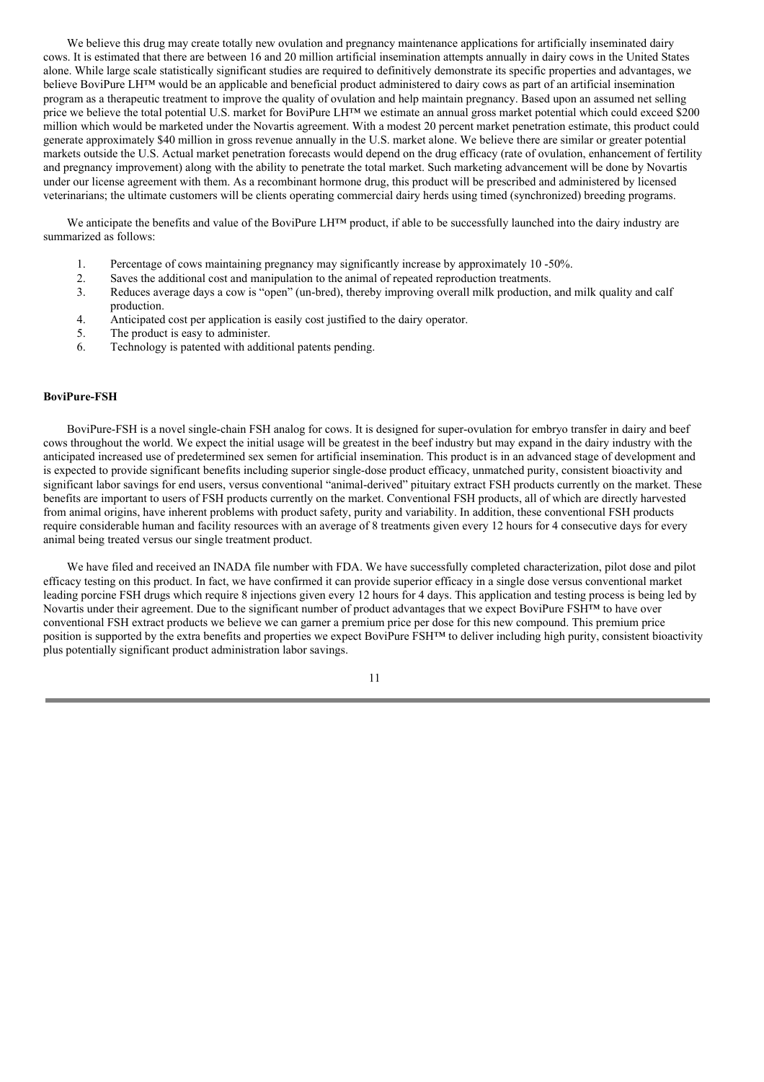We believe this drug may create totally new ovulation and pregnancy maintenance applications for artificially inseminated dairy cows. It is estimated that there are between 16 and 20 million artificial insemination attempts annually in dairy cows in the United States alone. While large scale statistically significant studies are required to definitively demonstrate its specific properties and advantages, we believe BoviPure LH™ would be an applicable and beneficial product administered to dairy cows as part of an artificial insemination program as a therapeutic treatment to improve the quality of ovulation and help maintain pregnancy. Based upon an assumed net selling price we believe the total potential U.S. market for BoviPure LH™ we estimate an annual gross market potential which could exceed \$200 million which would be marketed under the Novartis agreement. With a modest 20 percent market penetration estimate, this product could generate approximately \$40 million in gross revenue annually in the U.S. market alone. We believe there are similar or greater potential markets outside the U.S. Actual market penetration forecasts would depend on the drug efficacy (rate of ovulation, enhancement of fertility and pregnancy improvement) along with the ability to penetrate the total market. Such marketing advancement will be done by Novartis under our license agreement with them. As a recombinant hormone drug, this product will be prescribed and administered by licensed veterinarians; the ultimate customers will be clients operating commercial dairy herds using timed (synchronized) breeding programs.

We anticipate the benefits and value of the BoviPure LH™ product, if able to be successfully launched into the dairy industry are summarized as follows:

- 1. Percentage of cows maintaining pregnancy may significantly increase by approximately 10 -50%.
- 2. Saves the additional cost and manipulation to the animal of repeated reproduction treatments.
- 3. Reduces average days a cow is "open" (un-bred), thereby improving overall milk production, and milk quality and calf production.
- 4. Anticipated cost per application is easily cost justified to the dairy operator.
- 5. The product is easy to administer.
- 6. Technology is patented with additional patents pending.

### **BoviPure-FSH**

BoviPure-FSH is a novel single-chain FSH analog for cows. It is designed for super-ovulation for embryo transfer in dairy and beef cows throughout the world. We expect the initial usage will be greatest in the beef industry but may expand in the dairy industry with the anticipated increased use of predetermined sex semen for artificial insemination. This product is in an advanced stage of development and is expected to provide significant benefits including superior single-dose product efficacy, unmatched purity, consistent bioactivity and significant labor savings for end users, versus conventional "animal-derived" pituitary extract FSH products currently on the market. These benefits are important to users of FSH products currently on the market. Conventional FSH products, all of which are directly harvested from animal origins, have inherent problems with product safety, purity and variability. In addition, these conventional FSH products require considerable human and facility resources with an average of 8 treatments given every 12 hours for 4 consecutive days for every animal being treated versus our single treatment product.

We have filed and received an INADA file number with FDA. We have successfully completed characterization, pilot dose and pilot efficacy testing on this product. In fact, we have confirmed it can provide superior efficacy in a single dose versus conventional market leading porcine FSH drugs which require 8 injections given every 12 hours for 4 days. This application and testing process is being led by Novartis under their agreement. Due to the significant number of product advantages that we expect BoviPure FSH™ to have over conventional FSH extract products we believe we can garner a premium price per dose for this new compound. This premium price position is supported by the extra benefits and properties we expect BoviPure FSH™ to deliver including high purity, consistent bioactivity plus potentially significant product administration labor savings.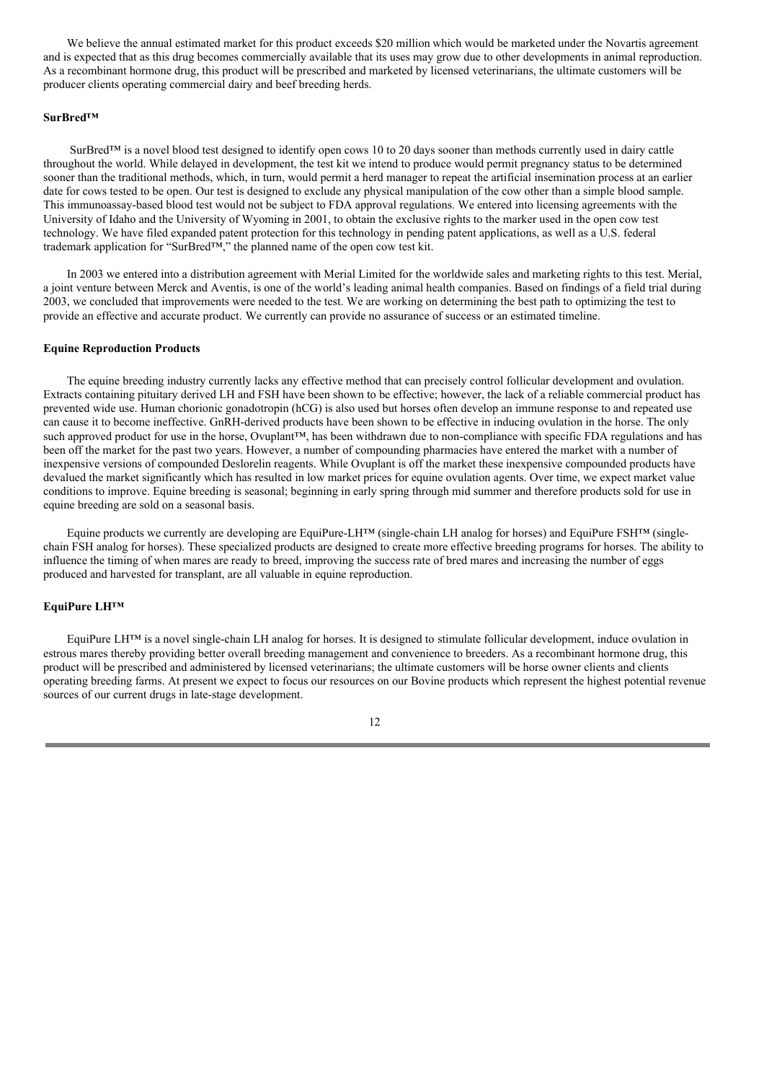We believe the annual estimated market for this product exceeds \$20 million which would be marketed under the Novartis agreement and is expected that as this drug becomes commercially available that its uses may grow due to other developments in animal reproduction. As a recombinant hormone drug, this product will be prescribed and marketed by licensed veterinarians, the ultimate customers will be producer clients operating commercial dairy and beef breeding herds.

### **SurBred™**

SurBred™ is a novel blood test designed to identify open cows 10 to 20 days sooner than methods currently used in dairy cattle throughout the world. While delayed in development, the test kit we intend to produce would permit pregnancy status to be determined sooner than the traditional methods, which, in turn, would permit a herd manager to repeat the artificial insemination process at an earlier date for cows tested to be open. Our test is designed to exclude any physical manipulation of the cow other than a simple blood sample. This immunoassay-based blood test would not be subject to FDA approval regulations. We entered into licensing agreements with the University of Idaho and the University of Wyoming in 2001, to obtain the exclusive rights to the marker used in the open cow test technology. We have filed expanded patent protection for this technology in pending patent applications, as well as a U.S. federal trademark application for "SurBred™," the planned name of the open cow test kit.

In 2003 we entered into a distribution agreement with Merial Limited for the worldwide sales and marketing rights to this test. Merial, a joint venture between Merck and Aventis, is one of the world's leading animal health companies. Based on findings of a field trial during 2003, we concluded that improvements were needed to the test. We are working on determining the best path to optimizing the test to provide an effective and accurate product. We currently can provide no assurance of success or an estimated timeline.

#### **Equine Reproduction Products**

The equine breeding industry currently lacks any effective method that can precisely control follicular development and ovulation. Extracts containing pituitary derived LH and FSH have been shown to be effective; however, the lack of a reliable commercial product has prevented wide use. Human chorionic gonadotropin (hCG) is also used but horses often develop an immune response to and repeated use can cause it to become ineffective. GnRH-derived products have been shown to be effective in inducing ovulation in the horse. The only such approved product for use in the horse, Ovuplant™, has been withdrawn due to non-compliance with specific FDA regulations and has been off the market for the past two years. However, a number of compounding pharmacies have entered the market with a number of inexpensive versions of compounded Deslorelin reagents. While Ovuplant is off the market these inexpensive compounded products have devalued the market significantly which has resulted in low market prices for equine ovulation agents. Over time, we expect market value conditions to improve. Equine breeding is seasonal; beginning in early spring through mid summer and therefore products sold for use in equine breeding are sold on a seasonal basis.

Equine products we currently are developing are EquiPure-LH™ (single-chain LH analog for horses) and EquiPure FSH™ (singlechain FSH analog for horses). These specialized products are designed to create more effective breeding programs for horses. The ability to influence the timing of when mares are ready to breed, improving the success rate of bred mares and increasing the number of eggs produced and harvested for transplant, are all valuable in equine reproduction.

# **EquiPure LH™**

EquiPure LH™ is a novel single-chain LH analog for horses. It is designed to stimulate follicular development, induce ovulation in estrous mares thereby providing better overall breeding management and convenience to breeders. As a recombinant hormone drug, this product will be prescribed and administered by licensed veterinarians; the ultimate customers will be horse owner clients and clients operating breeding farms. At present we expect to focus our resources on our Bovine products which represent the highest potential revenue sources of our current drugs in late-stage development.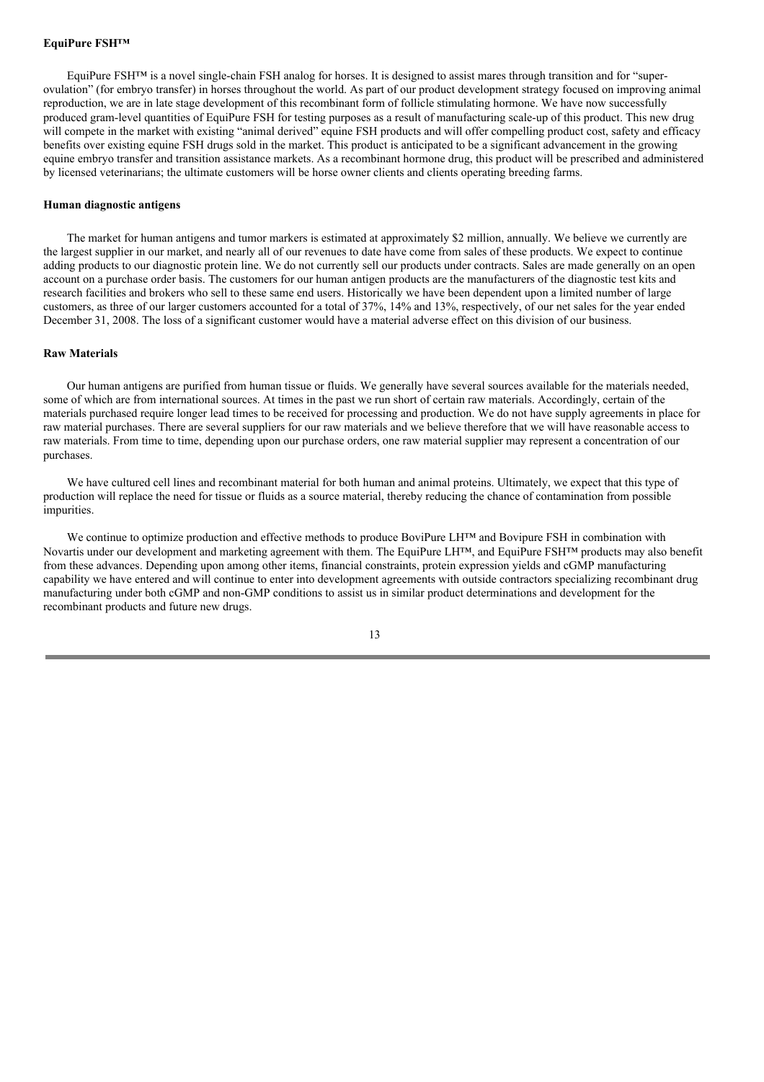# **EquiPure FSH™**

EquiPure FSH™ is a novel single-chain FSH analog for horses. It is designed to assist mares through transition and for "superovulation" (for embryo transfer) in horses throughout the world. As part of our product development strategy focused on improving animal reproduction, we are in late stage development of this recombinant form of follicle stimulating hormone. We have now successfully produced gram-level quantities of EquiPure FSH for testing purposes as a result of manufacturing scale-up of this product. This new drug will compete in the market with existing "animal derived" equine FSH products and will offer compelling product cost, safety and efficacy benefits over existing equine FSH drugs sold in the market. This product is anticipated to be a significant advancement in the growing equine embryo transfer and transition assistance markets. As a recombinant hormone drug, this product will be prescribed and administered by licensed veterinarians; the ultimate customers will be horse owner clients and clients operating breeding farms.

# **Human diagnostic antigens**

The market for human antigens and tumor markers is estimated at approximately \$2 million, annually. We believe we currently are the largest supplier in our market, and nearly all of our revenues to date have come from sales of these products. We expect to continue adding products to our diagnostic protein line. We do not currently sell our products under contracts. Sales are made generally on an open account on a purchase order basis. The customers for our human antigen products are the manufacturers of the diagnostic test kits and research facilities and brokers who sell to these same end users. Historically we have been dependent upon a limited number of large customers, as three of our larger customers accounted for a total of 37%, 14% and 13%, respectively, of our net sales for the year ended December 31, 2008. The loss of a significant customer would have a material adverse effect on this division of our business.

# **Raw Materials**

Our human antigens are purified from human tissue or fluids. We generally have several sources available for the materials needed, some of which are from international sources. At times in the past we run short of certain raw materials. Accordingly, certain of the materials purchased require longer lead times to be received for processing and production. We do not have supply agreements in place for raw material purchases. There are several suppliers for our raw materials and we believe therefore that we will have reasonable access to raw materials. From time to time, depending upon our purchase orders, one raw material supplier may represent a concentration of our purchases.

We have cultured cell lines and recombinant material for both human and animal proteins. Ultimately, we expect that this type of production will replace the need for tissue or fluids as a source material, thereby reducing the chance of contamination from possible impurities.

We continue to optimize production and effective methods to produce BoviPure LH™ and Bovipure FSH in combination with Novartis under our development and marketing agreement with them. The EquiPure LH™, and EquiPure FSH™ products may also benefit from these advances. Depending upon among other items, financial constraints, protein expression yields and cGMP manufacturing capability we have entered and will continue to enter into development agreements with outside contractors specializing recombinant drug manufacturing under both cGMP and non-GMP conditions to assist us in similar product determinations and development for the recombinant products and future new drugs.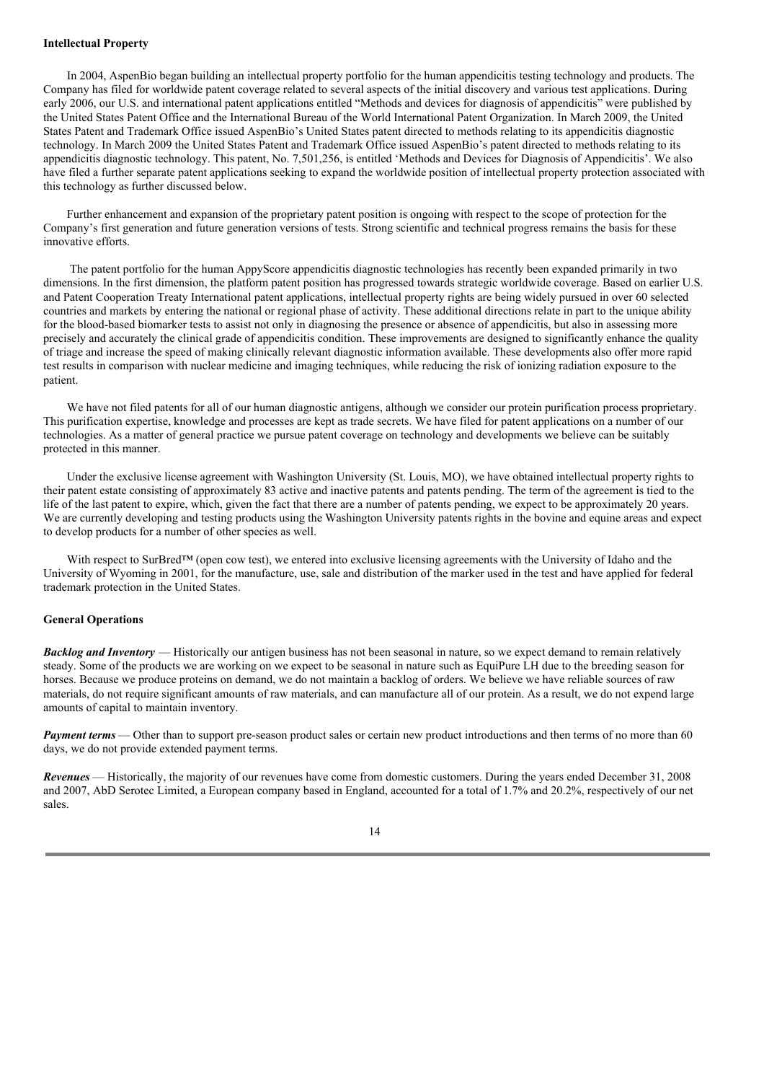#### **Intellectual Property**

In 2004, AspenBio began building an intellectual property portfolio for the human appendicitis testing technology and products. The Company has filed for worldwide patent coverage related to several aspects of the initial discovery and various test applications. During early 2006, our U.S. and international patent applications entitled "Methods and devices for diagnosis of appendicitis" were published by the United States Patent Office and the International Bureau of the World International Patent Organization. In March 2009, the United States Patent and Trademark Office issued AspenBio's United States patent directed to methods relating to its appendicitis diagnostic technology. In March 2009 the United States Patent and Trademark Office issued AspenBio's patent directed to methods relating to its appendicitis diagnostic technology. This patent, No. 7,501,256, is entitled 'Methods and Devices for Diagnosis of Appendicitis'. We also have filed a further separate patent applications seeking to expand the worldwide position of intellectual property protection associated with this technology as further discussed below.

Further enhancement and expansion of the proprietary patent position is ongoing with respect to the scope of protection for the Company's first generation and future generation versions of tests. Strong scientific and technical progress remains the basis for these innovative efforts.

The patent portfolio for the human AppyScore appendicitis diagnostic technologies has recently been expanded primarily in two dimensions. In the first dimension, the platform patent position has progressed towards strategic worldwide coverage. Based on earlier U.S. and Patent Cooperation Treaty International patent applications, intellectual property rights are being widely pursued in over 60 selected countries and markets by entering the national or regional phase of activity. These additional directions relate in part to the unique ability for the blood-based biomarker tests to assist not only in diagnosing the presence or absence of appendicitis, but also in assessing more precisely and accurately the clinical grade of appendicitis condition. These improvements are designed to significantly enhance the quality of triage and increase the speed of making clinically relevant diagnostic information available. These developments also offer more rapid test results in comparison with nuclear medicine and imaging techniques, while reducing the risk of ionizing radiation exposure to the patient.

We have not filed patents for all of our human diagnostic antigens, although we consider our protein purification process proprietary. This purification expertise, knowledge and processes are kept as trade secrets. We have filed for patent applications on a number of our technologies. As a matter of general practice we pursue patent coverage on technology and developments we believe can be suitably protected in this manner.

Under the exclusive license agreement with Washington University (St. Louis, MO), we have obtained intellectual property rights to their patent estate consisting of approximately 83 active and inactive patents and patents pending. The term of the agreement is tied to the life of the last patent to expire, which, given the fact that there are a number of patents pending, we expect to be approximately 20 years. We are currently developing and testing products using the Washington University patents rights in the bovine and equine areas and expect to develop products for a number of other species as well.

With respect to SurBred™ (open cow test), we entered into exclusive licensing agreements with the University of Idaho and the University of Wyoming in 2001, for the manufacture, use, sale and distribution of the marker used in the test and have applied for federal trademark protection in the United States.

#### **General Operations**

*Backlog and Inventory* — Historically our antigen business has not been seasonal in nature, so we expect demand to remain relatively steady. Some of the products we are working on we expect to be seasonal in nature such as EquiPure LH due to the breeding season for horses. Because we produce proteins on demand, we do not maintain a backlog of orders. We believe we have reliable sources of raw materials, do not require significant amounts of raw materials, and can manufacture all of our protein. As a result, we do not expend large amounts of capital to maintain inventory.

*Payment terms* — Other than to support pre-season product sales or certain new product introductions and then terms of no more than 60 days, we do not provide extended payment terms.

*Revenues* — Historically, the majority of our revenues have come from domestic customers. During the years ended December 31, 2008 and 2007, AbD Serotec Limited, a European company based in England, accounted for a total of 1.7% and 20.2%, respectively of our net sales.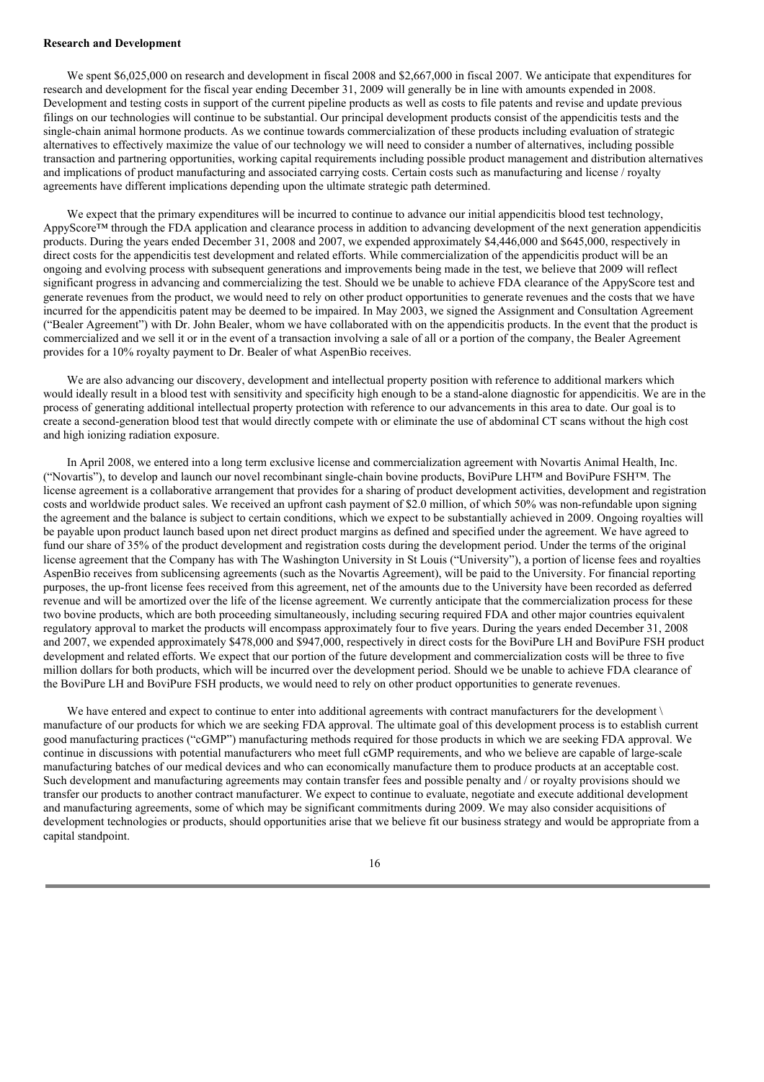# **Research and Development**

We spent \$6,025,000 on research and development in fiscal 2008 and \$2,667,000 in fiscal 2007. We anticipate that expenditures for research and development for the fiscal year ending December 31, 2009 will generally be in line with amounts expended in 2008. Development and testing costs in support of the current pipeline products as well as costs to file patents and revise and update previous filings on our technologies will continue to be substantial. Our principal development products consist of the appendicitis tests and the single-chain animal hormone products. As we continue towards commercialization of these products including evaluation of strategic alternatives to effectively maximize the value of our technology we will need to consider a number of alternatives, including possible transaction and partnering opportunities, working capital requirements including possible product management and distribution alternatives and implications of product manufacturing and associated carrying costs. Certain costs such as manufacturing and license / royalty agreements have different implications depending upon the ultimate strategic path determined.

We expect that the primary expenditures will be incurred to continue to advance our initial appendicitis blood test technology, AppyScore™ through the FDA application and clearance process in addition to advancing development of the next generation appendicitis products. During the years ended December 31, 2008 and 2007, we expended approximately \$4,446,000 and \$645,000, respectively in direct costs for the appendicitis test development and related efforts. While commercialization of the appendicitis product will be an ongoing and evolving process with subsequent generations and improvements being made in the test, we believe that 2009 will reflect significant progress in advancing and commercializing the test. Should we be unable to achieve FDA clearance of the AppyScore test and generate revenues from the product, we would need to rely on other product opportunities to generate revenues and the costs that we have incurred for the appendicitis patent may be deemed to be impaired. In May 2003, we signed the Assignment and Consultation Agreement ("Bealer Agreement") with Dr. John Bealer, whom we have collaborated with on the appendicitis products. In the event that the product is commercialized and we sell it or in the event of a transaction involving a sale of all or a portion of the company, the Bealer Agreement provides for a 10% royalty payment to Dr. Bealer of what AspenBio receives.

We are also advancing our discovery, development and intellectual property position with reference to additional markers which would ideally result in a blood test with sensitivity and specificity high enough to be a stand-alone diagnostic for appendicitis. We are in the process of generating additional intellectual property protection with reference to our advancements in this area to date. Our goal is to create a second-generation blood test that would directly compete with or eliminate the use of abdominal CT scans without the high cost and high ionizing radiation exposure.

In April 2008, we entered into a long term exclusive license and commercialization agreement with Novartis Animal Health, Inc. ("Novartis"), to develop and launch our novel recombinant single-chain bovine products, BoviPure LH<sup>TM</sup> and BoviPure FSH<sup>TM</sup>. The license agreement is a collaborative arrangement that provides for a sharing of product development activities, development and registration costs and worldwide product sales. We received an upfront cash payment of \$2.0 million, of which 50% was non-refundable upon signing the agreement and the balance is subject to certain conditions, which we expect to be substantially achieved in 2009. Ongoing royalties will be payable upon product launch based upon net direct product margins as defined and specified under the agreement. We have agreed to fund our share of 35% of the product development and registration costs during the development period. Under the terms of the original license agreement that the Company has with The Washington University in St Louis ("University"), a portion of license fees and royalties AspenBio receives from sublicensing agreements (such as the Novartis Agreement), will be paid to the University. For financial reporting purposes, the up-front license fees received from this agreement, net of the amounts due to the University have been recorded as deferred revenue and will be amortized over the life of the license agreement. We currently anticipate that the commercialization process for these two bovine products, which are both proceeding simultaneously, including securing required FDA and other major countries equivalent regulatory approval to market the products will encompass approximately four to five years. During the years ended December 31, 2008 and 2007, we expended approximately \$478,000 and \$947,000, respectively in direct costs for the BoviPure LH and BoviPure FSH product development and related efforts. We expect that our portion of the future development and commercialization costs will be three to five million dollars for both products, which will be incurred over the development period. Should we be unable to achieve FDA clearance of the BoviPure LH and BoviPure FSH products, we would need to rely on other product opportunities to generate revenues.

We have entered and expect to continue to enter into additional agreements with contract manufacturers for the development \ manufacture of our products for which we are seeking FDA approval. The ultimate goal of this development process is to establish current good manufacturing practices ("cGMP") manufacturing methods required for those products in which we are seeking FDA approval. We continue in discussions with potential manufacturers who meet full cGMP requirements, and who we believe are capable of large-scale manufacturing batches of our medical devices and who can economically manufacture them to produce products at an acceptable cost. Such development and manufacturing agreements may contain transfer fees and possible penalty and / or royalty provisions should we transfer our products to another contract manufacturer. We expect to continue to evaluate, negotiate and execute additional development and manufacturing agreements, some of which may be significant commitments during 2009. We may also consider acquisitions of development technologies or products, should opportunities arise that we believe fit our business strategy and would be appropriate from a capital standpoint.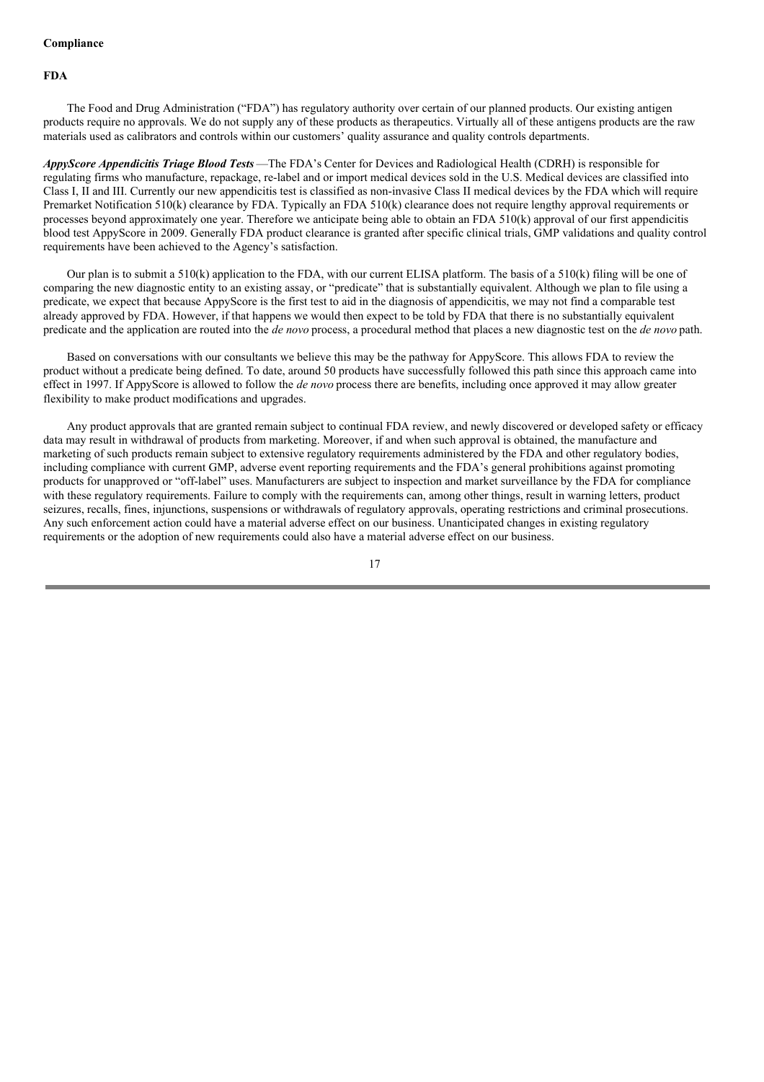# **Compliance**

### **FDA**

The Food and Drug Administration ("FDA") has regulatory authority over certain of our planned products. Our existing antigen products require no approvals. We do not supply any of these products as therapeutics. Virtually all of these antigens products are the raw materials used as calibrators and controls within our customers' quality assurance and quality controls departments.

*AppyScore Appendicitis Triage Blood Tests* —The FDA's Center for Devices and Radiological Health (CDRH) is responsible for regulating firms who manufacture, repackage, re-label and or import medical devices sold in the U.S. Medical devices are classified into Class I, II and III. Currently our new appendicitis test is classified as non-invasive Class II medical devices by the FDA which will require Premarket Notification 510(k) clearance by FDA. Typically an FDA 510(k) clearance does not require lengthy approval requirements or processes beyond approximately one year. Therefore we anticipate being able to obtain an FDA 510(k) approval of our first appendicitis blood test AppyScore in 2009. Generally FDA product clearance is granted after specific clinical trials, GMP validations and quality control requirements have been achieved to the Agency's satisfaction.

Our plan is to submit a 510(k) application to the FDA, with our current ELISA platform. The basis of a 510(k) filing will be one of comparing the new diagnostic entity to an existing assay, or "predicate" that is substantially equivalent. Although we plan to file using a predicate, we expect that because AppyScore is the first test to aid in the diagnosis of appendicitis, we may not find a comparable test already approved by FDA. However, if that happens we would then expect to be told by FDA that there is no substantially equivalent predicate and the application are routed into the *de novo* process, a procedural method that places a new diagnostic test on the *de novo* path.

Based on conversations with our consultants we believe this may be the pathway for AppyScore. This allows FDA to review the product without a predicate being defined. To date, around 50 products have successfully followed this path since this approach came into effect in 1997. If AppyScore is allowed to follow the *de novo* process there are benefits, including once approved it may allow greater flexibility to make product modifications and upgrades.

Any product approvals that are granted remain subject to continual FDA review, and newly discovered or developed safety or efficacy data may result in withdrawal of products from marketing. Moreover, if and when such approval is obtained, the manufacture and marketing of such products remain subject to extensive regulatory requirements administered by the FDA and other regulatory bodies, including compliance with current GMP, adverse event reporting requirements and the FDA's general prohibitions against promoting products for unapproved or "off-label" uses. Manufacturers are subject to inspection and market surveillance by the FDA for compliance with these regulatory requirements. Failure to comply with the requirements can, among other things, result in warning letters, product seizures, recalls, fines, injunctions, suspensions or withdrawals of regulatory approvals, operating restrictions and criminal prosecutions. Any such enforcement action could have a material adverse effect on our business. Unanticipated changes in existing regulatory requirements or the adoption of new requirements could also have a material adverse effect on our business.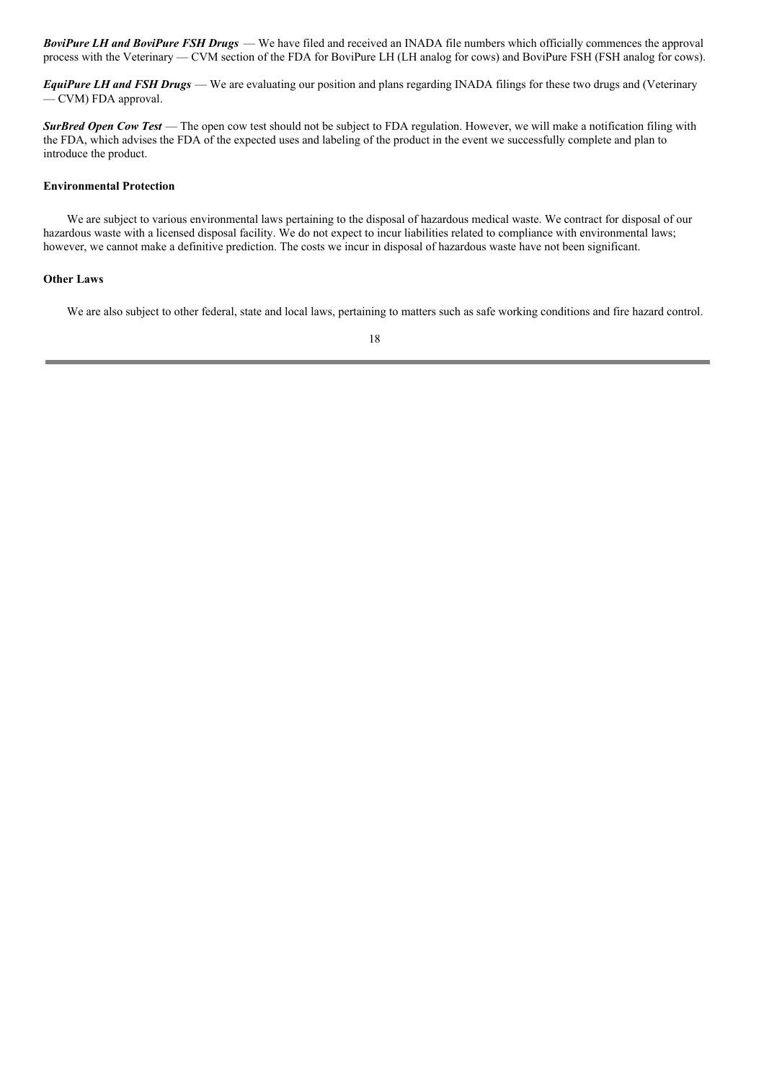*BoviPure LH and BoviPure FSH Drugs* — We have filed and received an INADA file numbers which officially commences the approval process with the Veterinary — CVM section of the FDA for BoviPure LH (LH analog for cows) and BoviPure FSH (FSH analog for cows).

*EquiPure LH and FSH Drugs* — We are evaluating our position and plans regarding INADA filings for these two drugs and (Veterinary — CVM) FDA approval.

*SurBred Open Cow Test* — The open cow test should not be subject to FDA regulation. However, we will make a notification filing with the FDA, which advises the FDA of the expected uses and labeling of the product in the event we successfully complete and plan to introduce the product.

### **Environmental Protection**

We are subject to various environmental laws pertaining to the disposal of hazardous medical waste. We contract for disposal of our hazardous waste with a licensed disposal facility. We do not expect to incur liabilities related to compliance with environmental laws; however, we cannot make a definitive prediction. The costs we incur in disposal of hazardous waste have not been significant.

# **Other Laws**

We are also subject to other federal, state and local laws, pertaining to matters such as safe working conditions and fire hazard control.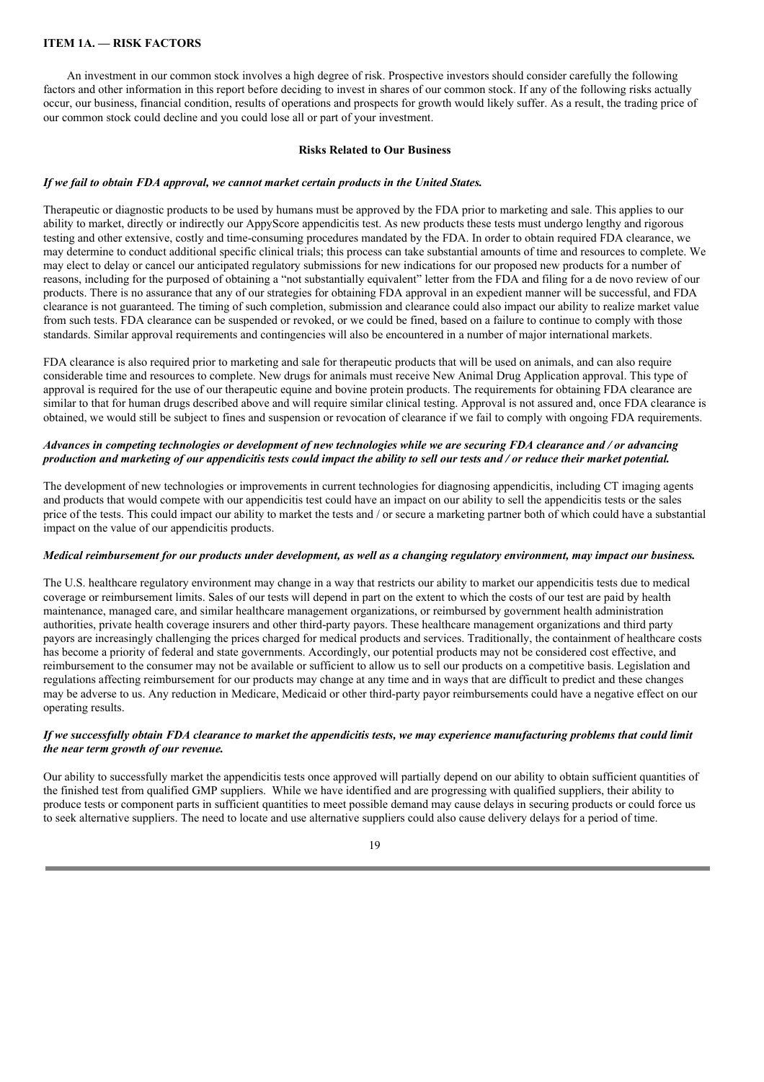# **ITEM 1A. — RISK FACTORS**

An investment in our common stock involves a high degree of risk. Prospective investors should consider carefully the following factors and other information in this report before deciding to invest in shares of our common stock. If any of the following risks actually occur, our business, financial condition, results of operations and prospects for growth would likely suffer. As a result, the trading price of our common stock could decline and you could lose all or part of your investment.

# **Risks Related to Our Business**

# *If we fail to obtain FDA approval, we cannot market certain products in the United States.*

Therapeutic or diagnostic products to be used by humans must be approved by the FDA prior to marketing and sale. This applies to our ability to market, directly or indirectly our AppyScore appendicitis test. As new products these tests must undergo lengthy and rigorous testing and other extensive, costly and time-consuming procedures mandated by the FDA. In order to obtain required FDA clearance, we may determine to conduct additional specific clinical trials; this process can take substantial amounts of time and resources to complete. We may elect to delay or cancel our anticipated regulatory submissions for new indications for our proposed new products for a number of reasons, including for the purposed of obtaining a "not substantially equivalent" letter from the FDA and filing for a de novo review of our products. There is no assurance that any of our strategies for obtaining FDA approval in an expedient manner will be successful, and FDA clearance is not guaranteed. The timing of such completion, submission and clearance could also impact our ability to realize market value from such tests. FDA clearance can be suspended or revoked, or we could be fined, based on a failure to continue to comply with those standards. Similar approval requirements and contingencies will also be encountered in a number of major international markets.

FDA clearance is also required prior to marketing and sale for therapeutic products that will be used on animals, and can also require considerable time and resources to complete. New drugs for animals must receive New Animal Drug Application approval. This type of approval is required for the use of our therapeutic equine and bovine protein products. The requirements for obtaining FDA clearance are similar to that for human drugs described above and will require similar clinical testing. Approval is not assured and, once FDA clearance is obtained, we would still be subject to fines and suspension or revocation of clearance if we fail to comply with ongoing FDA requirements.

# Advances in competing technologies or development of new technologies while we are securing FDA clearance and / or advancing production and marketing of our appendicitis tests could impact the ability to sell our tests and / or reduce their market potential.

The development of new technologies or improvements in current technologies for diagnosing appendicitis, including CT imaging agents and products that would compete with our appendicitis test could have an impact on our ability to sell the appendicitis tests or the sales price of the tests. This could impact our ability to market the tests and / or secure a marketing partner both of which could have a substantial impact on the value of our appendicitis products.

# Medical reimbursement for our products under development, as well as a changing regulatory environment, may impact our business.

The U.S. healthcare regulatory environment may change in a way that restricts our ability to market our appendicitis tests due to medical coverage or reimbursement limits. Sales of our tests will depend in part on the extent to which the costs of our test are paid by health maintenance, managed care, and similar healthcare management organizations, or reimbursed by government health administration authorities, private health coverage insurers and other third-party payors. These healthcare management organizations and third party payors are increasingly challenging the prices charged for medical products and services. Traditionally, the containment of healthcare costs has become a priority of federal and state governments. Accordingly, our potential products may not be considered cost effective, and reimbursement to the consumer may not be available or sufficient to allow us to sell our products on a competitive basis. Legislation and regulations affecting reimbursement for our products may change at any time and in ways that are difficult to predict and these changes may be adverse to us. Any reduction in Medicare, Medicaid or other third-party payor reimbursements could have a negative effect on our operating results.

# If we successfully obtain FDA clearance to market the appendicitis tests, we may experience manufacturing problems that could limit *the near term growth of our revenue.*

Our ability to successfully market the appendicitis tests once approved will partially depend on our ability to obtain sufficient quantities of the finished test from qualified GMP suppliers. While we have identified and are progressing with qualified suppliers, their ability to produce tests or component parts in sufficient quantities to meet possible demand may cause delays in securing products or could force us to seek alternative suppliers. The need to locate and use alternative suppliers could also cause delivery delays for a period of time.

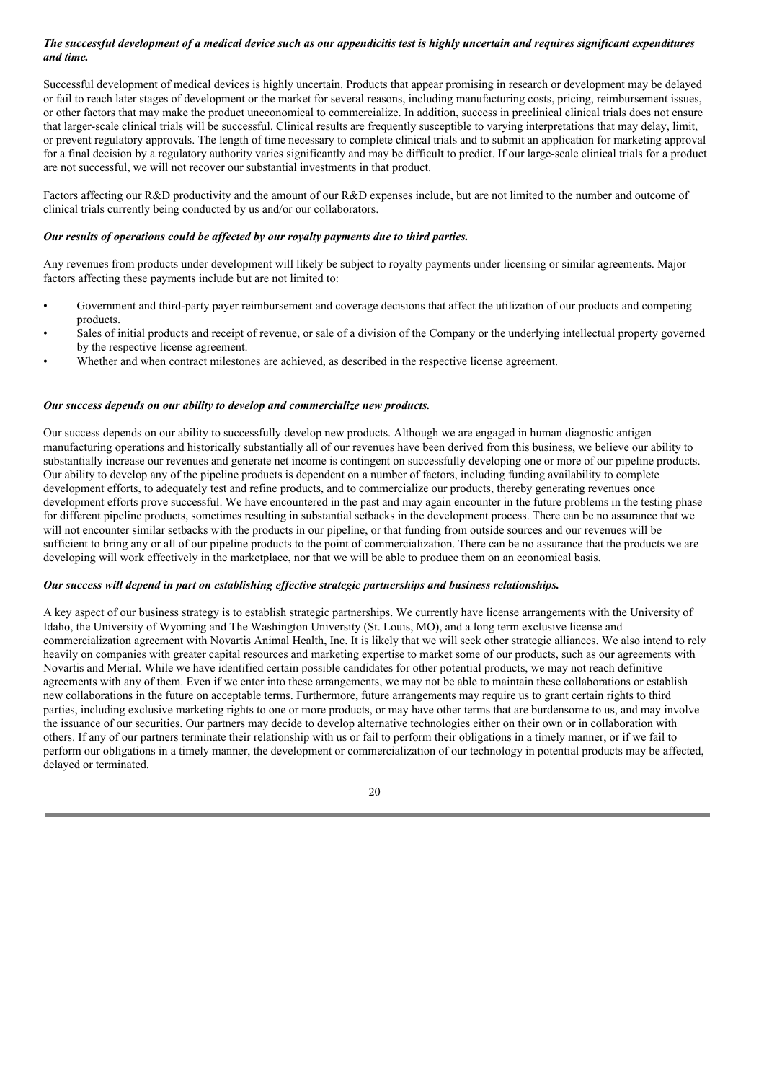# The successful development of a medical device such as our appendicitis test is highly uncertain and requires significant expenditures *and time.*

Successful development of medical devices is highly uncertain. Products that appear promising in research or development may be delayed or fail to reach later stages of development or the market for several reasons, including manufacturing costs, pricing, reimbursement issues, or other factors that may make the product uneconomical to commercialize. In addition, success in preclinical clinical trials does not ensure that larger-scale clinical trials will be successful. Clinical results are frequently susceptible to varying interpretations that may delay, limit, or prevent regulatory approvals. The length of time necessary to complete clinical trials and to submit an application for marketing approval for a final decision by a regulatory authority varies significantly and may be difficult to predict. If our large-scale clinical trials for a product are not successful, we will not recover our substantial investments in that product.

Factors affecting our R&D productivity and the amount of our R&D expenses include, but are not limited to the number and outcome of clinical trials currently being conducted by us and/or our collaborators.

# *Our results of operations could be af ected by our royalty payments due to third parties.*

Any revenues from products under development will likely be subject to royalty payments under licensing or similar agreements. Major factors affecting these payments include but are not limited to:

- Government and third-party payer reimbursement and coverage decisions that affect the utilization of our products and competing products.
- Sales of initial products and receipt of revenue, or sale of a division of the Company or the underlying intellectual property governed by the respective license agreement.
- Whether and when contract milestones are achieved, as described in the respective license agreement.

# *Our success depends on our ability to develop and commercialize new products.*

Our success depends on our ability to successfully develop new products. Although we are engaged in human diagnostic antigen manufacturing operations and historically substantially all of our revenues have been derived from this business, we believe our ability to substantially increase our revenues and generate net income is contingent on successfully developing one or more of our pipeline products. Our ability to develop any of the pipeline products is dependent on a number of factors, including funding availability to complete development efforts, to adequately test and refine products, and to commercialize our products, thereby generating revenues once development efforts prove successful. We have encountered in the past and may again encounter in the future problems in the testing phase for different pipeline products, sometimes resulting in substantial setbacks in the development process. There can be no assurance that we will not encounter similar setbacks with the products in our pipeline, or that funding from outside sources and our revenues will be sufficient to bring any or all of our pipeline products to the point of commercialization. There can be no assurance that the products we are developing will work effectively in the marketplace, nor that we will be able to produce them on an economical basis.

# *Our success will depend in part on establishing ef ective strategic partnerships and business relationships.*

A key aspect of our business strategy is to establish strategic partnerships. We currently have license arrangements with the University of Idaho, the University of Wyoming and The Washington University (St. Louis, MO), and a long term exclusive license and commercialization agreement with Novartis Animal Health, Inc. It is likely that we will seek other strategic alliances. We also intend to rely heavily on companies with greater capital resources and marketing expertise to market some of our products, such as our agreements with Novartis and Merial. While we have identified certain possible candidates for other potential products, we may not reach definitive agreements with any of them. Even if we enter into these arrangements, we may not be able to maintain these collaborations or establish new collaborations in the future on acceptable terms. Furthermore, future arrangements may require us to grant certain rights to third parties, including exclusive marketing rights to one or more products, or may have other terms that are burdensome to us, and may involve the issuance of our securities. Our partners may decide to develop alternative technologies either on their own or in collaboration with others. If any of our partners terminate their relationship with us or fail to perform their obligations in a timely manner, or if we fail to perform our obligations in a timely manner, the development or commercialization of our technology in potential products may be affected, delayed or terminated.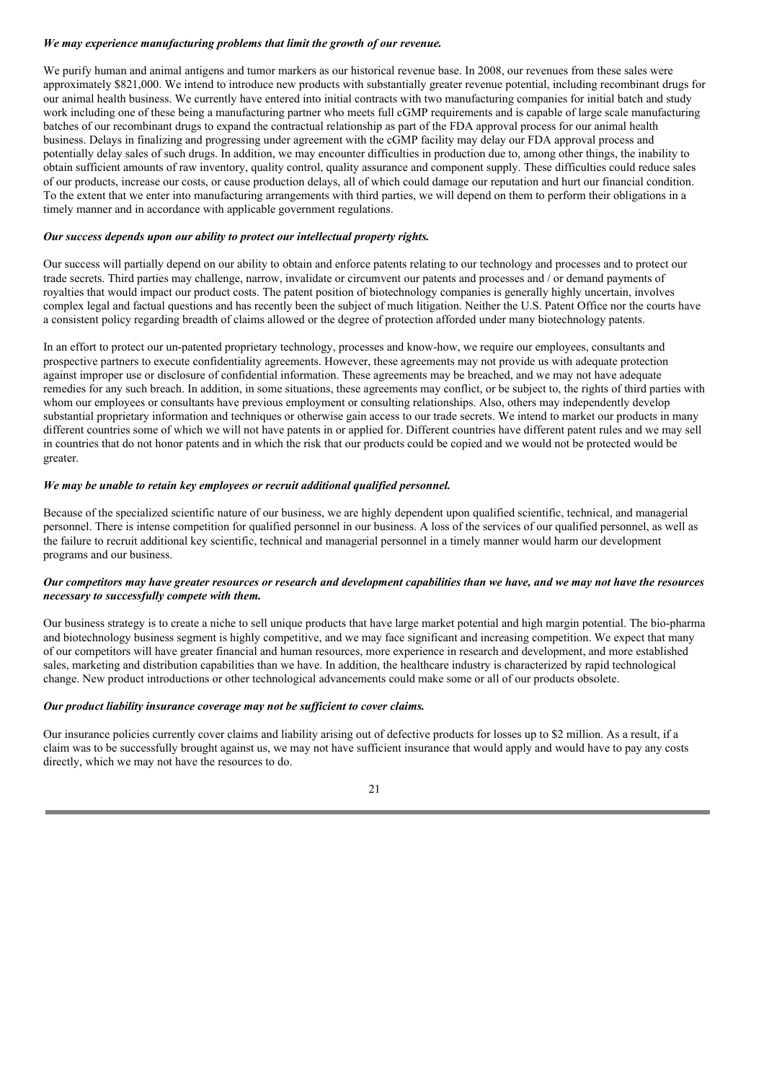# *We may experience manufacturing problems that limit the growth of our revenue.*

We purify human and animal antigens and tumor markers as our historical revenue base. In 2008, our revenues from these sales were approximately \$821,000. We intend to introduce new products with substantially greater revenue potential, including recombinant drugs for our animal health business. We currently have entered into initial contracts with two manufacturing companies for initial batch and study work including one of these being a manufacturing partner who meets full cGMP requirements and is capable of large scale manufacturing batches of our recombinant drugs to expand the contractual relationship as part of the FDA approval process for our animal health business. Delays in finalizing and progressing under agreement with the cGMP facility may delay our FDA approval process and potentially delay sales of such drugs. In addition, we may encounter difficulties in production due to, among other things, the inability to obtain sufficient amounts of raw inventory, quality control, quality assurance and component supply. These difficulties could reduce sales of our products, increase our costs, or cause production delays, all of which could damage our reputation and hurt our financial condition. To the extent that we enter into manufacturing arrangements with third parties, we will depend on them to perform their obligations in a timely manner and in accordance with applicable government regulations.

# *Our success depends upon our ability to protect our intellectual property rights.*

Our success will partially depend on our ability to obtain and enforce patents relating to our technology and processes and to protect our trade secrets. Third parties may challenge, narrow, invalidate or circumvent our patents and processes and / or demand payments of royalties that would impact our product costs. The patent position of biotechnology companies is generally highly uncertain, involves complex legal and factual questions and has recently been the subject of much litigation. Neither the U.S. Patent Office nor the courts have a consistent policy regarding breadth of claims allowed or the degree of protection afforded under many biotechnology patents.

In an effort to protect our un-patented proprietary technology, processes and know-how, we require our employees, consultants and prospective partners to execute confidentiality agreements. However, these agreements may not provide us with adequate protection against improper use or disclosure of confidential information. These agreements may be breached, and we may not have adequate remedies for any such breach. In addition, in some situations, these agreements may conflict, or be subject to, the rights of third parties with whom our employees or consultants have previous employment or consulting relationships. Also, others may independently develop substantial proprietary information and techniques or otherwise gain access to our trade secrets. We intend to market our products in many different countries some of which we will not have patents in or applied for. Different countries have different patent rules and we may sell in countries that do not honor patents and in which the risk that our products could be copied and we would not be protected would be greater.

# *We may be unable to retain key employees or recruit additional qualified personnel.*

Because of the specialized scientific nature of our business, we are highly dependent upon qualified scientific, technical, and managerial personnel. There is intense competition for qualified personnel in our business. A loss of the services of our qualified personnel, as well as the failure to recruit additional key scientific, technical and managerial personnel in a timely manner would harm our development programs and our business.

# Our competitors may have greater resources or research and development capabilities than we have, and we may not have the resources *necessary to successfully compete with them.*

Our business strategy is to create a niche to sell unique products that have large market potential and high margin potential. The bio-pharma and biotechnology business segment is highly competitive, and we may face significant and increasing competition. We expect that many of our competitors will have greater financial and human resources, more experience in research and development, and more established sales, marketing and distribution capabilities than we have. In addition, the healthcare industry is characterized by rapid technological change. New product introductions or other technological advancements could make some or all of our products obsolete.

# *Our product liability insurance coverage may not be suf icient to cover claims.*

Our insurance policies currently cover claims and liability arising out of defective products for losses up to \$2 million. As a result, if a claim was to be successfully brought against us, we may not have sufficient insurance that would apply and would have to pay any costs directly, which we may not have the resources to do.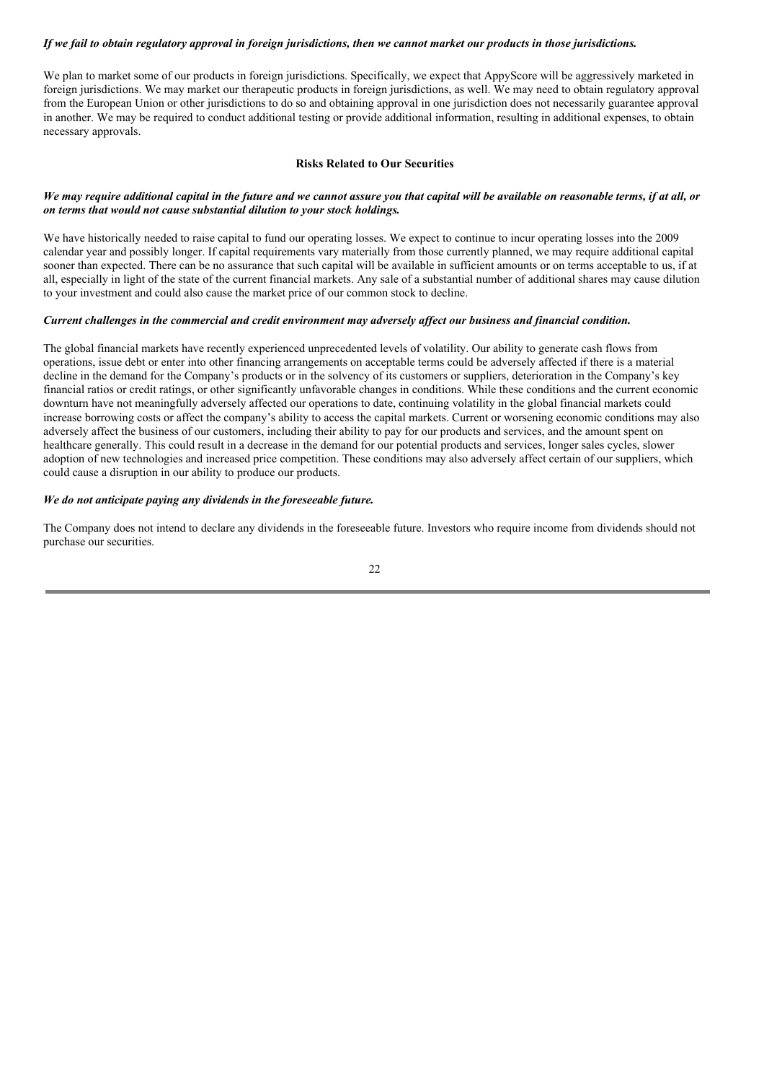# If we fail to obtain regulatory approval in foreign jurisdictions, then we cannot market our products in those jurisdictions.

We plan to market some of our products in foreign jurisdictions. Specifically, we expect that AppyScore will be aggressively marketed in foreign jurisdictions. We may market our therapeutic products in foreign jurisdictions, as well. We may need to obtain regulatory approval from the European Union or other jurisdictions to do so and obtaining approval in one jurisdiction does not necessarily guarantee approval in another. We may be required to conduct additional testing or provide additional information, resulting in additional expenses, to obtain necessary approvals.

# **Risks Related to Our Securities**

# We may require additional capital in the future and we cannot assure you that capital will be available on reasonable terms, if at all, or *on terms that would not cause substantial dilution to your stock holdings.*

We have historically needed to raise capital to fund our operating losses. We expect to continue to incur operating losses into the 2009 calendar year and possibly longer. If capital requirements vary materially from those currently planned, we may require additional capital sooner than expected. There can be no assurance that such capital will be available in sufficient amounts or on terms acceptable to us, if at all, especially in light of the state of the current financial markets. Any sale of a substantial number of additional shares may cause dilution to your investment and could also cause the market price of our common stock to decline.

# Current challenges in the commercial and credit environment may adversely affect our business and financial condition.

The global financial markets have recently experienced unprecedented levels of volatility. Our ability to generate cash flows from operations, issue debt or enter into other financing arrangements on acceptable terms could be adversely affected if there is a material decline in the demand for the Company's products or in the solvency of its customers or suppliers, deterioration in the Company's key financial ratios or credit ratings, or other significantly unfavorable changes in conditions. While these conditions and the current economic downturn have not meaningfully adversely affected our operations to date, continuing volatility in the global financial markets could increase borrowing costs or affect the company's ability to access the capital markets. Current or worsening economic conditions may also adversely affect the business of our customers, including their ability to pay for our products and services, and the amount spent on healthcare generally. This could result in a decrease in the demand for our potential products and services, longer sales cycles, slower adoption of new technologies and increased price competition. These conditions may also adversely affect certain of our suppliers, which could cause a disruption in our ability to produce our products.

# *We do not anticipate paying any dividends in the foreseeable future.*

The Company does not intend to declare any dividends in the foreseeable future. Investors who require income from dividends should not purchase our securities.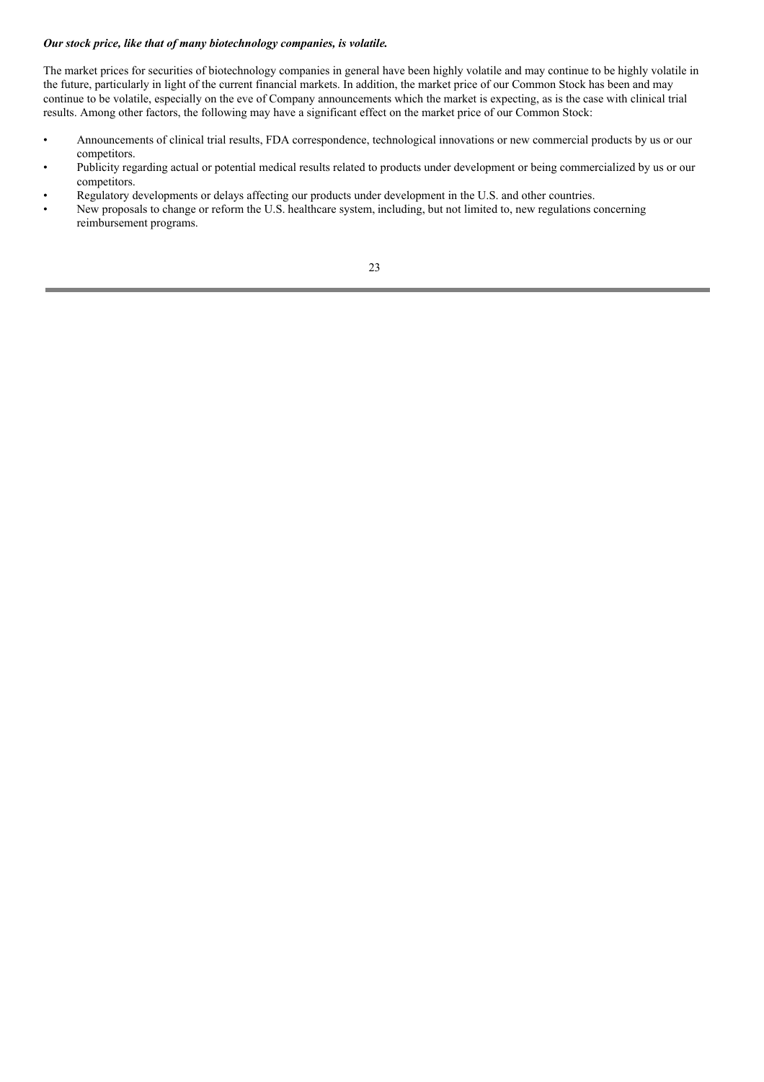# *Our stock price, like that of many biotechnology companies, is volatile.*

The market prices for securities of biotechnology companies in general have been highly volatile and may continue to be highly volatile in the future, particularly in light of the current financial markets. In addition, the market price of our Common Stock has been and may continue to be volatile, especially on the eve of Company announcements which the market is expecting, as is the case with clinical trial results. Among other factors, the following may have a significant effect on the market price of our Common Stock:

- Announcements of clinical trial results, FDA correspondence, technological innovations or new commercial products by us or our competitors.
- Publicity regarding actual or potential medical results related to products under development or being commercialized by us or our competitors.
- Regulatory developments or delays affecting our products under development in the U.S. and other countries.
- New proposals to change or reform the U.S. healthcare system, including, but not limited to, new regulations concerning reimbursement programs.

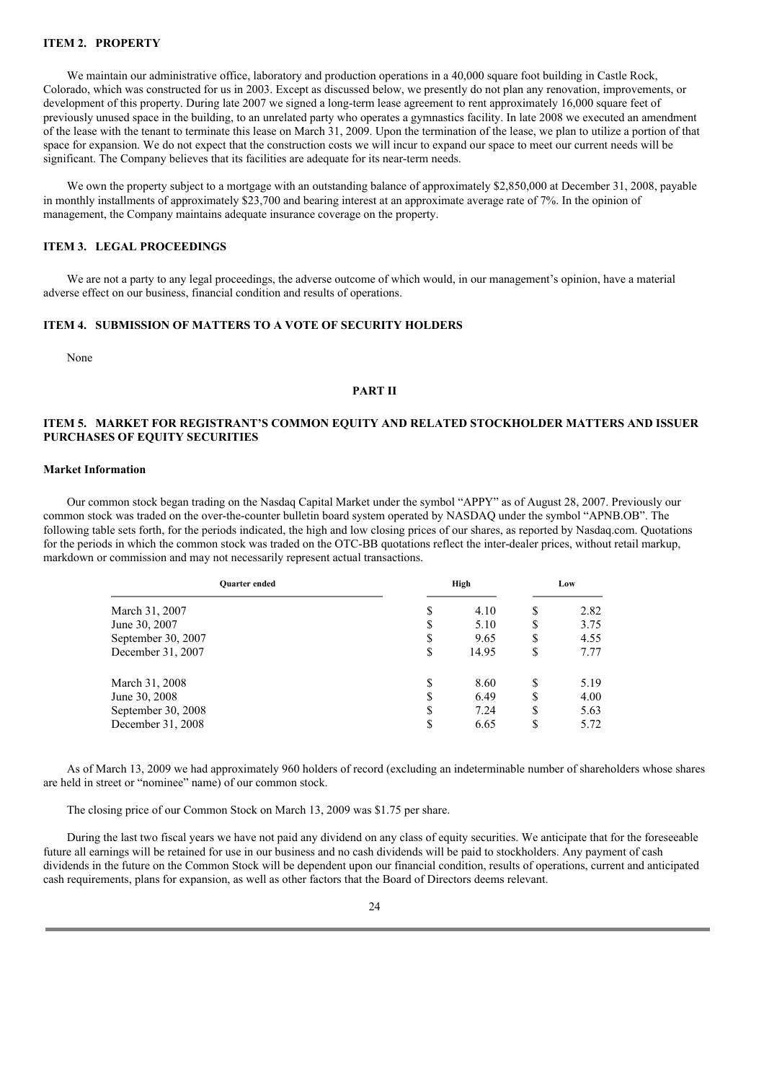# **ITEM 2. PROPERTY**

We maintain our administrative office, laboratory and production operations in a 40,000 square foot building in Castle Rock, Colorado, which was constructed for us in 2003. Except as discussed below, we presently do not plan any renovation, improvements, or development of this property. During late 2007 we signed a long-term lease agreement to rent approximately 16,000 square feet of previously unused space in the building, to an unrelated party who operates a gymnastics facility. In late 2008 we executed an amendment of the lease with the tenant to terminate this lease on March 31, 2009. Upon the termination of the lease, we plan to utilize a portion of that space for expansion. We do not expect that the construction costs we will incur to expand our space to meet our current needs will be significant. The Company believes that its facilities are adequate for its near-term needs.

We own the property subject to a mortgage with an outstanding balance of approximately \$2,850,000 at December 31, 2008, payable in monthly installments of approximately \$23,700 and bearing interest at an approximate average rate of 7%. In the opinion of management, the Company maintains adequate insurance coverage on the property.

# **ITEM 3. LEGAL PROCEEDINGS**

We are not a party to any legal proceedings, the adverse outcome of which would, in our management's opinion, have a material adverse effect on our business, financial condition and results of operations.

### **ITEM 4. SUBMISSION OF MATTERS TO A VOTE OF SECURITY HOLDERS**

None

# **PART II**

# **ITEM 5. MARKET FOR REGISTRANT'S COMMON EQUITY AND RELATED STOCKHOLDER MATTERS AND ISSUER PURCHASES OF EQUITY SECURITIES**

# **Market Information**

Our common stock began trading on the Nasdaq Capital Market under the symbol "APPY" as of August 28, 2007. Previously our common stock was traded on the over-the-counter bulletin board system operated by NASDAQ under the symbol "APNB.OB". The following table sets forth, for the periods indicated, the high and low closing prices of our shares, as reported by Nasdaq.com. Quotations for the periods in which the common stock was traded on the OTC-BB quotations reflect the inter-dealer prices, without retail markup, markdown or commission and may not necessarily represent actual transactions.

| High |       | Low |      |
|------|-------|-----|------|
| \$   | 4.10  | S   | 2.82 |
| \$   | 5.10  | \$  | 3.75 |
| \$   | 9.65  | \$  | 4.55 |
| \$   | 14.95 | \$  | 7.77 |
| \$   | 8.60  | S   | 5.19 |
| \$   | 6.49  | \$  | 4.00 |
| \$   | 7.24  | \$  | 5.63 |
| \$   | 6.65  | \$  | 5.72 |
|      |       |     |      |

As of March 13, 2009 we had approximately 960 holders of record (excluding an indeterminable number of shareholders whose shares are held in street or "nominee" name) of our common stock.

The closing price of our Common Stock on March 13, 2009 was \$1.75 per share.

During the last two fiscal years we have not paid any dividend on any class of equity securities. We anticipate that for the foreseeable future all earnings will be retained for use in our business and no cash dividends will be paid to stockholders. Any payment of cash dividends in the future on the Common Stock will be dependent upon our financial condition, results of operations, current and anticipated cash requirements, plans for expansion, as well as other factors that the Board of Directors deems relevant.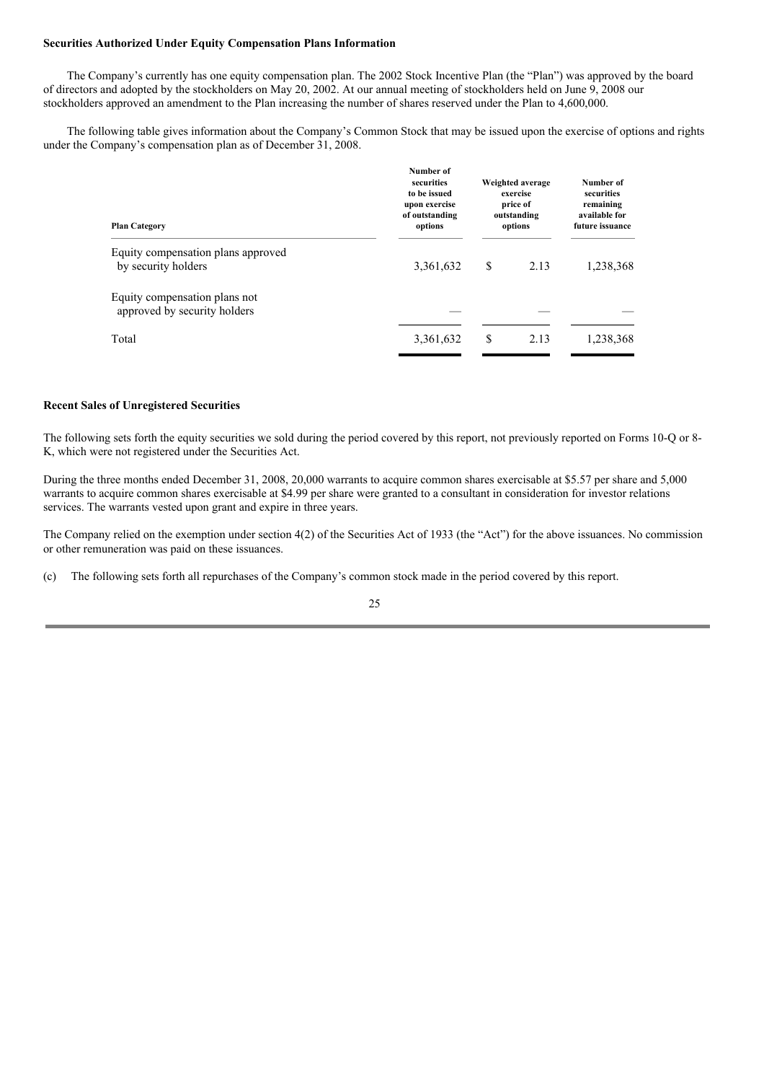# **Securities Authorized Under Equity Compensation Plans Information**

The Company's currently has one equity compensation plan. The 2002 Stock Incentive Plan (the "Plan") was approved by the board of directors and adopted by the stockholders on May 20, 2002. At our annual meeting of stockholders held on June 9, 2008 our stockholders approved an amendment to the Plan increasing the number of shares reserved under the Plan to 4,600,000.

The following table gives information about the Company's Common Stock that may be issued upon the exercise of options and rights under the Company's compensation plan as of December 31, 2008.

**Number of**

| <b>Plan Category</b>                                          | .<br>securities<br>to be issued<br>upon exercise<br>of outstanding<br>options | Weighted average<br>exercise<br>price of<br>outstanding<br>options |      | Number of<br>securities<br>remaining<br>available for<br>future issuance |  |
|---------------------------------------------------------------|-------------------------------------------------------------------------------|--------------------------------------------------------------------|------|--------------------------------------------------------------------------|--|
| Equity compensation plans approved<br>by security holders     | 3,361,632                                                                     | S                                                                  | 2.13 | 1,238,368                                                                |  |
| Equity compensation plans not<br>approved by security holders |                                                                               |                                                                    |      |                                                                          |  |
| Total                                                         | 3,361,632                                                                     | \$                                                                 | 2.13 | 1,238,368                                                                |  |
|                                                               |                                                                               |                                                                    |      |                                                                          |  |

# **Recent Sales of Unregistered Securities**

The following sets forth the equity securities we sold during the period covered by this report, not previously reported on Forms 10-Q or 8-K, which were not registered under the Securities Act.

During the three months ended December 31, 2008, 20,000 warrants to acquire common shares exercisable at \$5.57 per share and 5,000 warrants to acquire common shares exercisable at \$4.99 per share were granted to a consultant in consideration for investor relations services. The warrants vested upon grant and expire in three years.

The Company relied on the exemption under section 4(2) of the Securities Act of 1933 (the "Act") for the above issuances. No commission or other remuneration was paid on these issuances.

(c) The following sets forth all repurchases of the Company's common stock made in the period covered by this report.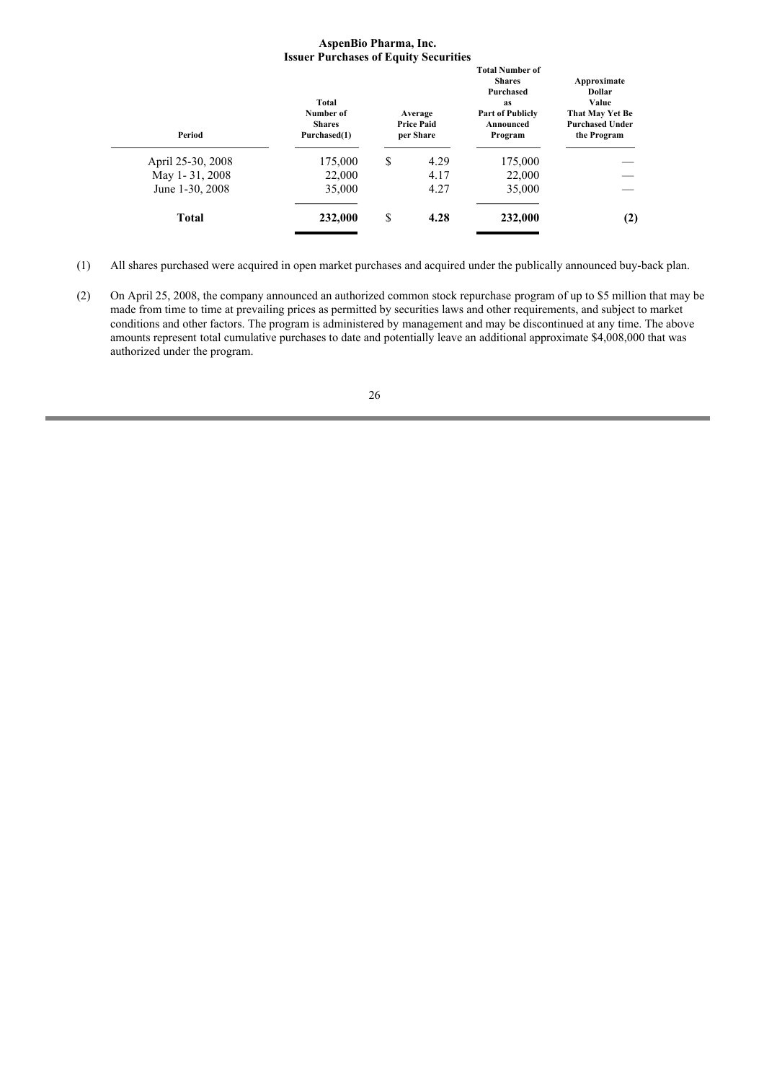# **AspenBio Pharma, Inc. Issuer Purchases of Equity Securities**

| Period            | Total<br>Number of<br><b>Shares</b><br>Purchased(1) | Average<br><b>Price Paid</b><br>per Share | <b>Total Number of</b><br><b>Shares</b><br>Purchased<br>as<br><b>Part of Publicly</b><br>Announced<br>Program | Approximate<br>Dollar<br>Value<br>That May Yet Be<br><b>Purchased Under</b><br>the Program |  |
|-------------------|-----------------------------------------------------|-------------------------------------------|---------------------------------------------------------------------------------------------------------------|--------------------------------------------------------------------------------------------|--|
| April 25-30, 2008 | 175,000                                             | \$<br>4.29                                | 175,000                                                                                                       |                                                                                            |  |
| May 1-31, 2008    | 22,000                                              | 4.17                                      | 22,000                                                                                                        |                                                                                            |  |
| June 1-30, 2008   | 35,000                                              | 4.27                                      | 35,000                                                                                                        |                                                                                            |  |
| <b>Total</b>      | 232,000                                             | \$<br>4.28                                | 232,000                                                                                                       | (2)                                                                                        |  |

(1) All shares purchased were acquired in open market purchases and acquired under the publically announced buy-back plan.

(2) On April 25, 2008, the company announced an authorized common stock repurchase program of up to \$5 million that may be made from time to time at prevailing prices as permitted by securities laws and other requirements, and subject to market conditions and other factors. The program is administered by management and may be discontinued at any time. The above amounts represent total cumulative purchases to date and potentially leave an additional approximate \$4,008,000 that was authorized under the program.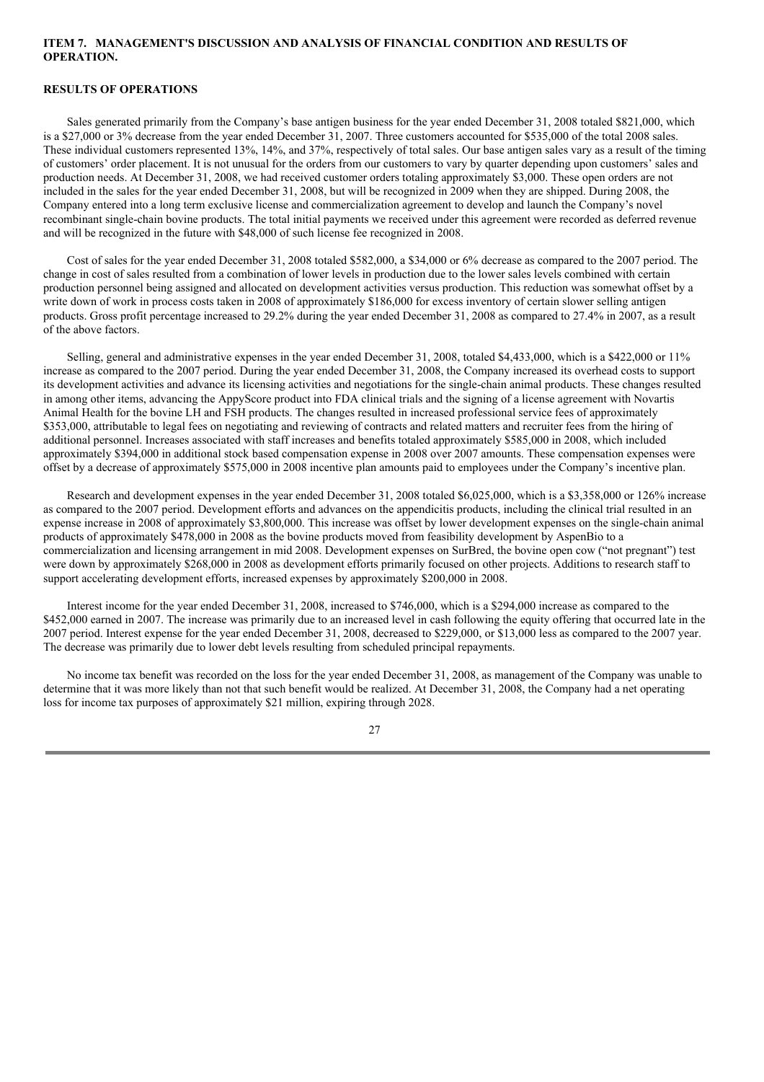# **ITEM 7. MANAGEMENT'S DISCUSSION AND ANALYSIS OF FINANCIAL CONDITION AND RESULTS OF OPERATION.**

# **RESULTS OF OPERATIONS**

Sales generated primarily from the Company's base antigen business for the year ended December 31, 2008 totaled \$821,000, which is a \$27,000 or 3% decrease from the year ended December 31, 2007. Three customers accounted for \$535,000 of the total 2008 sales. These individual customers represented 13%, 14%, and 37%, respectively of total sales. Our base antigen sales vary as a result of the timing of customers' order placement. It is not unusual for the orders from our customers to vary by quarter depending upon customers' sales and production needs. At December 31, 2008, we had received customer orders totaling approximately \$3,000. These open orders are not included in the sales for the year ended December 31, 2008, but will be recognized in 2009 when they are shipped. During 2008, the Company entered into a long term exclusive license and commercialization agreement to develop and launch the Company's novel recombinant single-chain bovine products. The total initial payments we received under this agreement were recorded as deferred revenue and will be recognized in the future with \$48,000 of such license fee recognized in 2008.

Cost of sales for the year ended December 31, 2008 totaled \$582,000, a \$34,000 or 6% decrease as compared to the 2007 period. The change in cost of sales resulted from a combination of lower levels in production due to the lower sales levels combined with certain production personnel being assigned and allocated on development activities versus production. This reduction was somewhat offset by a write down of work in process costs taken in 2008 of approximately \$186,000 for excess inventory of certain slower selling antigen products. Gross profit percentage increased to 29.2% during the year ended December 31, 2008 as compared to 27.4% in 2007, as a result of the above factors.

Selling, general and administrative expenses in the year ended December 31, 2008, totaled \$4,433,000, which is a \$422,000 or 11% increase as compared to the 2007 period. During the year ended December 31, 2008, the Company increased its overhead costs to support its development activities and advance its licensing activities and negotiations for the single-chain animal products. These changes resulted in among other items, advancing the AppyScore product into FDA clinical trials and the signing of a license agreement with Novartis Animal Health for the bovine LH and FSH products. The changes resulted in increased professional service fees of approximately \$353,000, attributable to legal fees on negotiating and reviewing of contracts and related matters and recruiter fees from the hiring of additional personnel. Increases associated with staff increases and benefits totaled approximately \$585,000 in 2008, which included approximately \$394,000 in additional stock based compensation expense in 2008 over 2007 amounts. These compensation expenses were offset by a decrease of approximately \$575,000 in 2008 incentive plan amounts paid to employees under the Company's incentive plan.

Research and development expenses in the year ended December 31, 2008 totaled \$6,025,000, which is a \$3,358,000 or 126% increase as compared to the 2007 period. Development efforts and advances on the appendicitis products, including the clinical trial resulted in an expense increase in 2008 of approximately \$3,800,000. This increase was offset by lower development expenses on the single-chain animal products of approximately \$478,000 in 2008 as the bovine products moved from feasibility development by AspenBio to a commercialization and licensing arrangement in mid 2008. Development expenses on SurBred, the bovine open cow ("not pregnant") test were down by approximately \$268,000 in 2008 as development efforts primarily focused on other projects. Additions to research staff to support accelerating development efforts, increased expenses by approximately \$200,000 in 2008.

Interest income for the year ended December 31, 2008, increased to \$746,000, which is a \$294,000 increase as compared to the \$452,000 earned in 2007. The increase was primarily due to an increased level in cash following the equity offering that occurred late in the 2007 period. Interest expense for the year ended December 31, 2008, decreased to \$229,000, or \$13,000 less as compared to the 2007 year. The decrease was primarily due to lower debt levels resulting from scheduled principal repayments.

No income tax benefit was recorded on the loss for the year ended December 31, 2008, as management of the Company was unable to determine that it was more likely than not that such benefit would be realized. At December 31, 2008, the Company had a net operating loss for income tax purposes of approximately \$21 million, expiring through 2028.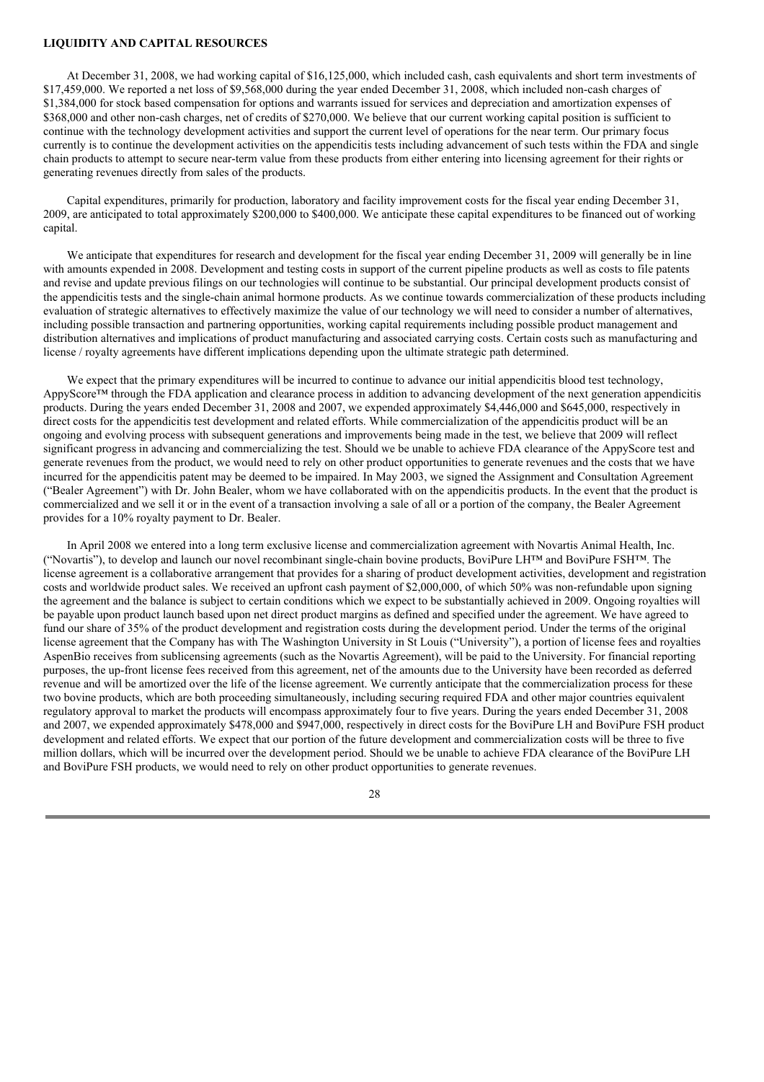# **LIQUIDITY AND CAPITAL RESOURCES**

At December 31, 2008, we had working capital of \$16,125,000, which included cash, cash equivalents and short term investments of \$17,459,000. We reported a net loss of \$9,568,000 during the year ended December 31, 2008, which included non-cash charges of \$1,384,000 for stock based compensation for options and warrants issued for services and depreciation and amortization expenses of \$368,000 and other non-cash charges, net of credits of \$270,000. We believe that our current working capital position is sufficient to continue with the technology development activities and support the current level of operations for the near term. Our primary focus currently is to continue the development activities on the appendicitis tests including advancement of such tests within the FDA and single chain products to attempt to secure near-term value from these products from either entering into licensing agreement for their rights or generating revenues directly from sales of the products.

Capital expenditures, primarily for production, laboratory and facility improvement costs for the fiscal year ending December 31, 2009, are anticipated to total approximately \$200,000 to \$400,000. We anticipate these capital expenditures to be financed out of working capital.

We anticipate that expenditures for research and development for the fiscal year ending December 31, 2009 will generally be in line with amounts expended in 2008. Development and testing costs in support of the current pipeline products as well as costs to file patents and revise and update previous filings on our technologies will continue to be substantial. Our principal development products consist of the appendicitis tests and the single-chain animal hormone products. As we continue towards commercialization of these products including evaluation of strategic alternatives to effectively maximize the value of our technology we will need to consider a number of alternatives, including possible transaction and partnering opportunities, working capital requirements including possible product management and distribution alternatives and implications of product manufacturing and associated carrying costs. Certain costs such as manufacturing and license / royalty agreements have different implications depending upon the ultimate strategic path determined.

We expect that the primary expenditures will be incurred to continue to advance our initial appendicitis blood test technology, AppyScore™ through the FDA application and clearance process in addition to advancing development of the next generation appendicitis products. During the years ended December 31, 2008 and 2007, we expended approximately \$4,446,000 and \$645,000, respectively in direct costs for the appendicitis test development and related efforts. While commercialization of the appendicitis product will be an ongoing and evolving process with subsequent generations and improvements being made in the test, we believe that 2009 will reflect significant progress in advancing and commercializing the test. Should we be unable to achieve FDA clearance of the AppyScore test and generate revenues from the product, we would need to rely on other product opportunities to generate revenues and the costs that we have incurred for the appendicitis patent may be deemed to be impaired. In May 2003, we signed the Assignment and Consultation Agreement ("Bealer Agreement") with Dr. John Bealer, whom we have collaborated with on the appendicitis products. In the event that the product is commercialized and we sell it or in the event of a transaction involving a sale of all or a portion of the company, the Bealer Agreement provides for a 10% royalty payment to Dr. Bealer.

In April 2008 we entered into a long term exclusive license and commercialization agreement with Novartis Animal Health, Inc. ("Novartis"), to develop and launch our novel recombinant single-chain bovine products. BoviPure LH<sup>TM</sup> and BoviPure FSH<sup>TM</sup>. The license agreement is a collaborative arrangement that provides for a sharing of product development activities, development and registration costs and worldwide product sales. We received an upfront cash payment of \$2,000,000, of which 50% was non-refundable upon signing the agreement and the balance is subject to certain conditions which we expect to be substantially achieved in 2009. Ongoing royalties will be payable upon product launch based upon net direct product margins as defined and specified under the agreement. We have agreed to fund our share of 35% of the product development and registration costs during the development period. Under the terms of the original license agreement that the Company has with The Washington University in St Louis ("University"), a portion of license fees and royalties AspenBio receives from sublicensing agreements (such as the Novartis Agreement), will be paid to the University. For financial reporting purposes, the up-front license fees received from this agreement, net of the amounts due to the University have been recorded as deferred revenue and will be amortized over the life of the license agreement. We currently anticipate that the commercialization process for these two bovine products, which are both proceeding simultaneously, including securing required FDA and other major countries equivalent regulatory approval to market the products will encompass approximately four to five years. During the years ended December 31, 2008 and 2007, we expended approximately \$478,000 and \$947,000, respectively in direct costs for the BoviPure LH and BoviPure FSH product development and related efforts. We expect that our portion of the future development and commercialization costs will be three to five million dollars, which will be incurred over the development period. Should we be unable to achieve FDA clearance of the BoviPure LH and BoviPure FSH products, we would need to rely on other product opportunities to generate revenues.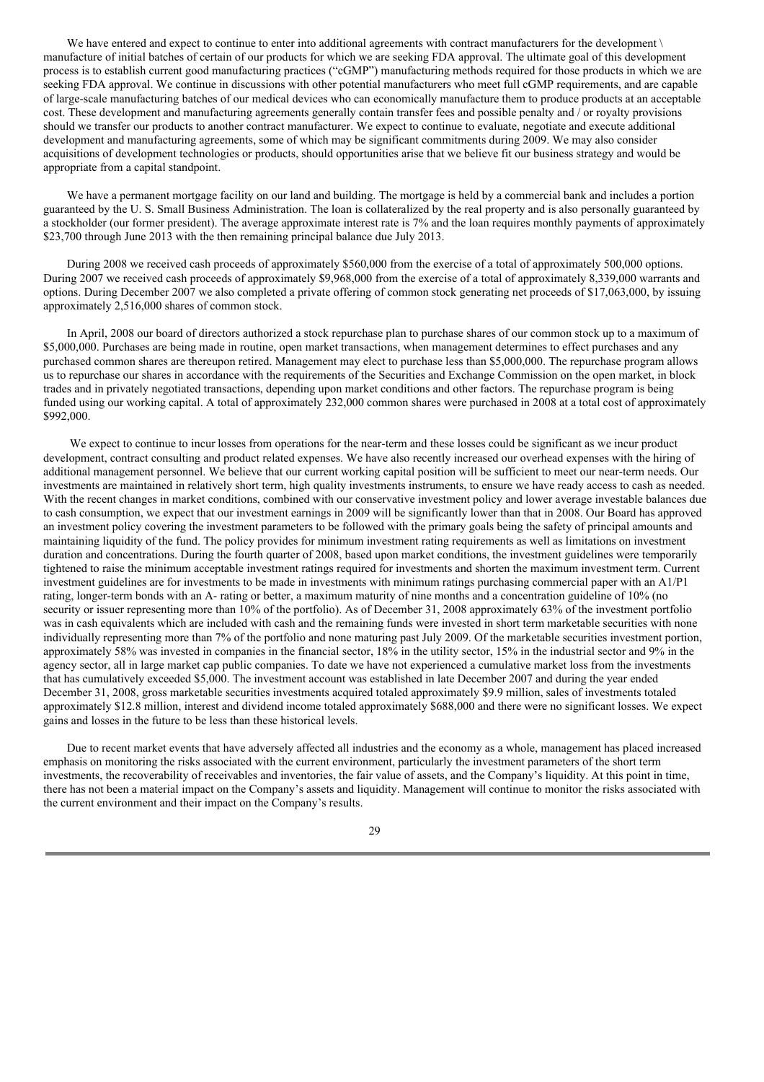We have entered and expect to continue to enter into additional agreements with contract manufacturers for the development \ manufacture of initial batches of certain of our products for which we are seeking FDA approval. The ultimate goal of this development process is to establish current good manufacturing practices ("cGMP") manufacturing methods required for those products in which we are seeking FDA approval. We continue in discussions with other potential manufacturers who meet full cGMP requirements, and are capable of large-scale manufacturing batches of our medical devices who can economically manufacture them to produce products at an acceptable cost. These development and manufacturing agreements generally contain transfer fees and possible penalty and / or royalty provisions should we transfer our products to another contract manufacturer. We expect to continue to evaluate, negotiate and execute additional development and manufacturing agreements, some of which may be significant commitments during 2009. We may also consider acquisitions of development technologies or products, should opportunities arise that we believe fit our business strategy and would be appropriate from a capital standpoint.

We have a permanent mortgage facility on our land and building. The mortgage is held by a commercial bank and includes a portion guaranteed by the U. S. Small Business Administration. The loan is collateralized by the real property and is also personally guaranteed by a stockholder (our former president). The average approximate interest rate is 7% and the loan requires monthly payments of approximately \$23,700 through June 2013 with the then remaining principal balance due July 2013.

During 2008 we received cash proceeds of approximately \$560,000 from the exercise of a total of approximately 500,000 options. During 2007 we received cash proceeds of approximately \$9,968,000 from the exercise of a total of approximately 8,339,000 warrants and options. During December 2007 we also completed a private offering of common stock generating net proceeds of \$17,063,000, by issuing approximately 2,516,000 shares of common stock.

In April, 2008 our board of directors authorized a stock repurchase plan to purchase shares of our common stock up to a maximum of \$5,000,000. Purchases are being made in routine, open market transactions, when management determines to effect purchases and any purchased common shares are thereupon retired. Management may elect to purchase less than \$5,000,000. The repurchase program allows us to repurchase our shares in accordance with the requirements of the Securities and Exchange Commission on the open market, in block trades and in privately negotiated transactions, depending upon market conditions and other factors. The repurchase program is being funded using our working capital. A total of approximately 232,000 common shares were purchased in 2008 at a total cost of approximately \$992,000.

We expect to continue to incur losses from operations for the near-term and these losses could be significant as we incur product development, contract consulting and product related expenses. We have also recently increased our overhead expenses with the hiring of additional management personnel. We believe that our current working capital position will be sufficient to meet our near-term needs. Our investments are maintained in relatively short term, high quality investments instruments, to ensure we have ready access to cash as needed. With the recent changes in market conditions, combined with our conservative investment policy and lower average investable balances due to cash consumption, we expect that our investment earnings in 2009 will be significantly lower than that in 2008. Our Board has approved an investment policy covering the investment parameters to be followed with the primary goals being the safety of principal amounts and maintaining liquidity of the fund. The policy provides for minimum investment rating requirements as well as limitations on investment duration and concentrations. During the fourth quarter of 2008, based upon market conditions, the investment guidelines were temporarily tightened to raise the minimum acceptable investment ratings required for investments and shorten the maximum investment term. Current investment guidelines are for investments to be made in investments with minimum ratings purchasing commercial paper with an A1/P1 rating, longer-term bonds with an A- rating or better, a maximum maturity of nine months and a concentration guideline of 10% (no security or issuer representing more than 10% of the portfolio). As of December 31, 2008 approximately 63% of the investment portfolio was in cash equivalents which are included with cash and the remaining funds were invested in short term marketable securities with none individually representing more than 7% of the portfolio and none maturing past July 2009. Of the marketable securities investment portion, approximately 58% was invested in companies in the financial sector, 18% in the utility sector, 15% in the industrial sector and 9% in the agency sector, all in large market cap public companies. To date we have not experienced a cumulative market loss from the investments that has cumulatively exceeded \$5,000. The investment account was established in late December 2007 and during the year ended December 31, 2008, gross marketable securities investments acquired totaled approximately \$9.9 million, sales of investments totaled approximately \$12.8 million, interest and dividend income totaled approximately \$688,000 and there were no significant losses. We expect gains and losses in the future to be less than these historical levels.

Due to recent market events that have adversely affected all industries and the economy as a whole, management has placed increased emphasis on monitoring the risks associated with the current environment, particularly the investment parameters of the short term investments, the recoverability of receivables and inventories, the fair value of assets, and the Company's liquidity. At this point in time, there has not been a material impact on the Company's assets and liquidity. Management will continue to monitor the risks associated with the current environment and their impact on the Company's results.

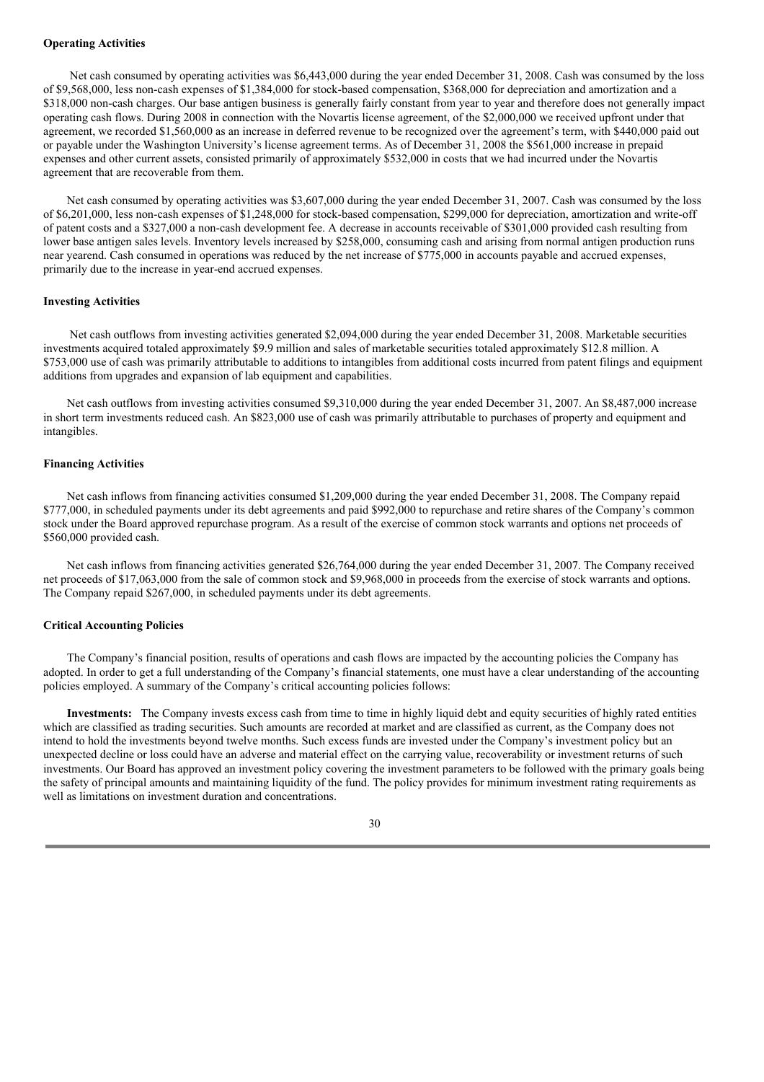#### **Operating Activities**

Net cash consumed by operating activities was \$6,443,000 during the year ended December 31, 2008. Cash was consumed by the loss of \$9,568,000, less non-cash expenses of \$1,384,000 for stock-based compensation, \$368,000 for depreciation and amortization and a \$318,000 non-cash charges. Our base antigen business is generally fairly constant from year to year and therefore does not generally impact operating cash flows. During 2008 in connection with the Novartis license agreement, of the \$2,000,000 we received upfront under that agreement, we recorded \$1,560,000 as an increase in deferred revenue to be recognized over the agreement's term, with \$440,000 paid out or payable under the Washington University's license agreement terms. As of December 31, 2008 the \$561,000 increase in prepaid expenses and other current assets, consisted primarily of approximately \$532,000 in costs that we had incurred under the Novartis agreement that are recoverable from them.

Net cash consumed by operating activities was \$3,607,000 during the year ended December 31, 2007. Cash was consumed by the loss of \$6,201,000, less non-cash expenses of \$1,248,000 for stock-based compensation, \$299,000 for depreciation, amortization and write-off of patent costs and a \$327,000 a non-cash development fee. A decrease in accounts receivable of \$301,000 provided cash resulting from lower base antigen sales levels. Inventory levels increased by \$258,000, consuming cash and arising from normal antigen production runs near yearend. Cash consumed in operations was reduced by the net increase of \$775,000 in accounts payable and accrued expenses, primarily due to the increase in year-end accrued expenses.

# **Investing Activities**

Net cash outflows from investing activities generated \$2,094,000 during the year ended December 31, 2008. Marketable securities investments acquired totaled approximately \$9.9 million and sales of marketable securities totaled approximately \$12.8 million. A \$753,000 use of cash was primarily attributable to additions to intangibles from additional costs incurred from patent filings and equipment additions from upgrades and expansion of lab equipment and capabilities.

Net cash outflows from investing activities consumed \$9,310,000 during the year ended December 31, 2007. An \$8,487,000 increase in short term investments reduced cash. An \$823,000 use of cash was primarily attributable to purchases of property and equipment and intangibles.

### **Financing Activities**

Net cash inflows from financing activities consumed \$1,209,000 during the year ended December 31, 2008. The Company repaid \$777,000, in scheduled payments under its debt agreements and paid \$992,000 to repurchase and retire shares of the Company's common stock under the Board approved repurchase program. As a result of the exercise of common stock warrants and options net proceeds of \$560,000 provided cash.

Net cash inflows from financing activities generated \$26,764,000 during the year ended December 31, 2007. The Company received net proceeds of \$17,063,000 from the sale of common stock and \$9,968,000 in proceeds from the exercise of stock warrants and options. The Company repaid \$267,000, in scheduled payments under its debt agreements.

# **Critical Accounting Policies**

The Company's financial position, results of operations and cash flows are impacted by the accounting policies the Company has adopted. In order to get a full understanding of the Company's financial statements, one must have a clear understanding of the accounting policies employed. A summary of the Company's critical accounting policies follows:

**Investments:** The Company invests excess cash from time to time in highly liquid debt and equity securities of highly rated entities which are classified as trading securities. Such amounts are recorded at market and are classified as current, as the Company does not intend to hold the investments beyond twelve months. Such excess funds are invested under the Company's investment policy but an unexpected decline or loss could have an adverse and material effect on the carrying value, recoverability or investment returns of such investments. Our Board has approved an investment policy covering the investment parameters to be followed with the primary goals being the safety of principal amounts and maintaining liquidity of the fund. The policy provides for minimum investment rating requirements as well as limitations on investment duration and concentrations.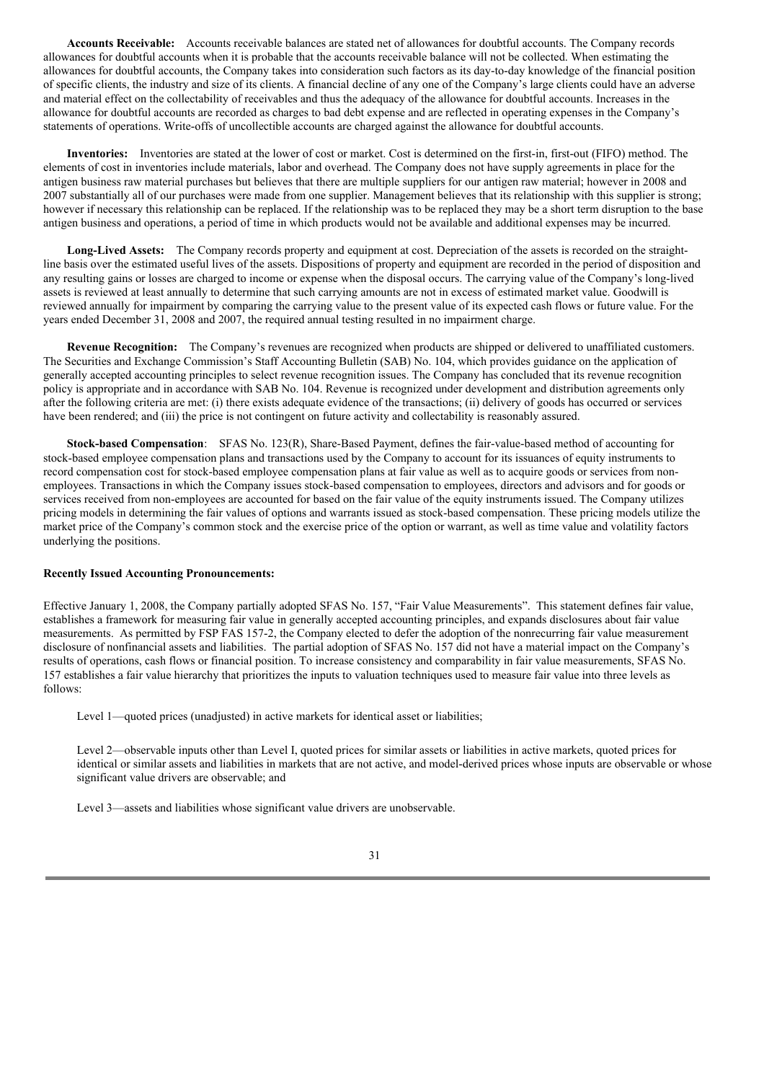**Accounts Receivable:** Accounts receivable balances are stated net of allowances for doubtful accounts. The Company records allowances for doubtful accounts when it is probable that the accounts receivable balance will not be collected. When estimating the allowances for doubtful accounts, the Company takes into consideration such factors as its day-to-day knowledge of the financial position of specific clients, the industry and size of its clients. A financial decline of any one of the Company's large clients could have an adverse and material effect on the collectability of receivables and thus the adequacy of the allowance for doubtful accounts. Increases in the allowance for doubtful accounts are recorded as charges to bad debt expense and are reflected in operating expenses in the Company's statements of operations. Write-offs of uncollectible accounts are charged against the allowance for doubtful accounts.

**Inventories:** Inventories are stated at the lower of cost or market. Cost is determined on the first-in, first-out (FIFO) method. The elements of cost in inventories include materials, labor and overhead. The Company does not have supply agreements in place for the antigen business raw material purchases but believes that there are multiple suppliers for our antigen raw material; however in 2008 and 2007 substantially all of our purchases were made from one supplier. Management believes that its relationship with this supplier is strong; however if necessary this relationship can be replaced. If the relationship was to be replaced they may be a short term disruption to the base antigen business and operations, a period of time in which products would not be available and additional expenses may be incurred.

**Long-Lived Assets:** The Company records property and equipment at cost. Depreciation of the assets is recorded on the straightline basis over the estimated useful lives of the assets. Dispositions of property and equipment are recorded in the period of disposition and any resulting gains or losses are charged to income or expense when the disposal occurs. The carrying value of the Company's long-lived assets is reviewed at least annually to determine that such carrying amounts are not in excess of estimated market value. Goodwill is reviewed annually for impairment by comparing the carrying value to the present value of its expected cash flows or future value. For the years ended December 31, 2008 and 2007, the required annual testing resulted in no impairment charge.

**Revenue Recognition:** The Company's revenues are recognized when products are shipped or delivered to unaffiliated customers. The Securities and Exchange Commission's Staff Accounting Bulletin (SAB) No. 104, which provides guidance on the application of generally accepted accounting principles to select revenue recognition issues. The Company has concluded that its revenue recognition policy is appropriate and in accordance with SAB No. 104. Revenue is recognized under development and distribution agreements only after the following criteria are met: (i) there exists adequate evidence of the transactions; (ii) delivery of goods has occurred or services have been rendered; and (iii) the price is not contingent on future activity and collectability is reasonably assured.

**Stock-based Compensation**: SFAS No. 123(R), Share-Based Payment, defines the fair-value-based method of accounting for stock-based employee compensation plans and transactions used by the Company to account for its issuances of equity instruments to record compensation cost for stock-based employee compensation plans at fair value as well as to acquire goods or services from nonemployees. Transactions in which the Company issues stock-based compensation to employees, directors and advisors and for goods or services received from non-employees are accounted for based on the fair value of the equity instruments issued. The Company utilizes pricing models in determining the fair values of options and warrants issued as stock-based compensation. These pricing models utilize the market price of the Company's common stock and the exercise price of the option or warrant, as well as time value and volatility factors underlying the positions.

### **Recently Issued Accounting Pronouncements:**

Effective January 1, 2008, the Company partially adopted SFAS No. 157, "Fair Value Measurements". This statement defines fair value, establishes a framework for measuring fair value in generally accepted accounting principles, and expands disclosures about fair value measurements. As permitted by FSP FAS 157-2, the Company elected to defer the adoption of the nonrecurring fair value measurement disclosure of nonfinancial assets and liabilities. The partial adoption of SFAS No. 157 did not have a material impact on the Company's results of operations, cash flows or financial position. To increase consistency and comparability in fair value measurements, SFAS No. 157 establishes a fair value hierarchy that prioritizes the inputs to valuation techniques used to measure fair value into three levels as follows:

Level 1—quoted prices (unadjusted) in active markets for identical asset or liabilities;

Level 2—observable inputs other than Level I, quoted prices for similar assets or liabilities in active markets, quoted prices for identical or similar assets and liabilities in markets that are not active, and model-derived prices whose inputs are observable or whose significant value drivers are observable; and

Level 3—assets and liabilities whose significant value drivers are unobservable.

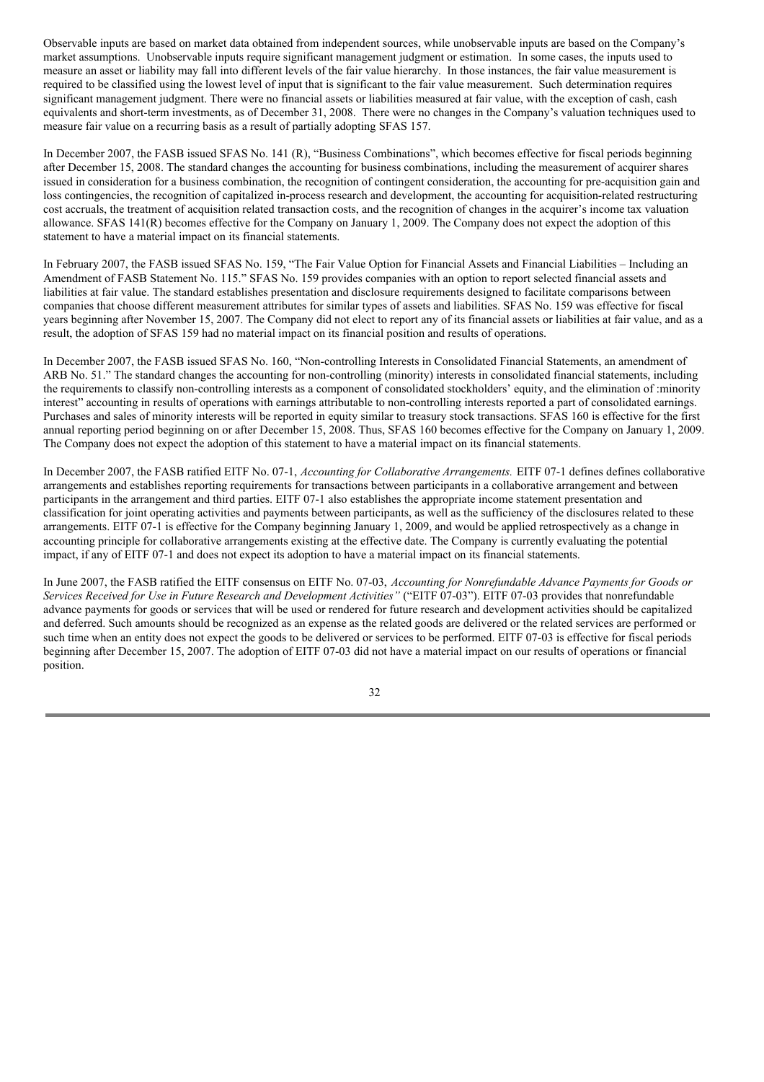Observable inputs are based on market data obtained from independent sources, while unobservable inputs are based on the Company's market assumptions. Unobservable inputs require significant management judgment or estimation. In some cases, the inputs used to measure an asset or liability may fall into different levels of the fair value hierarchy. In those instances, the fair value measurement is required to be classified using the lowest level of input that is significant to the fair value measurement. Such determination requires significant management judgment. There were no financial assets or liabilities measured at fair value, with the exception of cash, cash equivalents and short-term investments, as of December 31, 2008. There were no changes in the Company's valuation techniques used to measure fair value on a recurring basis as a result of partially adopting SFAS 157.

In December 2007, the FASB issued SFAS No. 141 (R), "Business Combinations", which becomes effective for fiscal periods beginning after December 15, 2008. The standard changes the accounting for business combinations, including the measurement of acquirer shares issued in consideration for a business combination, the recognition of contingent consideration, the accounting for pre-acquisition gain and loss contingencies, the recognition of capitalized in-process research and development, the accounting for acquisition-related restructuring cost accruals, the treatment of acquisition related transaction costs, and the recognition of changes in the acquirer's income tax valuation allowance. SFAS 141(R) becomes effective for the Company on January 1, 2009. The Company does not expect the adoption of this statement to have a material impact on its financial statements.

In February 2007, the FASB issued SFAS No. 159, "The Fair Value Option for Financial Assets and Financial Liabilities – Including an Amendment of FASB Statement No. 115." SFAS No. 159 provides companies with an option to report selected financial assets and liabilities at fair value. The standard establishes presentation and disclosure requirements designed to facilitate comparisons between companies that choose different measurement attributes for similar types of assets and liabilities. SFAS No. 159 was effective for fiscal years beginning after November 15, 2007. The Company did not elect to report any of its financial assets or liabilities at fair value, and as a result, the adoption of SFAS 159 had no material impact on its financial position and results of operations.

In December 2007, the FASB issued SFAS No. 160, "Non-controlling Interests in Consolidated Financial Statements, an amendment of ARB No. 51." The standard changes the accounting for non-controlling (minority) interests in consolidated financial statements, including the requirements to classify non-controlling interests as a component of consolidated stockholders' equity, and the elimination of :minority interest" accounting in results of operations with earnings attributable to non-controlling interests reported a part of consolidated earnings. Purchases and sales of minority interests will be reported in equity similar to treasury stock transactions. SFAS 160 is effective for the first annual reporting period beginning on or after December 15, 2008. Thus, SFAS 160 becomes effective for the Company on January 1, 2009. The Company does not expect the adoption of this statement to have a material impact on its financial statements.

In December 2007, the FASB ratified EITF No. 07-1, *Accounting for Collaborative Arrangements.* EITF 07-1 defines defines collaborative arrangements and establishes reporting requirements for transactions between participants in a collaborative arrangement and between participants in the arrangement and third parties. EITF 07-1 also establishes the appropriate income statement presentation and classification for joint operating activities and payments between participants, as well as the sufficiency of the disclosures related to these arrangements. EITF 07-1 is effective for the Company beginning January 1, 2009, and would be applied retrospectively as a change in accounting principle for collaborative arrangements existing at the effective date. The Company is currently evaluating the potential impact, if any of EITF 07-1 and does not expect its adoption to have a material impact on its financial statements.

In June 2007, the FASB ratified the EITF consensus on EITF No. 07-03, *Accounting for Nonrefundable Advance Payments for Goods or Services Received for Use in Future Research and Development Activities"* ("EITF 07-03"). EITF 07-03 provides that nonrefundable advance payments for goods or services that will be used or rendered for future research and development activities should be capitalized and deferred. Such amounts should be recognized as an expense as the related goods are delivered or the related services are performed or such time when an entity does not expect the goods to be delivered or services to be performed. EITF 07-03 is effective for fiscal periods beginning after December 15, 2007. The adoption of EITF 07-03 did not have a material impact on our results of operations or financial position.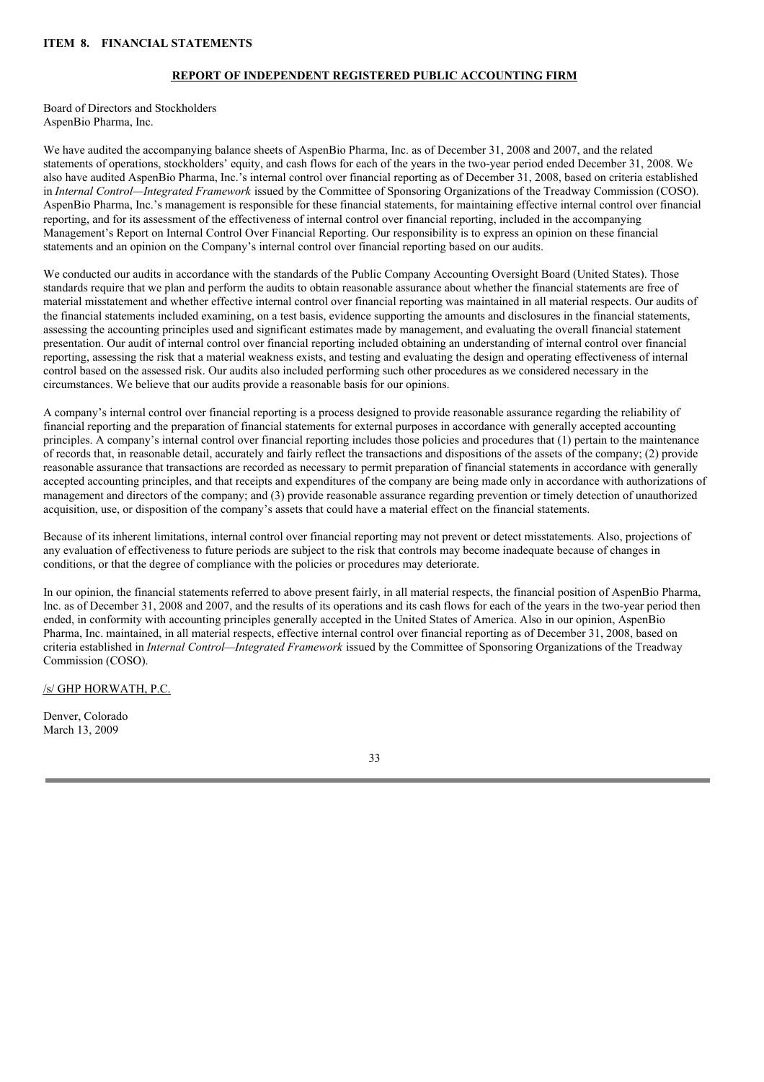# **REPORT OF INDEPENDENT REGISTERED PUBLIC ACCOUNTING FIRM**

Board of Directors and Stockholders AspenBio Pharma, Inc.

We have audited the accompanying balance sheets of AspenBio Pharma, Inc. as of December 31, 2008 and 2007, and the related statements of operations, stockholders' equity, and cash flows for each of the years in the two-year period ended December 31, 2008. We also have audited AspenBio Pharma, Inc.'s internal control over financial reporting as of December 31, 2008, based on criteria established in *Internal Control—Integrated Framework* issued by the Committee of Sponsoring Organizations of the Treadway Commission (COSO). AspenBio Pharma, Inc.'s management is responsible for these financial statements, for maintaining effective internal control over financial reporting, and for its assessment of the effectiveness of internal control over financial reporting, included in the accompanying Management's Report on Internal Control Over Financial Reporting. Our responsibility is to express an opinion on these financial statements and an opinion on the Company's internal control over financial reporting based on our audits.

We conducted our audits in accordance with the standards of the Public Company Accounting Oversight Board (United States). Those standards require that we plan and perform the audits to obtain reasonable assurance about whether the financial statements are free of material misstatement and whether effective internal control over financial reporting was maintained in all material respects. Our audits of the financial statements included examining, on a test basis, evidence supporting the amounts and disclosures in the financial statements, assessing the accounting principles used and significant estimates made by management, and evaluating the overall financial statement presentation. Our audit of internal control over financial reporting included obtaining an understanding of internal control over financial reporting, assessing the risk that a material weakness exists, and testing and evaluating the design and operating effectiveness of internal control based on the assessed risk. Our audits also included performing such other procedures as we considered necessary in the circumstances. We believe that our audits provide a reasonable basis for our opinions.

A company's internal control over financial reporting is a process designed to provide reasonable assurance regarding the reliability of financial reporting and the preparation of financial statements for external purposes in accordance with generally accepted accounting principles. A company's internal control over financial reporting includes those policies and procedures that (1) pertain to the maintenance of records that, in reasonable detail, accurately and fairly reflect the transactions and dispositions of the assets of the company; (2) provide reasonable assurance that transactions are recorded as necessary to permit preparation of financial statements in accordance with generally accepted accounting principles, and that receipts and expenditures of the company are being made only in accordance with authorizations of management and directors of the company; and (3) provide reasonable assurance regarding prevention or timely detection of unauthorized acquisition, use, or disposition of the company's assets that could have a material effect on the financial statements.

Because of its inherent limitations, internal control over financial reporting may not prevent or detect misstatements. Also, projections of any evaluation of effectiveness to future periods are subject to the risk that controls may become inadequate because of changes in conditions, or that the degree of compliance with the policies or procedures may deteriorate.

In our opinion, the financial statements referred to above present fairly, in all material respects, the financial position of AspenBio Pharma, Inc. as of December 31, 2008 and 2007, and the results of its operations and its cash flows for each of the years in the two-year period then ended, in conformity with accounting principles generally accepted in the United States of America. Also in our opinion, AspenBio Pharma, Inc. maintained, in all material respects, effective internal control over financial reporting as of December 31, 2008, based on criteria established in *Internal Control—Integrated Framework* issued by the Committee of Sponsoring Organizations of the Treadway Commission (COSO).

# /s/ GHP HORWATH, P.C.

Denver, Colorado March 13, 2009

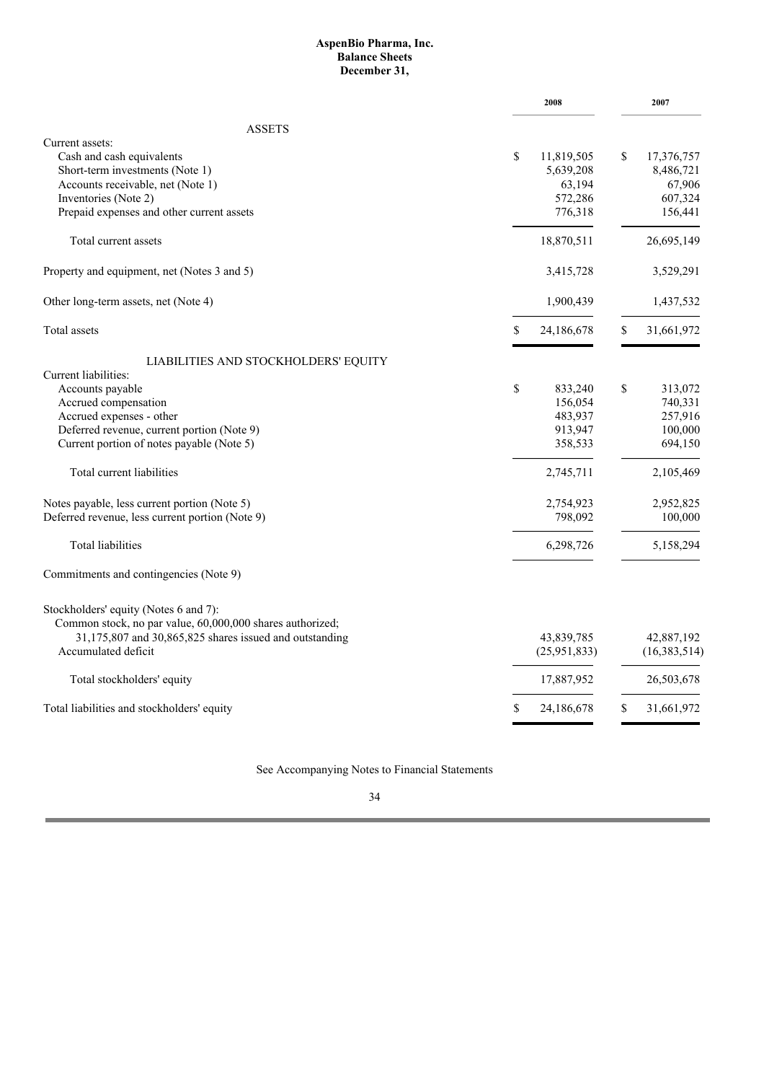# **AspenBio Pharma, Inc. Balance Sheets December 31,**

|                                                           | 2008 |              | 2007 |                |
|-----------------------------------------------------------|------|--------------|------|----------------|
| <b>ASSETS</b>                                             |      |              |      |                |
| Current assets:                                           |      |              |      |                |
| Cash and cash equivalents                                 | \$   | 11,819,505   | \$   | 17,376,757     |
| Short-term investments (Note 1)                           |      | 5,639,208    |      | 8,486,721      |
| Accounts receivable, net (Note 1)                         |      | 63,194       |      | 67,906         |
| Inventories (Note 2)                                      |      | 572,286      |      | 607,324        |
| Prepaid expenses and other current assets                 |      | 776,318      |      | 156,441        |
| Total current assets                                      |      | 18,870,511   |      | 26,695,149     |
| Property and equipment, net (Notes 3 and 5)               |      | 3,415,728    |      | 3,529,291      |
| Other long-term assets, net (Note 4)                      |      | 1,900,439    |      | 1,437,532      |
| Total assets                                              | \$   | 24,186,678   | \$   | 31,661,972     |
| LIABILITIES AND STOCKHOLDERS' EQUITY                      |      |              |      |                |
| Current liabilities:                                      |      |              |      |                |
| Accounts payable                                          | \$   | 833,240      | \$   | 313,072        |
| Accrued compensation                                      |      | 156,054      |      | 740,331        |
| Accrued expenses - other                                  |      | 483,937      |      | 257,916        |
| Deferred revenue, current portion (Note 9)                |      | 913,947      |      | 100,000        |
| Current portion of notes payable (Note 5)                 |      | 358,533      |      | 694,150        |
| Total current liabilities                                 |      | 2,745,711    |      | 2,105,469      |
| Notes payable, less current portion (Note 5)              |      | 2,754,923    |      | 2,952,825      |
| Deferred revenue, less current portion (Note 9)           |      | 798,092      |      | 100,000        |
| Total liabilities                                         |      | 6,298,726    |      | 5,158,294      |
| Commitments and contingencies (Note 9)                    |      |              |      |                |
| Stockholders' equity (Notes 6 and 7):                     |      |              |      |                |
| Common stock, no par value, 60,000,000 shares authorized; |      |              |      |                |
| 31,175,807 and 30,865,825 shares issued and outstanding   |      | 43,839,785   |      | 42,887,192     |
| Accumulated deficit                                       |      | (25,951,833) |      | (16, 383, 514) |
| Total stockholders' equity                                |      | 17,887,952   |      | 26,503,678     |
| Total liabilities and stockholders' equity                | \$   | 24,186,678   | \$   | 31,661,972     |

See Accompanying Notes to Financial Statements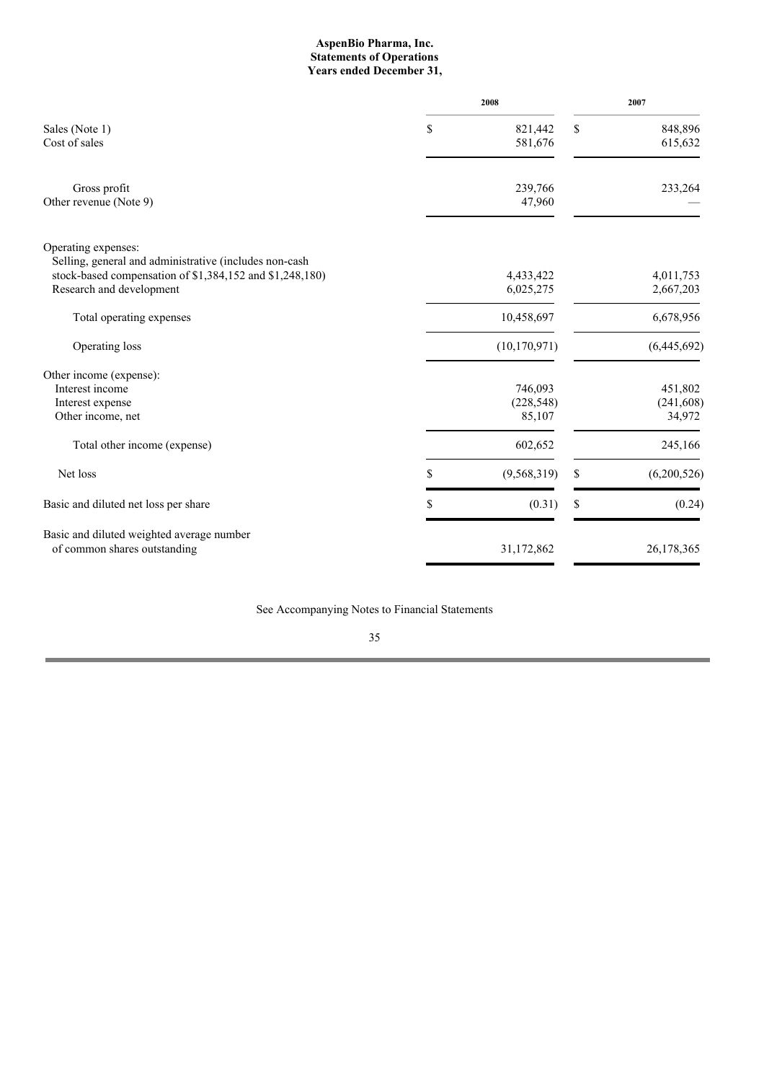# **AspenBio Pharma, Inc. Statements of Operations Years ended December 31,**

|                                                                                                                                                                       | 2008                            | 2007 |                                 |  |
|-----------------------------------------------------------------------------------------------------------------------------------------------------------------------|---------------------------------|------|---------------------------------|--|
| Sales (Note 1)<br>Cost of sales                                                                                                                                       | \$<br>821,442<br>581,676        | \$   | 848,896<br>615,632              |  |
| Gross profit<br>Other revenue (Note 9)                                                                                                                                | 239,766<br>47,960               |      | 233,264                         |  |
| Operating expenses:<br>Selling, general and administrative (includes non-cash<br>stock-based compensation of \$1,384,152 and \$1,248,180)<br>Research and development | 4,433,422<br>6,025,275          |      | 4,011,753<br>2,667,203          |  |
| Total operating expenses                                                                                                                                              | 10,458,697                      |      | 6,678,956                       |  |
| Operating loss                                                                                                                                                        | (10, 170, 971)                  |      | (6,445,692)                     |  |
| Other income (expense):<br>Interest income<br>Interest expense<br>Other income, net                                                                                   | 746,093<br>(228, 548)<br>85,107 |      | 451,802<br>(241, 608)<br>34,972 |  |
| Total other income (expense)                                                                                                                                          | 602,652                         |      | 245,166                         |  |
| Net loss                                                                                                                                                              | \$<br>(9,568,319)               | \$   | (6,200,526)                     |  |
| Basic and diluted net loss per share                                                                                                                                  | (0.31)                          | \$   | (0.24)                          |  |
| Basic and diluted weighted average number<br>of common shares outstanding                                                                                             | 31,172,862                      |      | 26,178,365                      |  |

See Accompanying Notes to Financial Statements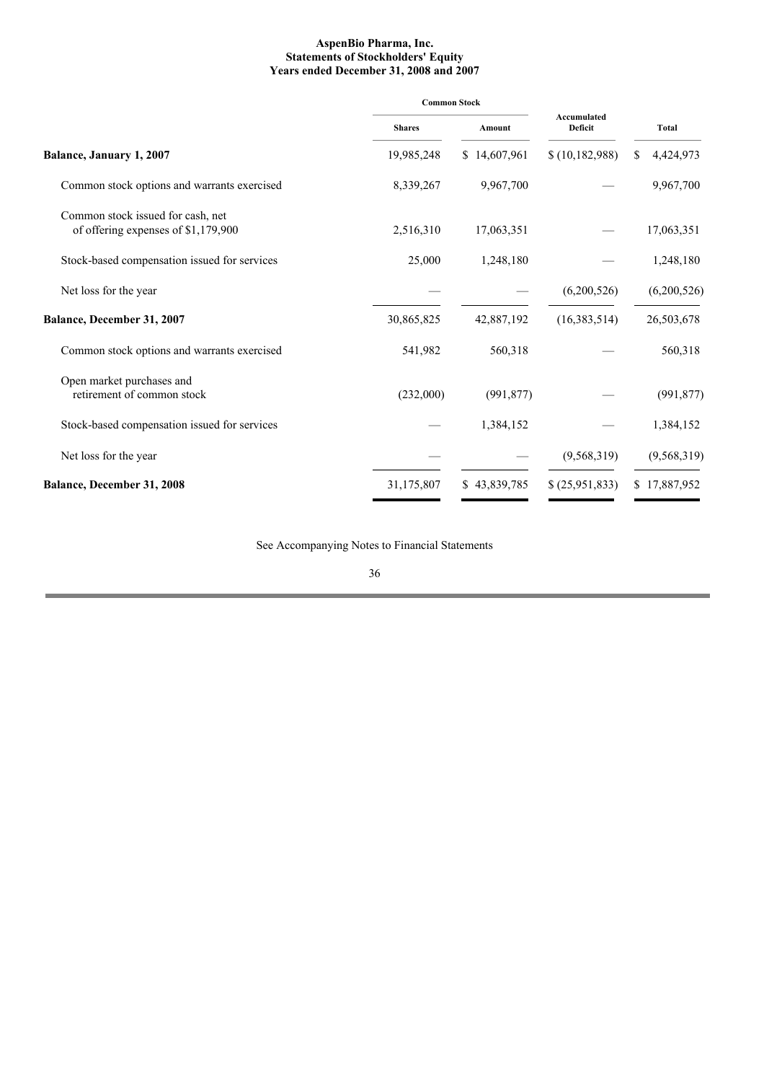## **AspenBio Pharma, Inc. Statements of Stockholders' Equity Years ended December 31, 2008 and 2007**

| <b>Shares</b> | Amount       | Accumulated<br>Deficit | <b>Total</b>     |  |
|---------------|--------------|------------------------|------------------|--|
| 19,985,248    | \$14,607,961 | \$(10,182,988)         | 4,424,973<br>S.  |  |
| 8,339,267     | 9,967,700    |                        | 9,967,700        |  |
| 2,516,310     | 17,063,351   |                        | 17,063,351       |  |
| 25,000        | 1,248,180    |                        | 1,248,180        |  |
|               |              | (6,200,526)            | (6,200,526)      |  |
| 30,865,825    | 42,887,192   | (16, 383, 514)         | 26,503,678       |  |
| 541,982       | 560,318      |                        | 560,318          |  |
| (232,000)     | (991, 877)   |                        | (991, 877)       |  |
|               | 1,384,152    |                        | 1,384,152        |  |
|               |              | (9,568,319)            | (9, 568, 319)    |  |
| 31,175,807    | \$43,839,785 | \$ (25,951,833)        | 17,887,952<br>S. |  |
|               |              | <b>Common Stock</b>    |                  |  |

See Accompanying Notes to Financial Statements

# 36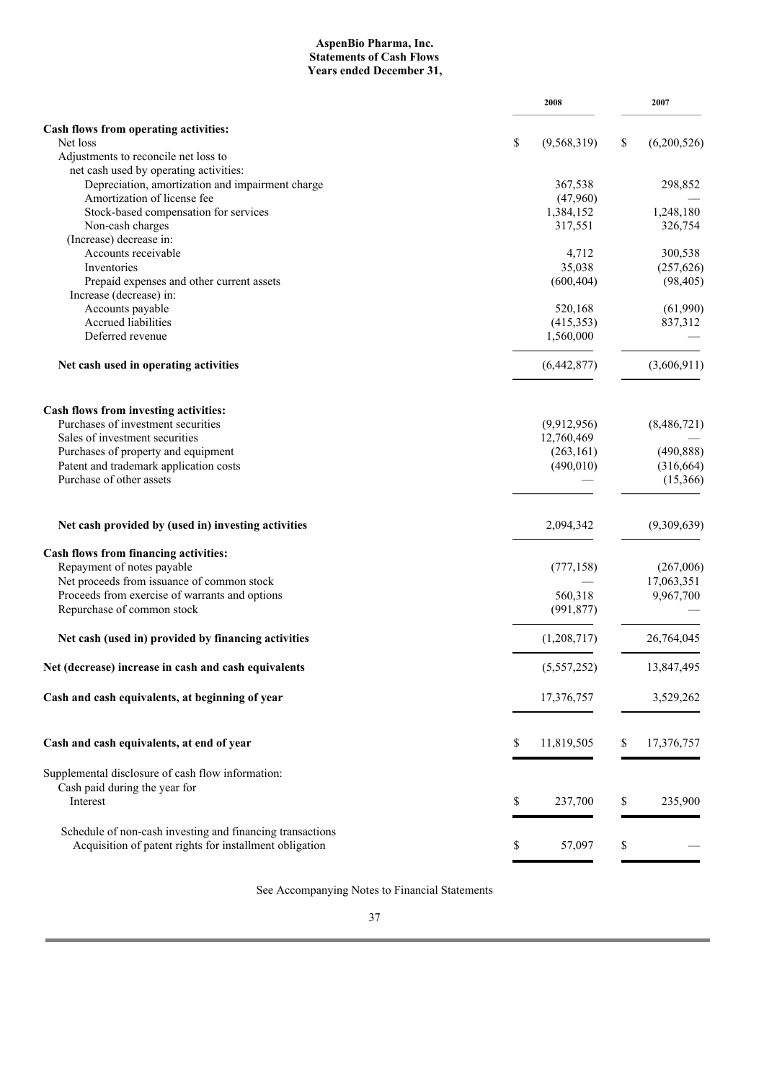# **AspenBio Pharma, Inc. Statements of Cash Flows Years ended December 31,**

|                                                           |    | 2008        | 2007 |             |
|-----------------------------------------------------------|----|-------------|------|-------------|
| Cash flows from operating activities:                     |    |             |      |             |
| Net loss                                                  | \$ | (9,568,319) | \$   | (6,200,526) |
| Adjustments to reconcile net loss to                      |    |             |      |             |
| net cash used by operating activities:                    |    |             |      |             |
| Depreciation, amortization and impairment charge          |    | 367,538     |      | 298,852     |
| Amortization of license fee                               |    | (47,960)    |      |             |
| Stock-based compensation for services                     |    | 1,384,152   |      | 1,248,180   |
| Non-cash charges                                          |    | 317,551     |      | 326,754     |
| (Increase) decrease in:                                   |    |             |      |             |
| Accounts receivable                                       |    | 4,712       |      | 300,538     |
| Inventories                                               |    | 35,038      |      | (257, 626)  |
| Prepaid expenses and other current assets                 |    | (600, 404)  |      | (98, 405)   |
| Increase (decrease) in:                                   |    |             |      |             |
| Accounts payable                                          |    | 520,168     |      | (61,990)    |
| Accrued liabilities                                       |    | (415, 353)  |      | 837,312     |
| Deferred revenue                                          |    | 1,560,000   |      |             |
| Net cash used in operating activities                     |    | (6,442,877) |      | (3,606,911) |
| Cash flows from investing activities:                     |    |             |      |             |
| Purchases of investment securities                        |    | (9,912,956) |      | (8,486,721) |
| Sales of investment securities                            |    | 12,760,469  |      |             |
| Purchases of property and equipment                       |    | (263, 161)  |      | (490, 888)  |
| Patent and trademark application costs                    |    | (490,010)   |      | (316, 664)  |
| Purchase of other assets                                  |    |             |      | (15,366)    |
| Net cash provided by (used in) investing activities       |    | 2,094,342   |      | (9,309,639) |
| Cash flows from financing activities:                     |    |             |      |             |
| Repayment of notes payable                                |    | (777, 158)  |      | (267,006)   |
| Net proceeds from issuance of common stock                |    |             |      | 17,063,351  |
| Proceeds from exercise of warrants and options            |    | 560,318     |      | 9,967,700   |
| Repurchase of common stock                                |    | (991, 877)  |      |             |
|                                                           |    |             |      |             |
| Net cash (used in) provided by financing activities       |    | (1,208,717) |      | 26,764,045  |
| Net (decrease) increase in cash and cash equivalents      |    | (5,557,252) |      | 13,847,495  |
| Cash and cash equivalents, at beginning of year           |    | 17,376,757  |      | 3,529,262   |
| Cash and cash equivalents, at end of year                 | \$ | 11,819,505  | \$   | 17,376,757  |
| Supplemental disclosure of cash flow information:         |    |             |      |             |
| Cash paid during the year for                             |    |             |      |             |
| Interest                                                  | \$ | 237,700     | \$   | 235,900     |
|                                                           |    |             |      |             |
| Schedule of non-cash investing and financing transactions |    |             |      |             |
| Acquisition of patent rights for installment obligation   | \$ | 57,097      | \$   |             |
|                                                           |    |             |      |             |

See Accompanying Notes to Financial Statements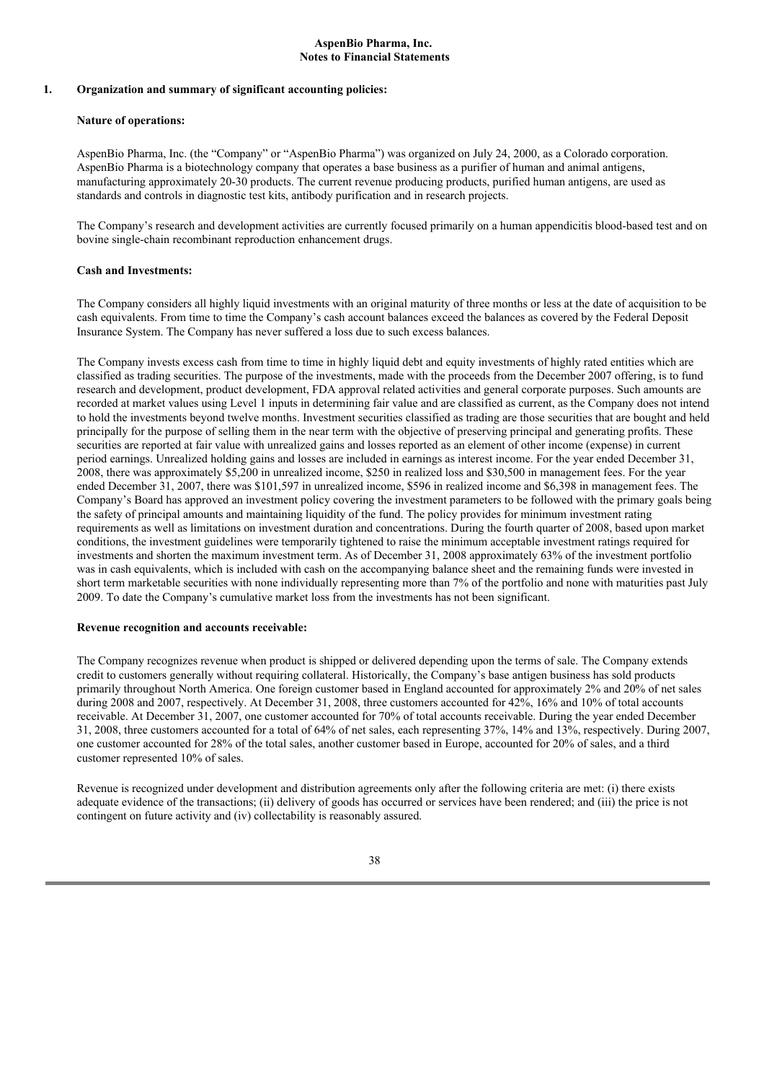## **AspenBio Pharma, Inc. Notes to Financial Statements**

## **1. Organization and summary of significant accounting policies:**

# **Nature of operations:**

AspenBio Pharma, Inc. (the "Company" or "AspenBio Pharma") was organized on July 24, 2000, as a Colorado corporation. AspenBio Pharma is a biotechnology company that operates a base business as a purifier of human and animal antigens, manufacturing approximately 20-30 products. The current revenue producing products, purified human antigens, are used as standards and controls in diagnostic test kits, antibody purification and in research projects.

The Company's research and development activities are currently focused primarily on a human appendicitis blood-based test and on bovine single-chain recombinant reproduction enhancement drugs.

# **Cash and Investments:**

The Company considers all highly liquid investments with an original maturity of three months or less at the date of acquisition to be cash equivalents. From time to time the Company's cash account balances exceed the balances as covered by the Federal Deposit Insurance System. The Company has never suffered a loss due to such excess balances.

The Company invests excess cash from time to time in highly liquid debt and equity investments of highly rated entities which are classified as trading securities. The purpose of the investments, made with the proceeds from the December 2007 offering, is to fund research and development, product development, FDA approval related activities and general corporate purposes. Such amounts are recorded at market values using Level 1 inputs in determining fair value and are classified as current, as the Company does not intend to hold the investments beyond twelve months. Investment securities classified as trading are those securities that are bought and held principally for the purpose of selling them in the near term with the objective of preserving principal and generating profits. These securities are reported at fair value with unrealized gains and losses reported as an element of other income (expense) in current period earnings. Unrealized holding gains and losses are included in earnings as interest income. For the year ended December 31, 2008, there was approximately \$5,200 in unrealized income, \$250 in realized loss and \$30,500 in management fees. For the year ended December 31, 2007, there was \$101,597 in unrealized income, \$596 in realized income and \$6,398 in management fees. The Company's Board has approved an investment policy covering the investment parameters to be followed with the primary goals being the safety of principal amounts and maintaining liquidity of the fund. The policy provides for minimum investment rating requirements as well as limitations on investment duration and concentrations. During the fourth quarter of 2008, based upon market conditions, the investment guidelines were temporarily tightened to raise the minimum acceptable investment ratings required for investments and shorten the maximum investment term. As of December 31, 2008 approximately 63% of the investment portfolio was in cash equivalents, which is included with cash on the accompanying balance sheet and the remaining funds were invested in short term marketable securities with none individually representing more than 7% of the portfolio and none with maturities past July 2009. To date the Company's cumulative market loss from the investments has not been significant.

# **Revenue recognition and accounts receivable:**

The Company recognizes revenue when product is shipped or delivered depending upon the terms of sale. The Company extends credit to customers generally without requiring collateral. Historically, the Company's base antigen business has sold products primarily throughout North America. One foreign customer based in England accounted for approximately 2% and 20% of net sales during 2008 and 2007, respectively. At December 31, 2008, three customers accounted for 42%, 16% and 10% of total accounts receivable. At December 31, 2007, one customer accounted for 70% of total accounts receivable. During the year ended December 31, 2008, three customers accounted for a total of 64% of net sales, each representing 37%, 14% and 13%, respectively. During 2007, one customer accounted for 28% of the total sales, another customer based in Europe, accounted for 20% of sales, and a third customer represented 10% of sales.

Revenue is recognized under development and distribution agreements only after the following criteria are met: (i) there exists adequate evidence of the transactions; (ii) delivery of goods has occurred or services have been rendered; and (iii) the price is not contingent on future activity and (iv) collectability is reasonably assured.

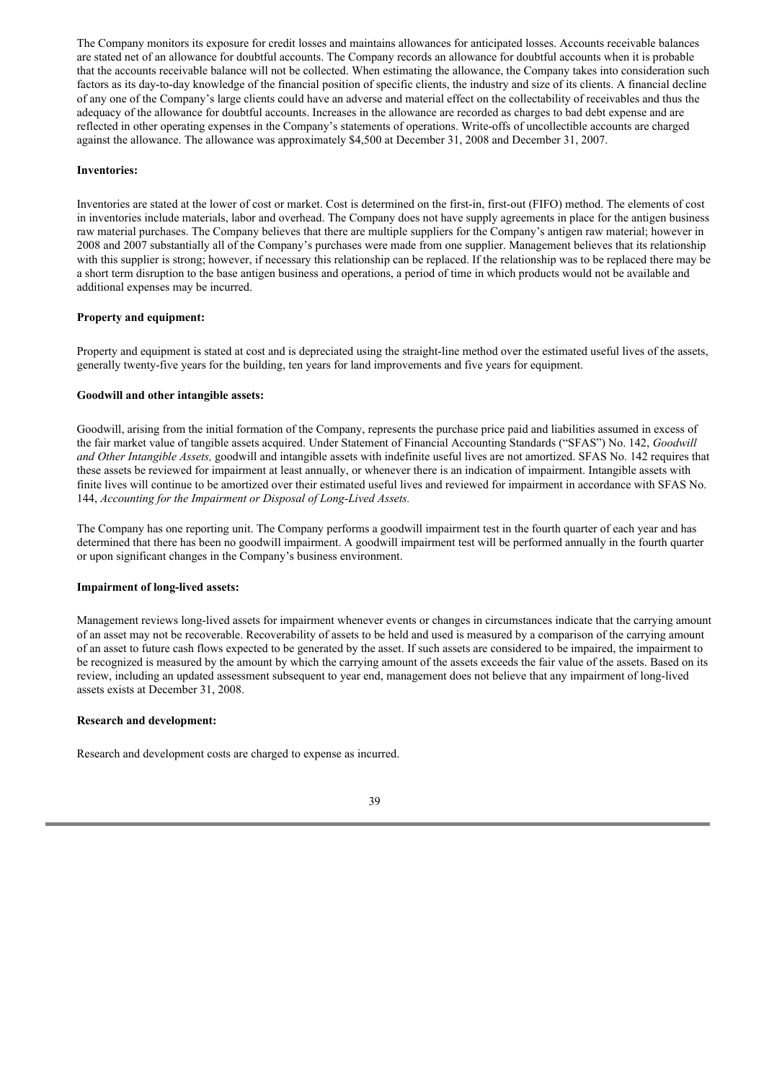The Company monitors its exposure for credit losses and maintains allowances for anticipated losses. Accounts receivable balances are stated net of an allowance for doubtful accounts. The Company records an allowance for doubtful accounts when it is probable that the accounts receivable balance will not be collected. When estimating the allowance, the Company takes into consideration such factors as its day-to-day knowledge of the financial position of specific clients, the industry and size of its clients. A financial decline of any one of the Company's large clients could have an adverse and material effect on the collectability of receivables and thus the adequacy of the allowance for doubtful accounts. Increases in the allowance are recorded as charges to bad debt expense and are reflected in other operating expenses in the Company's statements of operations. Write-offs of uncollectible accounts are charged against the allowance. The allowance was approximately \$4,500 at December 31, 2008 and December 31, 2007.

## **Inventories:**

Inventories are stated at the lower of cost or market. Cost is determined on the first-in, first-out (FIFO) method. The elements of cost in inventories include materials, labor and overhead. The Company does not have supply agreements in place for the antigen business raw material purchases. The Company believes that there are multiple suppliers for the Company's antigen raw material; however in 2008 and 2007 substantially all of the Company's purchases were made from one supplier. Management believes that its relationship with this supplier is strong; however, if necessary this relationship can be replaced. If the relationship was to be replaced there may be a short term disruption to the base antigen business and operations, a period of time in which products would not be available and additional expenses may be incurred.

# **Property and equipment:**

Property and equipment is stated at cost and is depreciated using the straight-line method over the estimated useful lives of the assets, generally twenty-five years for the building, ten years for land improvements and five years for equipment.

## **Goodwill and other intangible assets:**

Goodwill, arising from the initial formation of the Company, represents the purchase price paid and liabilities assumed in excess of the fair market value of tangible assets acquired. Under Statement of Financial Accounting Standards ("SFAS") No. 142, *Goodwill and Other Intangible Assets,* goodwill and intangible assets with indefinite useful lives are not amortized. SFAS No. 142 requires that these assets be reviewed for impairment at least annually, or whenever there is an indication of impairment. Intangible assets with finite lives will continue to be amortized over their estimated useful lives and reviewed for impairment in accordance with SFAS No. 144, *Accounting for the Impairment or Disposal of Long-Lived Assets.*

The Company has one reporting unit. The Company performs a goodwill impairment test in the fourth quarter of each year and has determined that there has been no goodwill impairment. A goodwill impairment test will be performed annually in the fourth quarter or upon significant changes in the Company's business environment.

#### **Impairment of long-lived assets:**

Management reviews long-lived assets for impairment whenever events or changes in circumstances indicate that the carrying amount of an asset may not be recoverable. Recoverability of assets to be held and used is measured by a comparison of the carrying amount of an asset to future cash flows expected to be generated by the asset. If such assets are considered to be impaired, the impairment to be recognized is measured by the amount by which the carrying amount of the assets exceeds the fair value of the assets. Based on its review, including an updated assessment subsequent to year end, management does not believe that any impairment of long-lived assets exists at December 31, 2008.

#### **Research and development:**

Research and development costs are charged to expense as incurred.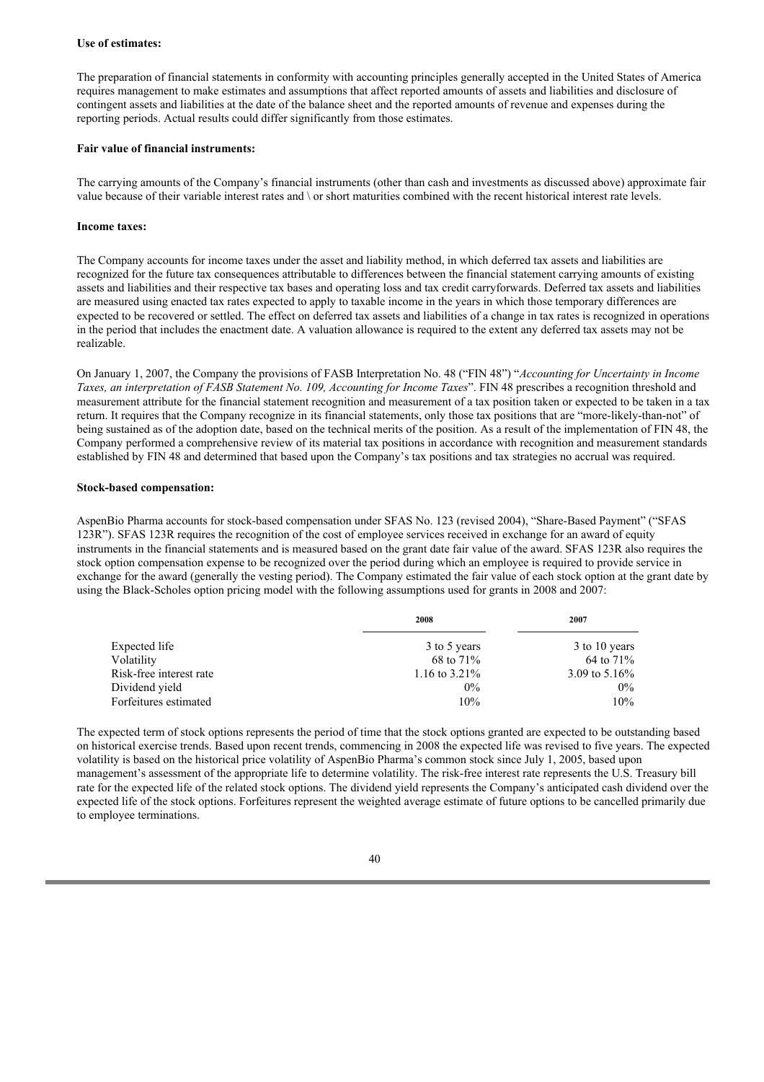## **Use of estimates:**

The preparation of financial statements in conformity with accounting principles generally accepted in the United States of America requires management to make estimates and assumptions that affect reported amounts of assets and liabilities and disclosure of contingent assets and liabilities at the date of the balance sheet and the reported amounts of revenue and expenses during the reporting periods. Actual results could differ significantly from those estimates.

## **Fair value of financial instruments:**

The carrying amounts of the Company's financial instruments (other than cash and investments as discussed above) approximate fair value because of their variable interest rates and \ or short maturities combined with the recent historical interest rate levels.

#### **Income taxes:**

The Company accounts for income taxes under the asset and liability method, in which deferred tax assets and liabilities are recognized for the future tax consequences attributable to differences between the financial statement carrying amounts of existing assets and liabilities and their respective tax bases and operating loss and tax credit carryforwards. Deferred tax assets and liabilities are measured using enacted tax rates expected to apply to taxable income in the years in which those temporary differences are expected to be recovered or settled. The effect on deferred tax assets and liabilities of a change in tax rates is recognized in operations in the period that includes the enactment date. A valuation allowance is required to the extent any deferred tax assets may not be realizable.

On January 1, 2007, the Company the provisions of FASB Interpretation No. 48 ("FIN 48") "*Accounting for Uncertainty in Income Taxes, an interpretation of FASB Statement No. 109, Accounting for Income Taxes*". FIN 48 prescribes a recognition threshold and measurement attribute for the financial statement recognition and measurement of a tax position taken or expected to be taken in a tax return. It requires that the Company recognize in its financial statements, only those tax positions that are "more-likely-than-not" of being sustained as of the adoption date, based on the technical merits of the position. As a result of the implementation of FIN 48, the Company performed a comprehensive review of its material tax positions in accordance with recognition and measurement standards established by FIN 48 and determined that based upon the Company's tax positions and tax strategies no accrual was required.

## **Stock-based compensation:**

AspenBio Pharma accounts for stock-based compensation under SFAS No. 123 (revised 2004), "Share-Based Payment" ("SFAS 123R"). SFAS 123R requires the recognition of the cost of employee services received in exchange for an award of equity instruments in the financial statements and is measured based on the grant date fair value of the award. SFAS 123R also requires the stock option compensation expense to be recognized over the period during which an employee is required to provide service in exchange for the award (generally the vesting period). The Company estimated the fair value of each stock option at the grant date by using the Black-Scholes option pricing model with the following assumptions used for grants in 2008 and 2007:

|                         | 2008             | 2007             |
|-------------------------|------------------|------------------|
| Expected life           | 3 to 5 years     | 3 to 10 years    |
| Volatility              | 68 to 71\%       | 64 to $71\%$     |
| Risk-free interest rate | 1.16 to $3.21\%$ | 3.09 to $5.16\%$ |
| Dividend vield          | $0\%$            | $0\%$            |
| Forfeitures estimated   | 10%              | 10%              |

The expected term of stock options represents the period of time that the stock options granted are expected to be outstanding based on historical exercise trends. Based upon recent trends, commencing in 2008 the expected life was revised to five years. The expected volatility is based on the historical price volatility of AspenBio Pharma's common stock since July 1, 2005, based upon management's assessment of the appropriate life to determine volatility. The risk-free interest rate represents the U.S. Treasury bill rate for the expected life of the related stock options. The dividend yield represents the Company's anticipated cash dividend over the expected life of the stock options. Forfeitures represent the weighted average estimate of future options to be cancelled primarily due to employee terminations.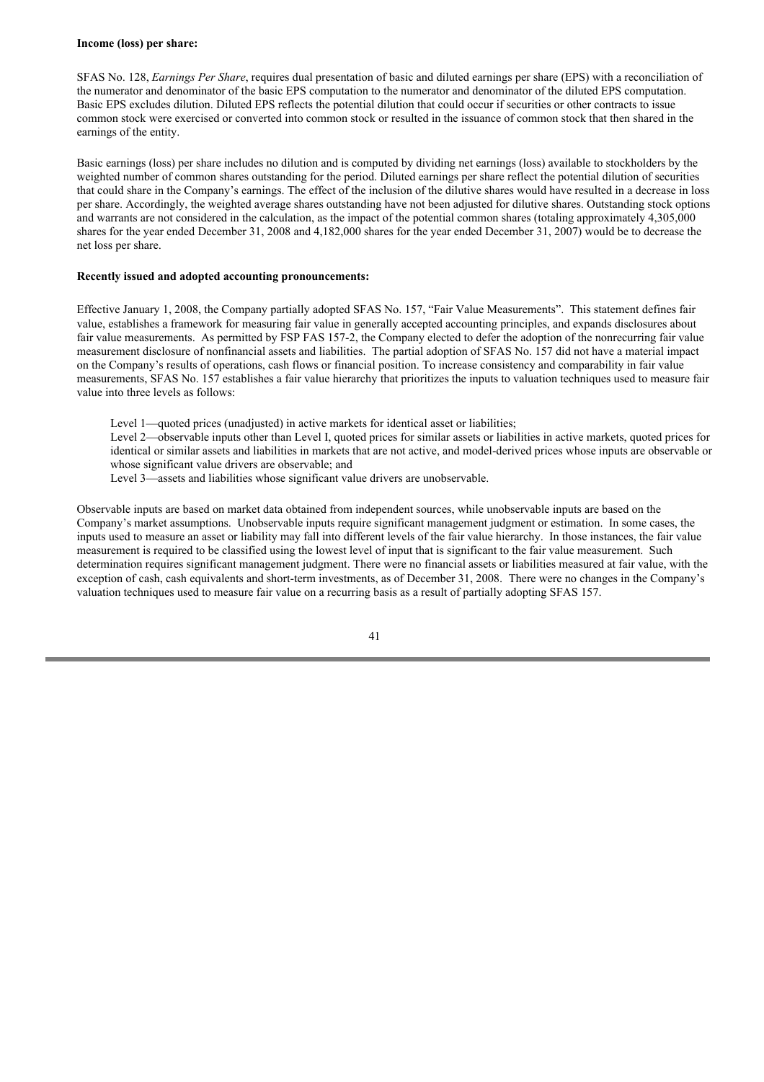#### **Income (loss) per share:**

SFAS No. 128, *Earnings Per Share*, requires dual presentation of basic and diluted earnings per share (EPS) with a reconciliation of the numerator and denominator of the basic EPS computation to the numerator and denominator of the diluted EPS computation. Basic EPS excludes dilution. Diluted EPS reflects the potential dilution that could occur if securities or other contracts to issue common stock were exercised or converted into common stock or resulted in the issuance of common stock that then shared in the earnings of the entity.

Basic earnings (loss) per share includes no dilution and is computed by dividing net earnings (loss) available to stockholders by the weighted number of common shares outstanding for the period. Diluted earnings per share reflect the potential dilution of securities that could share in the Company's earnings. The effect of the inclusion of the dilutive shares would have resulted in a decrease in loss per share. Accordingly, the weighted average shares outstanding have not been adjusted for dilutive shares. Outstanding stock options and warrants are not considered in the calculation, as the impact of the potential common shares (totaling approximately 4,305,000 shares for the year ended December 31, 2008 and 4,182,000 shares for the year ended December 31, 2007) would be to decrease the net loss per share.

#### **Recently issued and adopted accounting pronouncements:**

Effective January 1, 2008, the Company partially adopted SFAS No. 157, "Fair Value Measurements". This statement defines fair value, establishes a framework for measuring fair value in generally accepted accounting principles, and expands disclosures about fair value measurements. As permitted by FSP FAS 157-2, the Company elected to defer the adoption of the nonrecurring fair value measurement disclosure of nonfinancial assets and liabilities. The partial adoption of SFAS No. 157 did not have a material impact on the Company's results of operations, cash flows or financial position. To increase consistency and comparability in fair value measurements, SFAS No. 157 establishes a fair value hierarchy that prioritizes the inputs to valuation techniques used to measure fair value into three levels as follows:

Level 1—quoted prices (unadjusted) in active markets for identical asset or liabilities;

Level 2—observable inputs other than Level I, quoted prices for similar assets or liabilities in active markets, quoted prices for identical or similar assets and liabilities in markets that are not active, and model-derived prices whose inputs are observable or whose significant value drivers are observable; and

Level 3—assets and liabilities whose significant value drivers are unobservable.

Observable inputs are based on market data obtained from independent sources, while unobservable inputs are based on the Company's market assumptions. Unobservable inputs require significant management judgment or estimation. In some cases, the inputs used to measure an asset or liability may fall into different levels of the fair value hierarchy. In those instances, the fair value measurement is required to be classified using the lowest level of input that is significant to the fair value measurement. Such determination requires significant management judgment. There were no financial assets or liabilities measured at fair value, with the exception of cash, cash equivalents and short-term investments, as of December 31, 2008. There were no changes in the Company's valuation techniques used to measure fair value on a recurring basis as a result of partially adopting SFAS 157.

41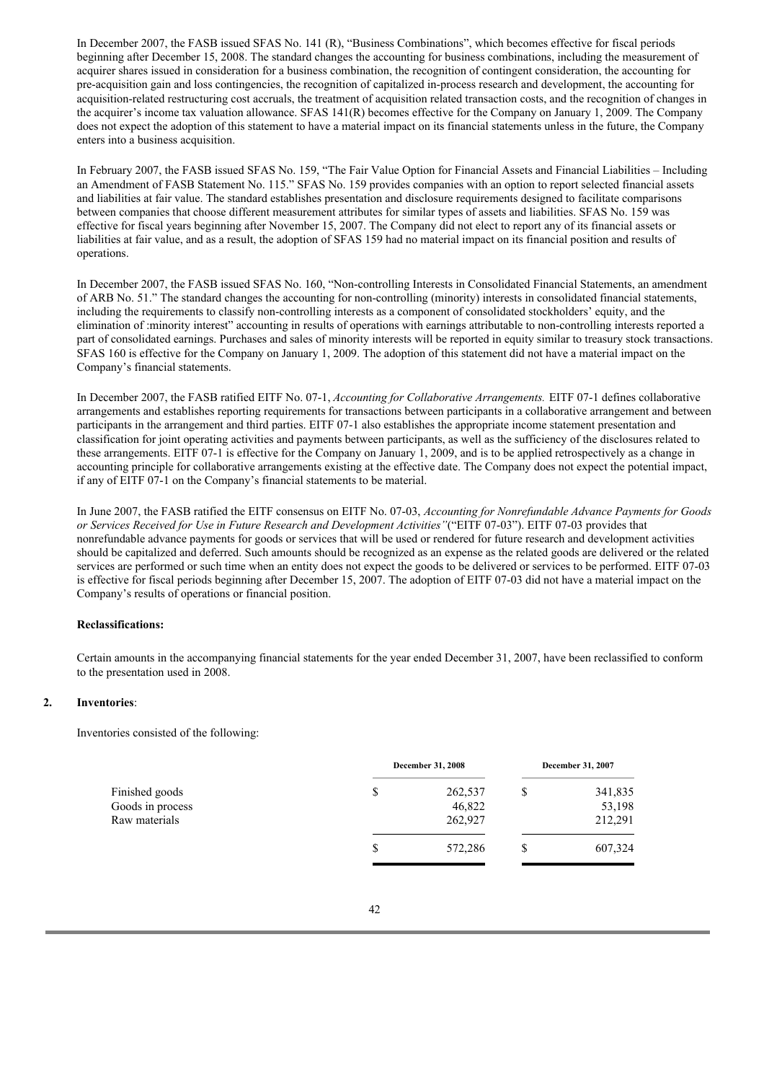In December 2007, the FASB issued SFAS No. 141 (R), "Business Combinations", which becomes effective for fiscal periods beginning after December 15, 2008. The standard changes the accounting for business combinations, including the measurement of acquirer shares issued in consideration for a business combination, the recognition of contingent consideration, the accounting for pre-acquisition gain and loss contingencies, the recognition of capitalized in-process research and development, the accounting for acquisition-related restructuring cost accruals, the treatment of acquisition related transaction costs, and the recognition of changes in the acquirer's income tax valuation allowance. SFAS 141(R) becomes effective for the Company on January 1, 2009. The Company does not expect the adoption of this statement to have a material impact on its financial statements unless in the future, the Company enters into a business acquisition.

In February 2007, the FASB issued SFAS No. 159, "The Fair Value Option for Financial Assets and Financial Liabilities – Including an Amendment of FASB Statement No. 115." SFAS No. 159 provides companies with an option to report selected financial assets and liabilities at fair value. The standard establishes presentation and disclosure requirements designed to facilitate comparisons between companies that choose different measurement attributes for similar types of assets and liabilities. SFAS No. 159 was effective for fiscal years beginning after November 15, 2007. The Company did not elect to report any of its financial assets or liabilities at fair value, and as a result, the adoption of SFAS 159 had no material impact on its financial position and results of operations.

In December 2007, the FASB issued SFAS No. 160, "Non-controlling Interests in Consolidated Financial Statements, an amendment of ARB No. 51." The standard changes the accounting for non-controlling (minority) interests in consolidated financial statements, including the requirements to classify non-controlling interests as a component of consolidated stockholders' equity, and the elimination of :minority interest" accounting in results of operations with earnings attributable to non-controlling interests reported a part of consolidated earnings. Purchases and sales of minority interests will be reported in equity similar to treasury stock transactions. SFAS 160 is effective for the Company on January 1, 2009. The adoption of this statement did not have a material impact on the Company's financial statements.

In December 2007, the FASB ratified EITF No. 07-1, *Accounting for Collaborative Arrangements.* EITF 07-1 defines collaborative arrangements and establishes reporting requirements for transactions between participants in a collaborative arrangement and between participants in the arrangement and third parties. EITF 07-1 also establishes the appropriate income statement presentation and classification for joint operating activities and payments between participants, as well as the sufficiency of the disclosures related to these arrangements. EITF 07-1 is effective for the Company on January 1, 2009, and is to be applied retrospectively as a change in accounting principle for collaborative arrangements existing at the effective date. The Company does not expect the potential impact, if any of EITF 07-1 on the Company's financial statements to be material.

In June 2007, the FASB ratified the EITF consensus on EITF No. 07-03, *Accounting for Nonrefundable Advance Payments for Goods or Services Received for Use in Future Research and Development Activities"*("EITF 07-03"). EITF 07-03 provides that nonrefundable advance payments for goods or services that will be used or rendered for future research and development activities should be capitalized and deferred. Such amounts should be recognized as an expense as the related goods are delivered or the related services are performed or such time when an entity does not expect the goods to be delivered or services to be performed. EITF 07-03 is effective for fiscal periods beginning after December 15, 2007. The adoption of EITF 07-03 did not have a material impact on the Company's results of operations or financial position.

# **Reclassifications:**

Certain amounts in the accompanying financial statements for the year ended December 31, 2007, have been reclassified to conform to the presentation used in 2008.

#### **2. Inventories**:

Inventories consisted of the following:

|                  |   | December 31, 2008 |  | December 31, 2007 |  |  |
|------------------|---|-------------------|--|-------------------|--|--|
| Finished goods   | S | 262,537           |  | 341,835           |  |  |
| Goods in process |   | 46,822            |  | 53,198            |  |  |
| Raw materials    |   | 262,927           |  | 212,291           |  |  |
|                  | S | 572,286           |  | 607,324           |  |  |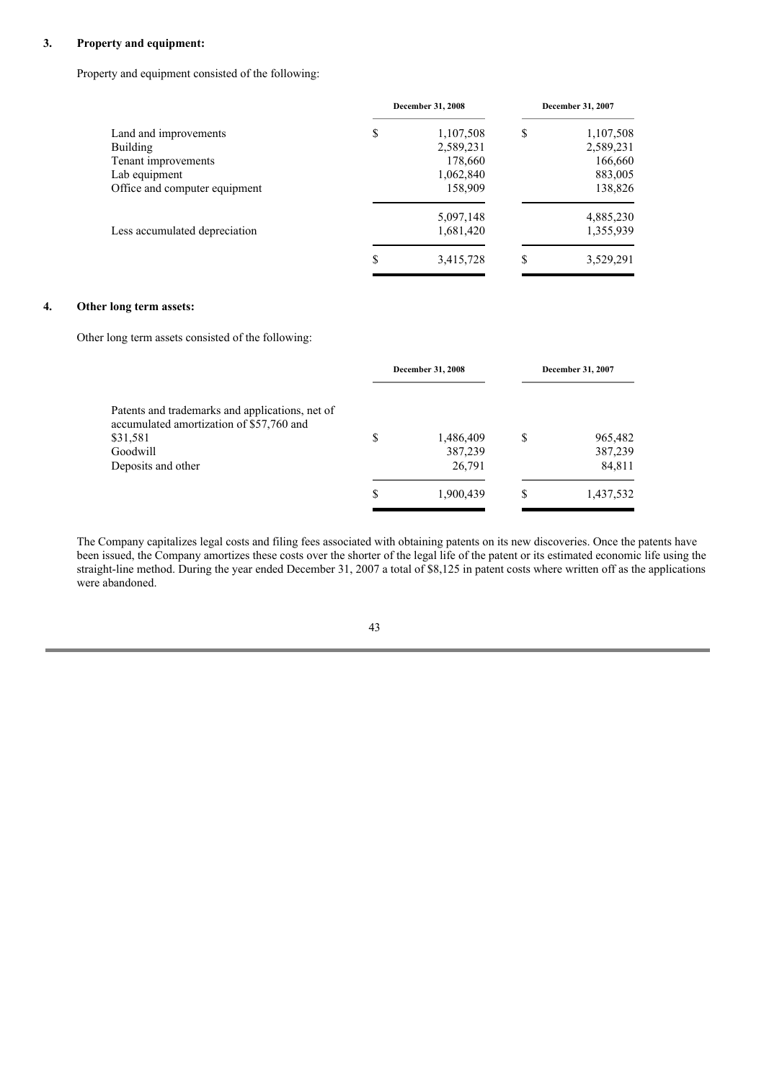# **3. Property and equipment:**

Property and equipment consisted of the following:

|                               | December 31, 2008 | December 31, 2007 |           |  |
|-------------------------------|-------------------|-------------------|-----------|--|
| Land and improvements         | \$<br>1,107,508   | S                 | 1,107,508 |  |
| Building                      | 2,589,231         |                   | 2,589,231 |  |
| Tenant improvements           | 178,660           |                   | 166,660   |  |
| Lab equipment                 | 1,062,840         |                   | 883,005   |  |
| Office and computer equipment | 158,909           |                   | 138,826   |  |
|                               | 5,097,148         |                   | 4,885,230 |  |
| Less accumulated depreciation | 1,681,420         |                   | 1,355,939 |  |
|                               | \$<br>3,415,728   | \$                | 3,529,291 |  |

# **4. Other long term assets:**

Other long term assets consisted of the following:

|                                                                                                         | December 31, 2008 | December 31, 2007 |           |  |
|---------------------------------------------------------------------------------------------------------|-------------------|-------------------|-----------|--|
| Patents and trademarks and applications, net of<br>accumulated amortization of \$57,760 and<br>\$31,581 | \$<br>1,486,409   | S                 | 965,482   |  |
| Goodwill                                                                                                | 387,239           |                   | 387,239   |  |
| Deposits and other                                                                                      | 26,791            |                   | 84,811    |  |
|                                                                                                         | \$<br>1,900,439   | S                 | 1,437,532 |  |

The Company capitalizes legal costs and filing fees associated with obtaining patents on its new discoveries. Once the patents have been issued, the Company amortizes these costs over the shorter of the legal life of the patent or its estimated economic life using the straight-line method. During the year ended December 31, 2007 a total of \$8,125 in patent costs where written off as the applications were abandoned.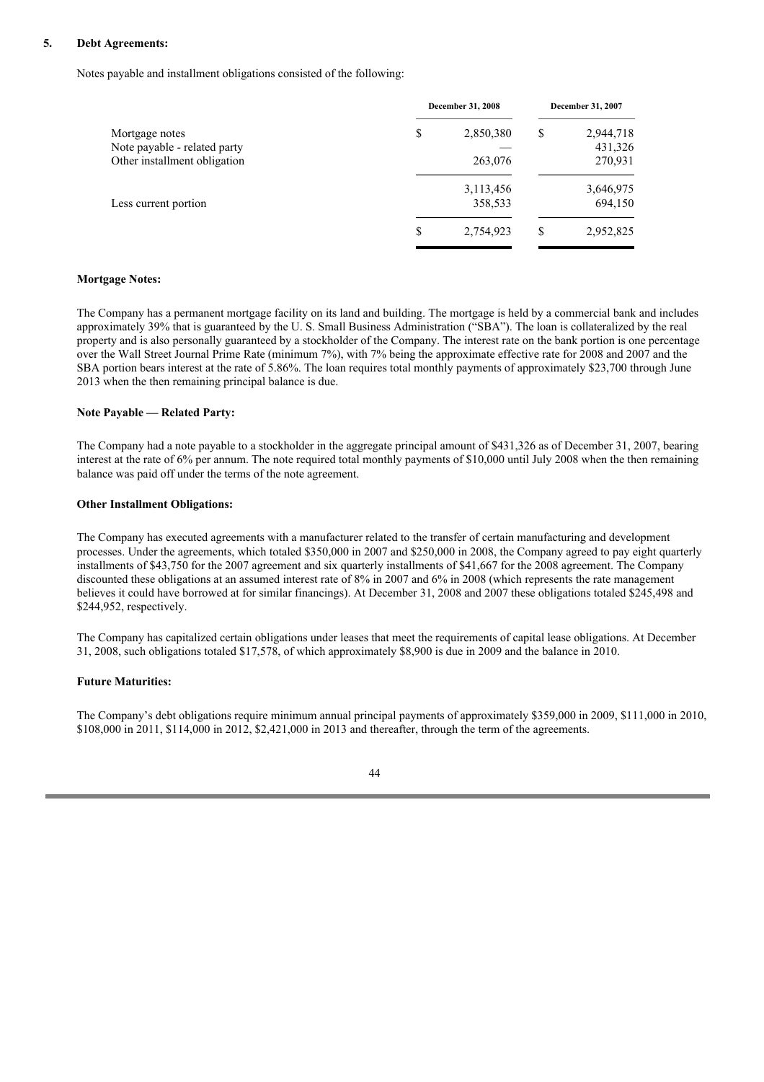# **5. Debt Agreements:**

Notes payable and installment obligations consisted of the following:

|                              | December 31, 2008 | December 31, 2007 |           |  |
|------------------------------|-------------------|-------------------|-----------|--|
| Mortgage notes               | \$<br>2,850,380   | S                 | 2,944,718 |  |
| Note payable - related party |                   |                   | 431,326   |  |
| Other installment obligation | 263,076           |                   | 270,931   |  |
|                              | 3,113,456         |                   | 3,646,975 |  |
| Less current portion         | 358,533           |                   | 694,150   |  |
|                              | \$<br>2,754,923   | S                 | 2,952,825 |  |
|                              |                   |                   |           |  |

## **Mortgage Notes:**

The Company has a permanent mortgage facility on its land and building. The mortgage is held by a commercial bank and includes approximately 39% that is guaranteed by the U. S. Small Business Administration ("SBA"). The loan is collateralized by the real property and is also personally guaranteed by a stockholder of the Company. The interest rate on the bank portion is one percentage over the Wall Street Journal Prime Rate (minimum 7%), with 7% being the approximate effective rate for 2008 and 2007 and the SBA portion bears interest at the rate of 5.86%. The loan requires total monthly payments of approximately \$23,700 through June 2013 when the then remaining principal balance is due.

# **Note Payable — Related Party:**

The Company had a note payable to a stockholder in the aggregate principal amount of \$431,326 as of December 31, 2007, bearing interest at the rate of 6% per annum. The note required total monthly payments of \$10,000 until July 2008 when the then remaining balance was paid off under the terms of the note agreement.

## **Other Installment Obligations:**

The Company has executed agreements with a manufacturer related to the transfer of certain manufacturing and development processes. Under the agreements, which totaled \$350,000 in 2007 and \$250,000 in 2008, the Company agreed to pay eight quarterly installments of \$43,750 for the 2007 agreement and six quarterly installments of \$41,667 for the 2008 agreement. The Company discounted these obligations at an assumed interest rate of 8% in 2007 and 6% in 2008 (which represents the rate management believes it could have borrowed at for similar financings). At December 31, 2008 and 2007 these obligations totaled \$245,498 and \$244,952, respectively.

The Company has capitalized certain obligations under leases that meet the requirements of capital lease obligations. At December 31, 2008, such obligations totaled \$17,578, of which approximately \$8,900 is due in 2009 and the balance in 2010.

# **Future Maturities:**

The Company's debt obligations require minimum annual principal payments of approximately \$359,000 in 2009, \$111,000 in 2010, \$108,000 in 2011, \$114,000 in 2012, \$2,421,000 in 2013 and thereafter, through the term of the agreements.

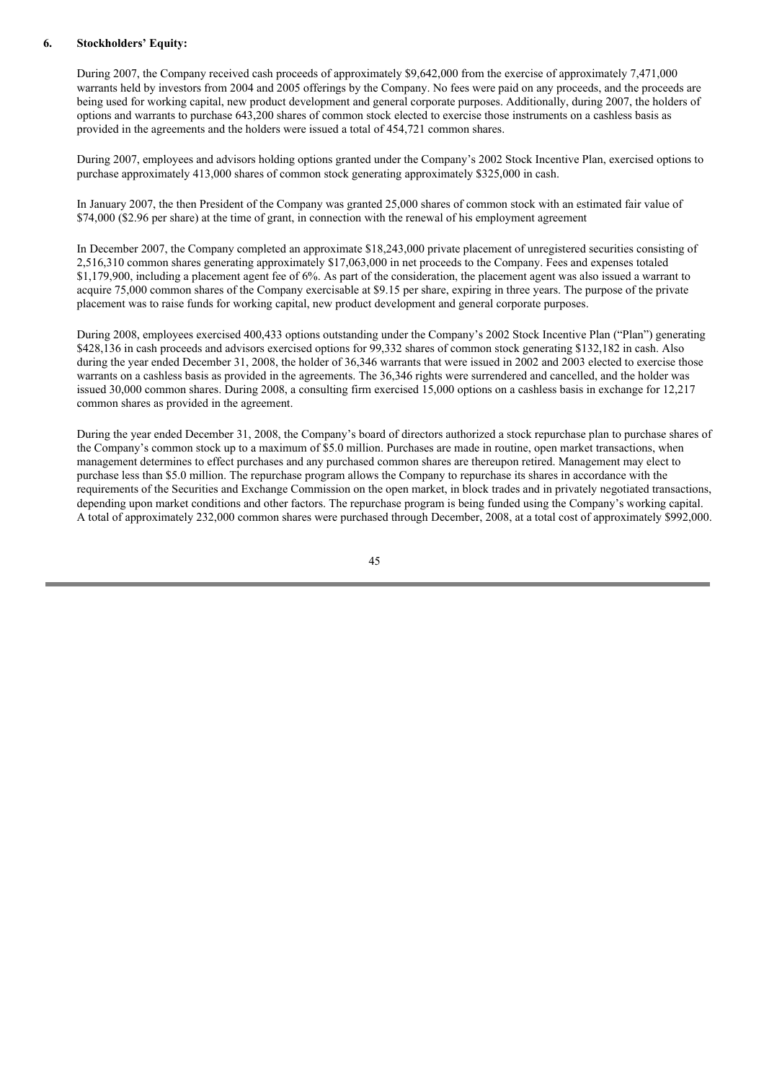# **6. Stockholders' Equity:**

During 2007, the Company received cash proceeds of approximately \$9,642,000 from the exercise of approximately 7,471,000 warrants held by investors from 2004 and 2005 offerings by the Company. No fees were paid on any proceeds, and the proceeds are being used for working capital, new product development and general corporate purposes. Additionally, during 2007, the holders of options and warrants to purchase 643,200 shares of common stock elected to exercise those instruments on a cashless basis as provided in the agreements and the holders were issued a total of 454,721 common shares.

During 2007, employees and advisors holding options granted under the Company's 2002 Stock Incentive Plan, exercised options to purchase approximately 413,000 shares of common stock generating approximately \$325,000 in cash.

In January 2007, the then President of the Company was granted 25,000 shares of common stock with an estimated fair value of \$74,000 (\$2.96 per share) at the time of grant, in connection with the renewal of his employment agreement

In December 2007, the Company completed an approximate \$18,243,000 private placement of unregistered securities consisting of 2,516,310 common shares generating approximately \$17,063,000 in net proceeds to the Company. Fees and expenses totaled \$1,179,900, including a placement agent fee of 6%. As part of the consideration, the placement agent was also issued a warrant to acquire 75,000 common shares of the Company exercisable at \$9.15 per share, expiring in three years. The purpose of the private placement was to raise funds for working capital, new product development and general corporate purposes.

During 2008, employees exercised 400,433 options outstanding under the Company's 2002 Stock Incentive Plan ("Plan") generating \$428,136 in cash proceeds and advisors exercised options for 99,332 shares of common stock generating \$132,182 in cash. Also during the year ended December 31, 2008, the holder of 36,346 warrants that were issued in 2002 and 2003 elected to exercise those warrants on a cashless basis as provided in the agreements. The 36,346 rights were surrendered and cancelled, and the holder was issued 30,000 common shares. During 2008, a consulting firm exercised 15,000 options on a cashless basis in exchange for 12,217 common shares as provided in the agreement.

During the year ended December 31, 2008, the Company's board of directors authorized a stock repurchase plan to purchase shares of the Company's common stock up to a maximum of \$5.0 million. Purchases are made in routine, open market transactions, when management determines to effect purchases and any purchased common shares are thereupon retired. Management may elect to purchase less than \$5.0 million. The repurchase program allows the Company to repurchase its shares in accordance with the requirements of the Securities and Exchange Commission on the open market, in block trades and in privately negotiated transactions, depending upon market conditions and other factors. The repurchase program is being funded using the Company's working capital. A total of approximately 232,000 common shares were purchased through December, 2008, at a total cost of approximately \$992,000.

45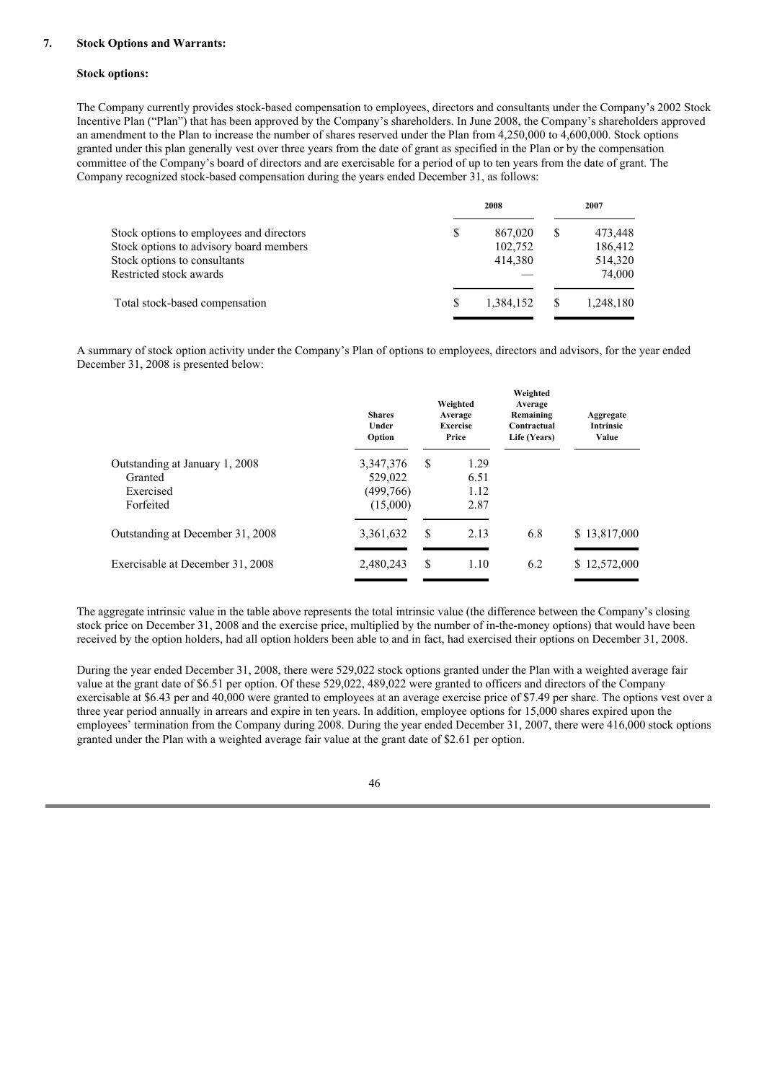## **7. Stock Options and Warrants:**

#### **Stock options:**

The Company currently provides stock-based compensation to employees, directors and consultants under the Company's 2002 Stock Incentive Plan ("Plan") that has been approved by the Company's shareholders. In June 2008, the Company's shareholders approved an amendment to the Plan to increase the number of shares reserved under the Plan from 4,250,000 to 4,600,000. Stock options granted under this plan generally vest over three years from the date of grant as specified in the Plan or by the compensation committee of the Company's board of directors and are exercisable for a period of up to ten years from the date of grant. The Company recognized stock-based compensation during the years ended December 31, as follows:

| 2008 |           |   | 2007      |  |  |
|------|-----------|---|-----------|--|--|
|      | 867,020   | S | 473,448   |  |  |
|      | 102.752   |   | 186,412   |  |  |
|      | 414.380   |   | 514,320   |  |  |
|      |           |   | 74,000    |  |  |
|      | 1.384.152 |   | 1.248.180 |  |  |
|      |           |   |           |  |  |

A summary of stock option activity under the Company's Plan of options to employees, directors and advisors, for the year ended December 31, 2008 is presented below:

|                                  | <b>Shares</b><br>Under<br>Option |    | Weighted<br>Average<br><b>Exercise</b><br>Price | Weighted<br>Average<br>Remaining<br>Contractual<br>Life (Years) | Aggregate<br>Intrinsic<br>Value |
|----------------------------------|----------------------------------|----|-------------------------------------------------|-----------------------------------------------------------------|---------------------------------|
| Outstanding at January 1, 2008   | 3,347,376                        | S  | 1.29                                            |                                                                 |                                 |
| Granted                          | 529,022                          |    | 6.51                                            |                                                                 |                                 |
| Exercised                        | (499,766)                        |    | 1.12                                            |                                                                 |                                 |
| Forfeited                        | (15,000)                         |    | 2.87                                            |                                                                 |                                 |
| Outstanding at December 31, 2008 | 3,361,632                        | \$ | 2.13                                            | 6.8                                                             | \$13,817,000                    |
| Exercisable at December 31, 2008 | 2,480,243                        | \$ | 1.10                                            | 6.2                                                             | \$12,572,000                    |

The aggregate intrinsic value in the table above represents the total intrinsic value (the difference between the Company's closing stock price on December 31, 2008 and the exercise price, multiplied by the number of in-the-money options) that would have been received by the option holders, had all option holders been able to and in fact, had exercised their options on December 31, 2008.

During the year ended December 31, 2008, there were 529,022 stock options granted under the Plan with a weighted average fair value at the grant date of \$6.51 per option. Of these 529,022, 489,022 were granted to officers and directors of the Company exercisable at \$6.43 per and 40,000 were granted to employees at an average exercise price of \$7.49 per share. The options vest over a three year period annually in arrears and expire in ten years. In addition, employee options for 15,000 shares expired upon the employees' termination from the Company during 2008. During the year ended December 31, 2007, there were 416,000 stock options granted under the Plan with a weighted average fair value at the grant date of \$2.61 per option.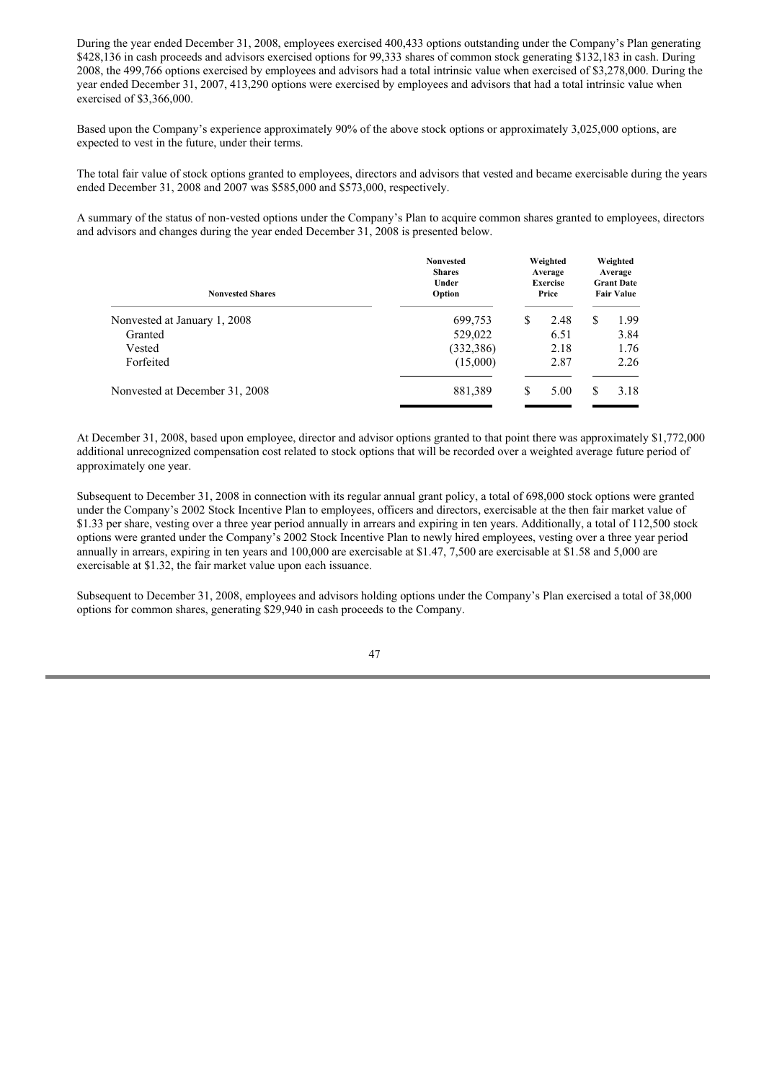During the year ended December 31, 2008, employees exercised 400,433 options outstanding under the Company's Plan generating \$428,136 in cash proceeds and advisors exercised options for 99,333 shares of common stock generating \$132,183 in cash. During 2008, the 499,766 options exercised by employees and advisors had a total intrinsic value when exercised of \$3,278,000. During the year ended December 31, 2007, 413,290 options were exercised by employees and advisors that had a total intrinsic value when exercised of \$3,366,000.

Based upon the Company's experience approximately 90% of the above stock options or approximately 3,025,000 options, are expected to vest in the future, under their terms.

The total fair value of stock options granted to employees, directors and advisors that vested and became exercisable during the years ended December 31, 2008 and 2007 was \$585,000 and \$573,000, respectively.

A summary of the status of non-vested options under the Company's Plan to acquire common shares granted to employees, directors and advisors and changes during the year ended December 31, 2008 is presented below.

| <b>Nonvested Shares</b>        | <b>Nonvested</b><br><b>Shares</b><br>Under<br>Option | Weighted<br>Average<br><b>Exercise</b><br>Price |      | Weighted<br>Average<br><b>Grant Date</b><br><b>Fair Value</b> |      |
|--------------------------------|------------------------------------------------------|-------------------------------------------------|------|---------------------------------------------------------------|------|
| Nonvested at January 1, 2008   | 699,753                                              | S                                               | 2.48 | \$                                                            | 1.99 |
| Granted                        | 529,022                                              |                                                 | 6.51 |                                                               | 3.84 |
| Vested                         | (332, 386)                                           |                                                 | 2.18 |                                                               | 1.76 |
| Forfeited                      | (15,000)                                             |                                                 | 2.87 |                                                               | 2.26 |
| Nonvested at December 31, 2008 | 881,389                                              | S                                               | 5.00 | S                                                             | 3.18 |

At December 31, 2008, based upon employee, director and advisor options granted to that point there was approximately \$1,772,000 additional unrecognized compensation cost related to stock options that will be recorded over a weighted average future period of approximately one year.

Subsequent to December 31, 2008 in connection with its regular annual grant policy, a total of 698,000 stock options were granted under the Company's 2002 Stock Incentive Plan to employees, officers and directors, exercisable at the then fair market value of \$1.33 per share, vesting over a three year period annually in arrears and expiring in ten years. Additionally, a total of 112,500 stock options were granted under the Company's 2002 Stock Incentive Plan to newly hired employees, vesting over a three year period annually in arrears, expiring in ten years and 100,000 are exercisable at \$1.47, 7,500 are exercisable at \$1.58 and 5,000 are exercisable at \$1.32, the fair market value upon each issuance.

Subsequent to December 31, 2008, employees and advisors holding options under the Company's Plan exercised a total of 38,000 options for common shares, generating \$29,940 in cash proceeds to the Company.

47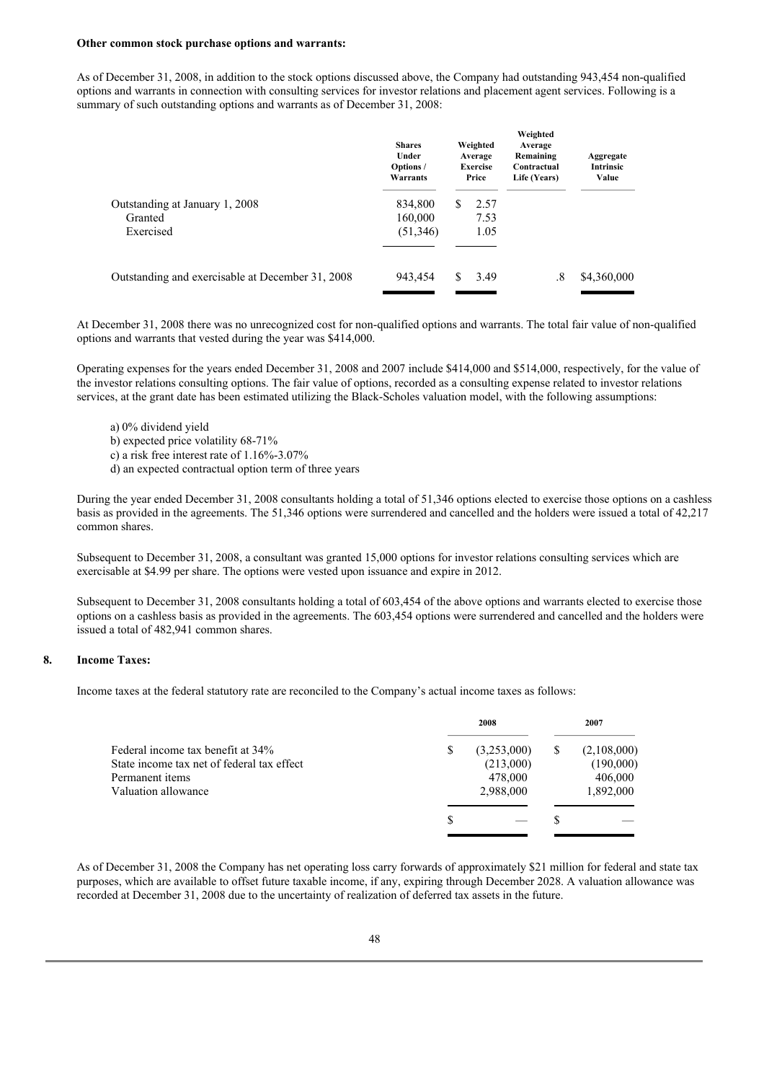#### **Other common stock purchase options and warrants:**

As of December 31, 2008, in addition to the stock options discussed above, the Company had outstanding 943,454 non-qualified options and warrants in connection with consulting services for investor relations and placement agent services. Following is a summary of such outstanding options and warrants as of December 31, 2008:

|                                                        | <b>Shares</b><br>Under<br>Options /<br>Warrants |   | Weighted<br>Average<br><b>Exercise</b><br>Price | Weighted<br>Average<br>Remaining<br>Contractual<br>Life (Years) | Aggregate<br>Intrinsic<br>Value |
|--------------------------------------------------------|-------------------------------------------------|---|-------------------------------------------------|-----------------------------------------------------------------|---------------------------------|
| Outstanding at January 1, 2008<br>Granted<br>Exercised | 834,800<br>160,000<br>(51,346)                  | S | 2.57<br>7.53<br>1.05                            |                                                                 |                                 |
| Outstanding and exercisable at December 31, 2008       | 943,454                                         | S | 3.49                                            | $\cdot^8$                                                       | \$4,360,000                     |

At December 31, 2008 there was no unrecognized cost for non-qualified options and warrants. The total fair value of non-qualified options and warrants that vested during the year was \$414,000.

Operating expenses for the years ended December 31, 2008 and 2007 include \$414,000 and \$514,000, respectively, for the value of the investor relations consulting options. The fair value of options, recorded as a consulting expense related to investor relations services, at the grant date has been estimated utilizing the Black-Scholes valuation model, with the following assumptions:

a) 0% dividend yield b) expected price volatility 68-71% c) a risk free interest rate of 1.16%-3.07% d) an expected contractual option term of three years

During the year ended December 31, 2008 consultants holding a total of 51,346 options elected to exercise those options on a cashless basis as provided in the agreements. The 51,346 options were surrendered and cancelled and the holders were issued a total of 42,217 common shares.

Subsequent to December 31, 2008, a consultant was granted 15,000 options for investor relations consulting services which are exercisable at \$4.99 per share. The options were vested upon issuance and expire in 2012.

Subsequent to December 31, 2008 consultants holding a total of 603,454 of the above options and warrants elected to exercise those options on a cashless basis as provided in the agreements. The 603,454 options were surrendered and cancelled and the holders were issued a total of 482,941 common shares.

# **8. Income Taxes:**

Income taxes at the federal statutory rate are reconciled to the Company's actual income taxes as follows:

|                                                                                                                           | 2008 |                                                  | 2007 |                                                  |  |
|---------------------------------------------------------------------------------------------------------------------------|------|--------------------------------------------------|------|--------------------------------------------------|--|
| Federal income tax benefit at 34%<br>State income tax net of federal tax effect<br>Permanent items<br>Valuation allowance | S    | (3,253,000)<br>(213,000)<br>478,000<br>2,988,000 | S    | (2,108,000)<br>(190,000)<br>406,000<br>1,892,000 |  |
|                                                                                                                           | S    |                                                  | S    |                                                  |  |

As of December 31, 2008 the Company has net operating loss carry forwards of approximately \$21 million for federal and state tax purposes, which are available to offset future taxable income, if any, expiring through December 2028. A valuation allowance was recorded at December 31, 2008 due to the uncertainty of realization of deferred tax assets in the future.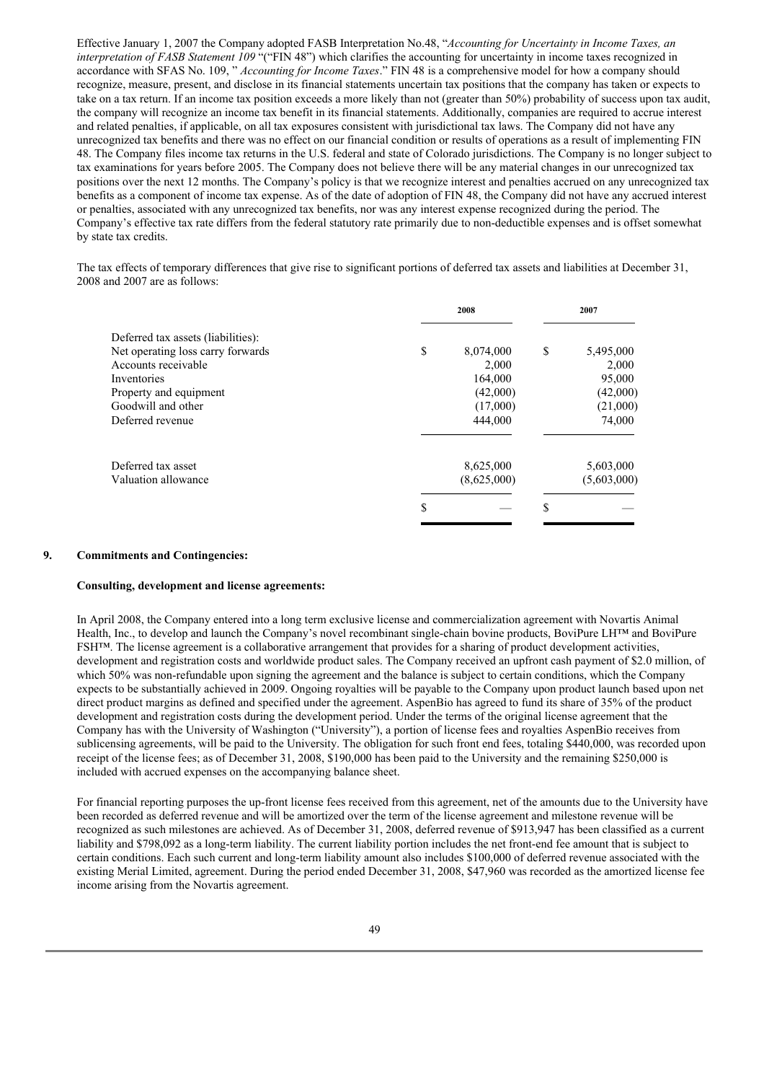Effective January 1, 2007 the Company adopted FASB Interpretation No.48, "*Accounting for Uncertainty in Income Taxes, an interpretation of FASB Statement 109* "("FIN 48") which clarifies the accounting for uncertainty in income taxes recognized in accordance with SFAS No. 109, " *Accounting for Income Taxes*." FIN 48 is a comprehensive model for how a company should recognize, measure, present, and disclose in its financial statements uncertain tax positions that the company has taken or expects to take on a tax return. If an income tax position exceeds a more likely than not (greater than 50%) probability of success upon tax audit, the company will recognize an income tax benefit in its financial statements. Additionally, companies are required to accrue interest and related penalties, if applicable, on all tax exposures consistent with jurisdictional tax laws. The Company did not have any unrecognized tax benefits and there was no effect on our financial condition or results of operations as a result of implementing FIN 48. The Company files income tax returns in the U.S. federal and state of Colorado jurisdictions. The Company is no longer subject to tax examinations for years before 2005. The Company does not believe there will be any material changes in our unrecognized tax positions over the next 12 months. The Company's policy is that we recognize interest and penalties accrued on any unrecognized tax benefits as a component of income tax expense. As of the date of adoption of FIN 48, the Company did not have any accrued interest or penalties, associated with any unrecognized tax benefits, nor was any interest expense recognized during the period. The Company's effective tax rate differs from the federal statutory rate primarily due to non-deductible expenses and is offset somewhat by state tax credits.

The tax effects of temporary differences that give rise to significant portions of deferred tax assets and liabilities at December 31, 2008 and 2007 are as follows:

|                                    | 2008            |    | 2007        |
|------------------------------------|-----------------|----|-------------|
| Deferred tax assets (liabilities): |                 |    |             |
| Net operating loss carry forwards  | \$<br>8,074,000 | \$ | 5,495,000   |
| Accounts receivable                | 2,000           |    | 2,000       |
| Inventories                        | 164,000         |    | 95,000      |
| Property and equipment             | (42,000)        |    | (42,000)    |
| Goodwill and other                 | (17,000)        |    | (21,000)    |
| Deferred revenue                   | 444,000         |    | 74,000      |
| Deferred tax asset                 | 8,625,000       |    | 5,603,000   |
| Valuation allowance                | (8,625,000)     |    | (5,603,000) |
|                                    | \$              | S  |             |
|                                    |                 |    |             |

# **9. Commitments and Contingencies:**

#### **Consulting, development and license agreements:**

In April 2008, the Company entered into a long term exclusive license and commercialization agreement with Novartis Animal Health, Inc., to develop and launch the Company's novel recombinant single-chain bovine products, BoviPure LH™ and BoviPure FSH™. The license agreement is a collaborative arrangement that provides for a sharing of product development activities, development and registration costs and worldwide product sales. The Company received an upfront cash payment of \$2.0 million, of which 50% was non-refundable upon signing the agreement and the balance is subject to certain conditions, which the Company expects to be substantially achieved in 2009. Ongoing royalties will be payable to the Company upon product launch based upon net direct product margins as defined and specified under the agreement. AspenBio has agreed to fund its share of 35% of the product development and registration costs during the development period. Under the terms of the original license agreement that the Company has with the University of Washington ("University"), a portion of license fees and royalties AspenBio receives from sublicensing agreements, will be paid to the University. The obligation for such front end fees, totaling \$440,000, was recorded upon receipt of the license fees; as of December 31, 2008, \$190,000 has been paid to the University and the remaining \$250,000 is included with accrued expenses on the accompanying balance sheet.

For financial reporting purposes the up-front license fees received from this agreement, net of the amounts due to the University have been recorded as deferred revenue and will be amortized over the term of the license agreement and milestone revenue will be recognized as such milestones are achieved. As of December 31, 2008, deferred revenue of \$913,947 has been classified as a current liability and \$798,092 as a long-term liability. The current liability portion includes the net front-end fee amount that is subject to certain conditions. Each such current and long-term liability amount also includes \$100,000 of deferred revenue associated with the existing Merial Limited, agreement. During the period ended December 31, 2008, \$47,960 was recorded as the amortized license fee income arising from the Novartis agreement.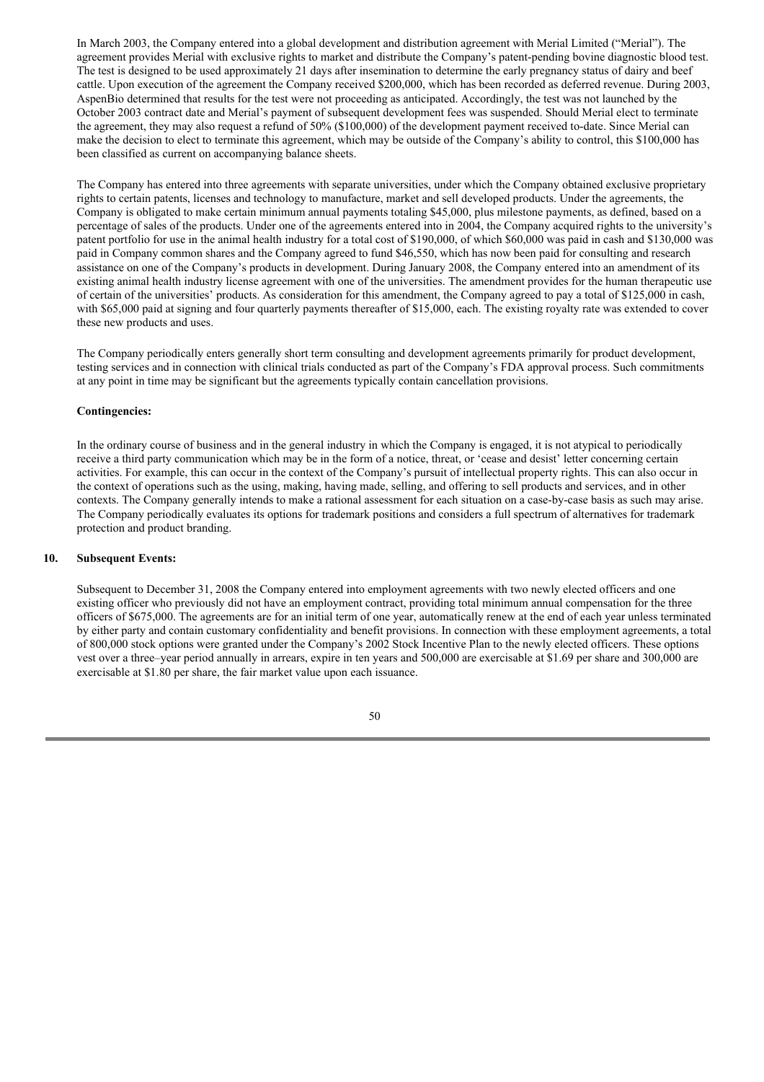In March 2003, the Company entered into a global development and distribution agreement with Merial Limited ("Merial"). The agreement provides Merial with exclusive rights to market and distribute the Company's patent-pending bovine diagnostic blood test. The test is designed to be used approximately 21 days after insemination to determine the early pregnancy status of dairy and beef cattle. Upon execution of the agreement the Company received \$200,000, which has been recorded as deferred revenue. During 2003, AspenBio determined that results for the test were not proceeding as anticipated. Accordingly, the test was not launched by the October 2003 contract date and Merial's payment of subsequent development fees was suspended. Should Merial elect to terminate the agreement, they may also request a refund of 50% (\$100,000) of the development payment received to-date. Since Merial can make the decision to elect to terminate this agreement, which may be outside of the Company's ability to control, this \$100,000 has been classified as current on accompanying balance sheets.

The Company has entered into three agreements with separate universities, under which the Company obtained exclusive proprietary rights to certain patents, licenses and technology to manufacture, market and sell developed products. Under the agreements, the Company is obligated to make certain minimum annual payments totaling \$45,000, plus milestone payments, as defined, based on a percentage of sales of the products. Under one of the agreements entered into in 2004, the Company acquired rights to the university's patent portfolio for use in the animal health industry for a total cost of \$190,000, of which \$60,000 was paid in cash and \$130,000 was paid in Company common shares and the Company agreed to fund \$46,550, which has now been paid for consulting and research assistance on one of the Company's products in development. During January 2008, the Company entered into an amendment of its existing animal health industry license agreement with one of the universities. The amendment provides for the human therapeutic use of certain of the universities' products. As consideration for this amendment, the Company agreed to pay a total of \$125,000 in cash, with \$65,000 paid at signing and four quarterly payments thereafter of \$15,000, each. The existing royalty rate was extended to cover these new products and uses.

The Company periodically enters generally short term consulting and development agreements primarily for product development, testing services and in connection with clinical trials conducted as part of the Company's FDA approval process. Such commitments at any point in time may be significant but the agreements typically contain cancellation provisions.

#### **Contingencies:**

In the ordinary course of business and in the general industry in which the Company is engaged, it is not atypical to periodically receive a third party communication which may be in the form of a notice, threat, or 'cease and desist' letter concerning certain activities. For example, this can occur in the context of the Company's pursuit of intellectual property rights. This can also occur in the context of operations such as the using, making, having made, selling, and offering to sell products and services, and in other contexts. The Company generally intends to make a rational assessment for each situation on a case-by-case basis as such may arise. The Company periodically evaluates its options for trademark positions and considers a full spectrum of alternatives for trademark protection and product branding.

# **10. Subsequent Events:**

Subsequent to December 31, 2008 the Company entered into employment agreements with two newly elected officers and one existing officer who previously did not have an employment contract, providing total minimum annual compensation for the three officers of \$675,000. The agreements are for an initial term of one year, automatically renew at the end of each year unless terminated by either party and contain customary confidentiality and benefit provisions. In connection with these employment agreements, a total of 800,000 stock options were granted under the Company's 2002 Stock Incentive Plan to the newly elected officers. These options vest over a three–year period annually in arrears, expire in ten years and 500,000 are exercisable at \$1.69 per share and 300,000 are exercisable at \$1.80 per share, the fair market value upon each issuance.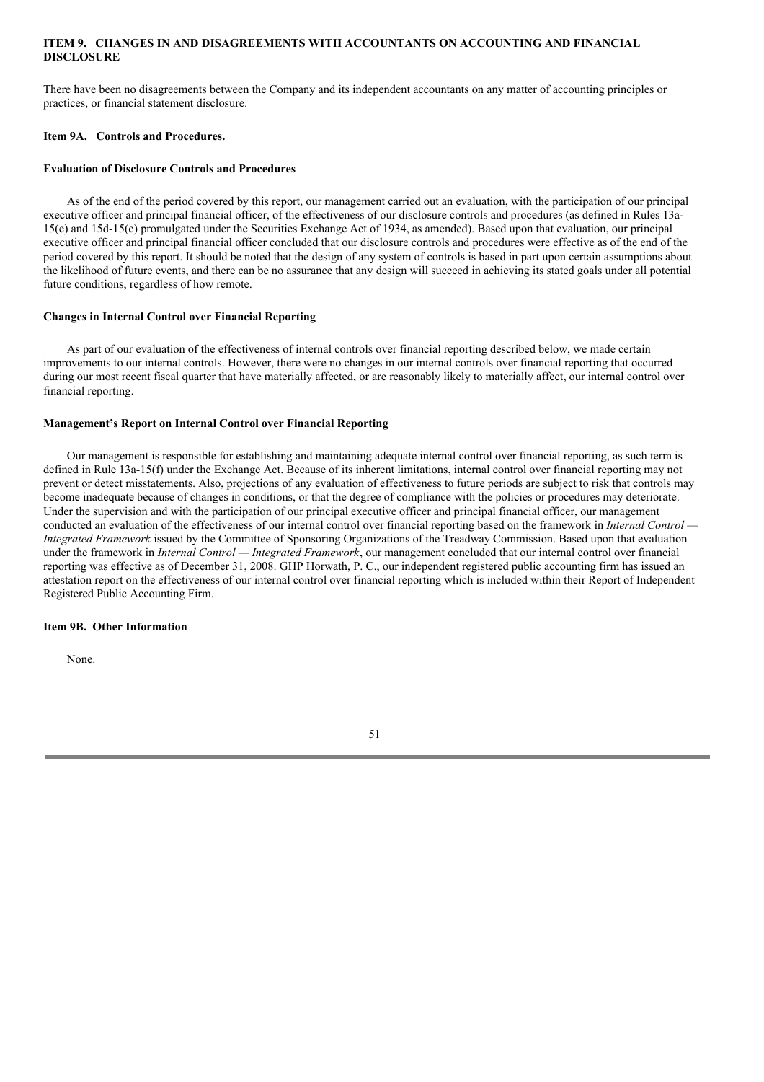# **ITEM 9. CHANGES IN AND DISAGREEMENTS WITH ACCOUNTANTS ON ACCOUNTING AND FINANCIAL DISCLOSURE**

There have been no disagreements between the Company and its independent accountants on any matter of accounting principles or practices, or financial statement disclosure.

# **Item 9A. Controls and Procedures.**

#### **Evaluation of Disclosure Controls and Procedures**

As of the end of the period covered by this report, our management carried out an evaluation, with the participation of our principal executive officer and principal financial officer, of the effectiveness of our disclosure controls and procedures (as defined in Rules 13a-15(e) and 15d-15(e) promulgated under the Securities Exchange Act of 1934, as amended). Based upon that evaluation, our principal executive officer and principal financial officer concluded that our disclosure controls and procedures were effective as of the end of the period covered by this report. It should be noted that the design of any system of controls is based in part upon certain assumptions about the likelihood of future events, and there can be no assurance that any design will succeed in achieving its stated goals under all potential future conditions, regardless of how remote.

# **Changes in Internal Control over Financial Reporting**

As part of our evaluation of the effectiveness of internal controls over financial reporting described below, we made certain improvements to our internal controls. However, there were no changes in our internal controls over financial reporting that occurred during our most recent fiscal quarter that have materially affected, or are reasonably likely to materially affect, our internal control over financial reporting.

# **Management's Report on Internal Control over Financial Reporting**

Our management is responsible for establishing and maintaining adequate internal control over financial reporting, as such term is defined in Rule 13a-15(f) under the Exchange Act. Because of its inherent limitations, internal control over financial reporting may not prevent or detect misstatements. Also, projections of any evaluation of effectiveness to future periods are subject to risk that controls may become inadequate because of changes in conditions, or that the degree of compliance with the policies or procedures may deteriorate. Under the supervision and with the participation of our principal executive officer and principal financial officer, our management conducted an evaluation of the effectiveness of our internal control over financial reporting based on the framework in *Internal Control — Integrated Framework* issued by the Committee of Sponsoring Organizations of the Treadway Commission. Based upon that evaluation under the framework in *Internal Control — Integrated Framework*, our management concluded that our internal control over financial reporting was effective as of December 31, 2008. GHP Horwath, P. C., our independent registered public accounting firm has issued an attestation report on the effectiveness of our internal control over financial reporting which is included within their Report of Independent Registered Public Accounting Firm.

## **Item 9B. Other Information**

None.

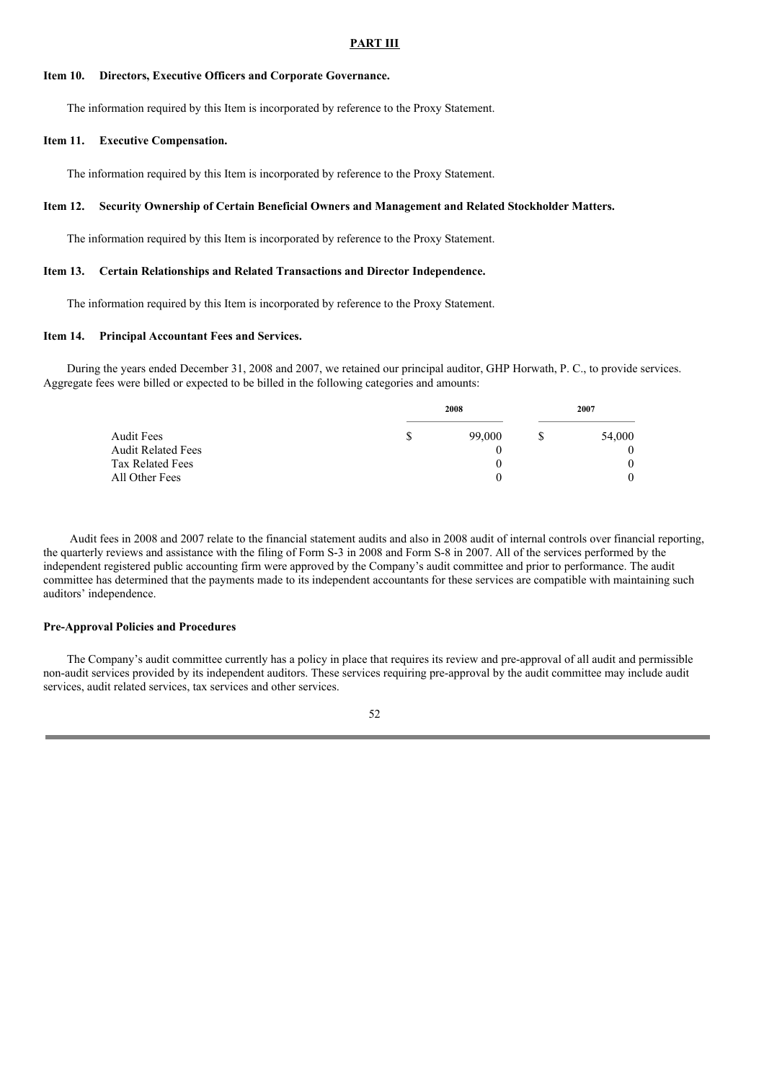#### **PART III**

# **Item 10. Directors, Executive Officers and Corporate Governance.**

The information required by this Item is incorporated by reference to the Proxy Statement.

## **Item 11. Executive Compensation.**

The information required by this Item is incorporated by reference to the Proxy Statement.

#### **Item 12. Security Ownership of Certain Beneficial Owners and Management and Related Stockholder Matters.**

The information required by this Item is incorporated by reference to the Proxy Statement.

## **Item 13. Certain Relationships and Related Transactions and Director Independence.**

The information required by this Item is incorporated by reference to the Proxy Statement.

## **Item 14. Principal Accountant Fees and Services.**

During the years ended December 31, 2008 and 2007, we retained our principal auditor, GHP Horwath, P. C., to provide services. Aggregate fees were billed or expected to be billed in the following categories and amounts:

|                           | 2008 |        | 2007 |          |
|---------------------------|------|--------|------|----------|
| Audit Fees                | \$   | 99,000 |      | 54,000   |
| <b>Audit Related Fees</b> |      |        |      | $\theta$ |
| Tax Related Fees          |      |        |      | $\theta$ |
| All Other Fees            |      |        |      | 0        |

Audit fees in 2008 and 2007 relate to the financial statement audits and also in 2008 audit of internal controls over financial reporting, the quarterly reviews and assistance with the filing of Form S-3 in 2008 and Form S-8 in 2007. All of the services performed by the independent registered public accounting firm were approved by the Company's audit committee and prior to performance. The audit committee has determined that the payments made to its independent accountants for these services are compatible with maintaining such auditors' independence.

#### **Pre-Approval Policies and Procedures**

The Company's audit committee currently has a policy in place that requires its review and pre-approval of all audit and permissible non-audit services provided by its independent auditors. These services requiring pre-approval by the audit committee may include audit services, audit related services, tax services and other services.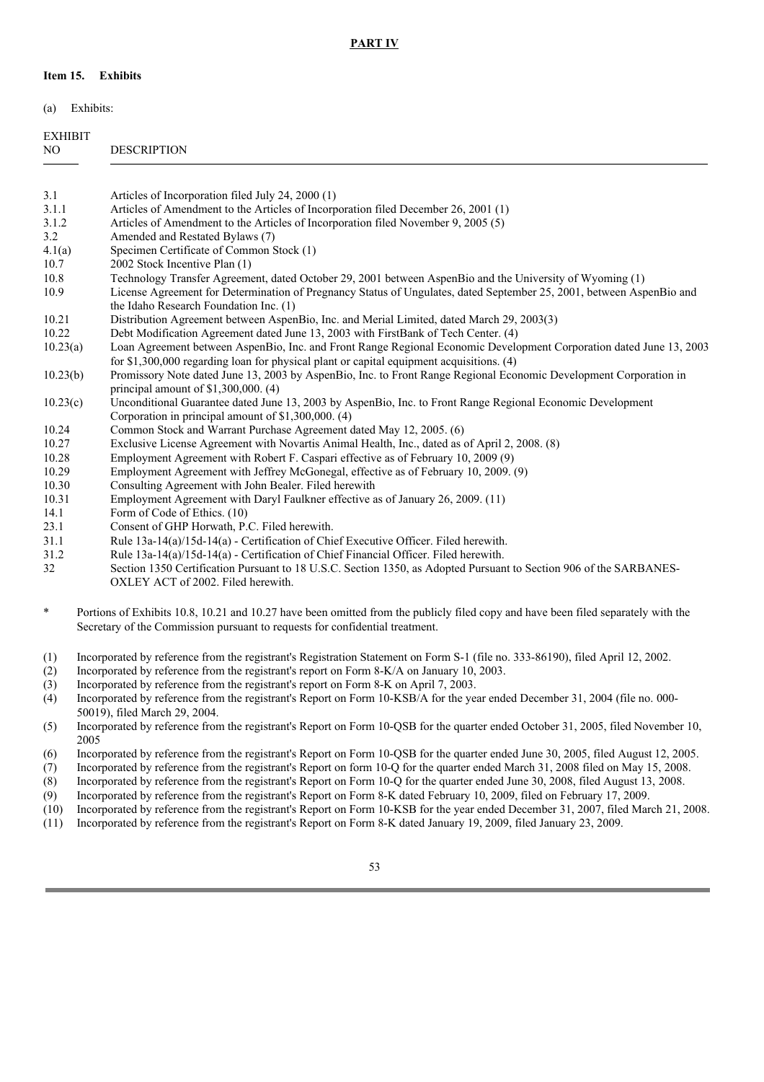**PART IV**

# **Item 15. Exhibits**

(a) Exhibits:

**EXHIBIT** NO DESCRIPTION

- 3.1 Articles of Incorporation filed July 24, 2000 (1)
- 3.1.1 Articles of Amendment to the Articles of Incorporation filed December 26, 2001 (1)
- 3.1.2 Articles of Amendment to the Articles of Incorporation filed November 9, 2005 (5)
- 3.2 Amended and Restated Bylaws (7)
- 4.1(a) Specimen Certificate of Common Stock (1)
- 10.7 2002 Stock Incentive Plan (1)
- 10.8 Technology Transfer Agreement, dated October 29, 2001 between AspenBio and the University of Wyoming (1)
- 10.9 License Agreement for Determination of Pregnancy Status of Ungulates, dated September 25, 2001, between AspenBio and the Idaho Research Foundation Inc. (1)
- 10.21 Distribution Agreement between AspenBio, Inc. and Merial Limited, dated March 29, 2003(3)
- 10.22 Debt Modification Agreement dated June 13, 2003 with FirstBank of Tech Center. (4)
- 10.23(a) Loan Agreement between AspenBio, Inc. and Front Range Regional Economic Development Corporation dated June 13, 2003 for \$1,300,000 regarding loan for physical plant or capital equipment acquisitions. (4)
- 10.23(b) Promissory Note dated June 13, 2003 by AspenBio, Inc. to Front Range Regional Economic Development Corporation in principal amount of \$1,300,000. (4)
- 10.23(c) Unconditional Guarantee dated June 13, 2003 by AspenBio, Inc. to Front Range Regional Economic Development Corporation in principal amount of \$1,300,000. (4)
- 10.24 Common Stock and Warrant Purchase Agreement dated May 12, 2005. (6)
- 10.27 Exclusive License Agreement with Novartis Animal Health, Inc., dated as of April 2, 2008. (8)
- 10.28 Employment Agreement with Robert F. Caspari effective as of February 10, 2009 (9)
- 10.29 Employment Agreement with Jeffrey McGonegal, effective as of February 10, 2009. (9)
- 10.30 Consulting Agreement with John Bealer. Filed herewith
- 10.31 Employment Agreement with Daryl Faulkner effective as of January 26, 2009. (11)
- 14.1 Form of Code of Ethics. (10)
- 23.1 Consent of GHP Horwath, P.C. Filed herewith.
- 31.1 Rule 13a-14(a)/15d-14(a) Certification of Chief Executive Officer. Filed herewith.
- 31.2 Rule 13a-14(a)/15d-14(a) Certification of Chief Financial Officer. Filed herewith.

32 Section 1350 Certification Pursuant to 18 U.S.C. Section 1350, as Adopted Pursuant to Section 906 of the SARBANES-OXLEY ACT of 2002. Filed herewith.

- \* Portions of Exhibits 10.8, 10.21 and 10.27 have been omitted from the publicly filed copy and have been filed separately with the Secretary of the Commission pursuant to requests for confidential treatment.
- (1) Incorporated by reference from the registrant's Registration Statement on Form S-1 (file no. 333-86190), filed April 12, 2002.
- (2) Incorporated by reference from the registrant's report on Form 8-K/A on January 10, 2003.
- (3) Incorporated by reference from the registrant's report on Form 8-K on April 7, 2003.
- (4) Incorporated by reference from the registrant's Report on Form 10-KSB/A for the year ended December 31, 2004 (file no. 000- 50019), filed March 29, 2004.
- (5) Incorporated by reference from the registrant's Report on Form 10-QSB for the quarter ended October 31, 2005, filed November 10, 2005
- (6) Incorporated by reference from the registrant's Report on Form 10-QSB for the quarter ended June 30, 2005, filed August 12, 2005.
- (7) Incorporated by reference from the registrant's Report on form 10-Q for the quarter ended March 31, 2008 filed on May 15, 2008.
- (8) Incorporated by reference from the registrant's Report on Form 10-Q for the quarter ended June 30, 2008, filed August 13, 2008.
- (9) Incorporated by reference from the registrant's Report on Form 8-K dated February 10, 2009, filed on February 17, 2009.
- (10) Incorporated by reference from the registrant's Report on Form 10-KSB for the year ended December 31, 2007, filed March 21, 2008.
- (11) Incorporated by reference from the registrant's Report on Form 8-K dated January 19, 2009, filed January 23, 2009.
	- 53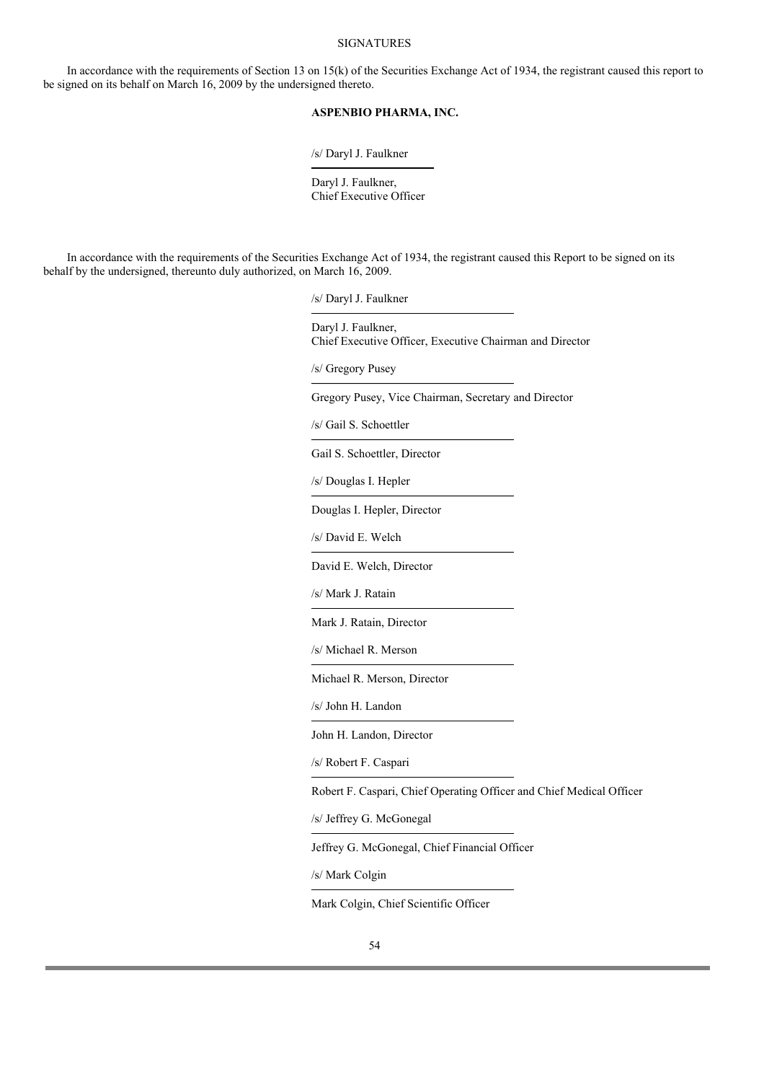## SIGNATURES

In accordance with the requirements of Section 13 on 15(k) of the Securities Exchange Act of 1934, the registrant caused this report to be signed on its behalf on March 16, 2009 by the undersigned thereto.

# **ASPENBIO PHARMA, INC.**

/s/ Daryl J. Faulkner

Daryl J. Faulkner, Chief Executive Officer

In accordance with the requirements of the Securities Exchange Act of 1934, the registrant caused this Report to be signed on its behalf by the undersigned, thereunto duly authorized, on March 16, 2009.

/s/ Daryl J. Faulkner

Daryl J. Faulkner, Chief Executive Officer, Executive Chairman and Director

/s/ Gregory Pusey

Gregory Pusey, Vice Chairman, Secretary and Director

/s/ Gail S. Schoettler

Gail S. Schoettler, Director

/s/ Douglas I. Hepler

Douglas I. Hepler, Director

/s/ David E. Welch

David E. Welch, Director

/s/ Mark J. Ratain

Mark J. Ratain, Director

/s/ Michael R. Merson

Michael R. Merson, Director

/s/ John H. Landon

John H. Landon, Director

/s/ Robert F. Caspari

Robert F. Caspari, Chief Operating Officer and Chief Medical Officer

/s/ Jeffrey G. McGonegal

Jeffrey G. McGonegal, Chief Financial Officer

/s/ Mark Colgin

Mark Colgin, Chief Scientific Officer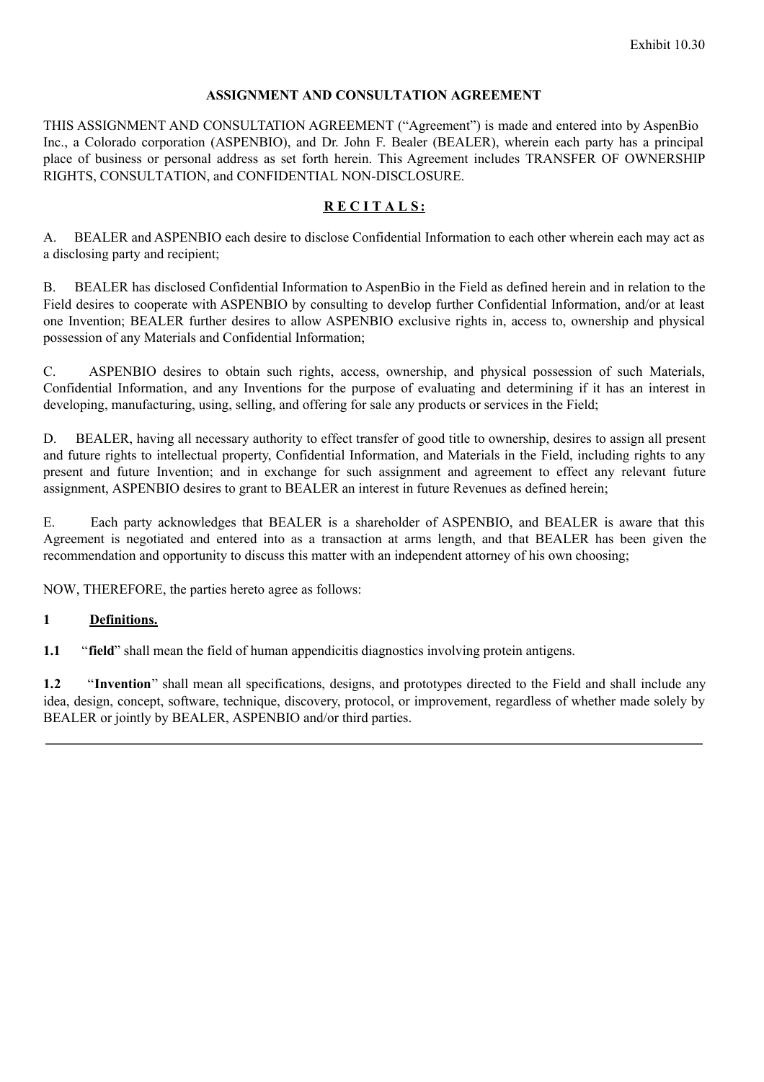# **ASSIGNMENT AND CONSULTATION AGREEMENT**

THIS ASSIGNMENT AND CONSULTATION AGREEMENT ("Agreement") is made and entered into by AspenBio Inc., a Colorado corporation (ASPENBIO), and Dr. John F. Bealer (BEALER), wherein each party has a principal place of business or personal address as set forth herein. This Agreement includes TRANSFER OF OWNERSHIP RIGHTS, CONSULTATION, and CONFIDENTIAL NON-DISCLOSURE.

# **R E C I T A L S :**

A. BEALER and ASPENBIO each desire to disclose Confidential Information to each other wherein each may act as a disclosing party and recipient;

B. BEALER has disclosed Confidential Information to AspenBio in the Field as defined herein and in relation to the Field desires to cooperate with ASPENBIO by consulting to develop further Confidential Information, and/or at least one Invention; BEALER further desires to allow ASPENBIO exclusive rights in, access to, ownership and physical possession of any Materials and Confidential Information;

C. ASPENBIO desires to obtain such rights, access, ownership, and physical possession of such Materials, Confidential Information, and any Inventions for the purpose of evaluating and determining if it has an interest in developing, manufacturing, using, selling, and offering for sale any products or services in the Field;

D. BEALER, having all necessary authority to effect transfer of good title to ownership, desires to assign all present and future rights to intellectual property, Confidential Information, and Materials in the Field, including rights to any present and future Invention; and in exchange for such assignment and agreement to effect any relevant future assignment, ASPENBIO desires to grant to BEALER an interest in future Revenues as defined herein;

E. Each party acknowledges that BEALER is a shareholder of ASPENBIO, and BEALER is aware that this Agreement is negotiated and entered into as a transaction at arms length, and that BEALER has been given the recommendation and opportunity to discuss this matter with an independent attorney of his own choosing;

NOW, THEREFORE, the parties hereto agree as follows:

# **1 Definitions.**

**1.1** "**field**" shall mean the field of human appendicitis diagnostics involving protein antigens.

**1.2** "**Invention**" shall mean all specifications, designs, and prototypes directed to the Field and shall include any idea, design, concept, software, technique, discovery, protocol, or improvement, regardless of whether made solely by BEALER or jointly by BEALER, ASPENBIO and/or third parties.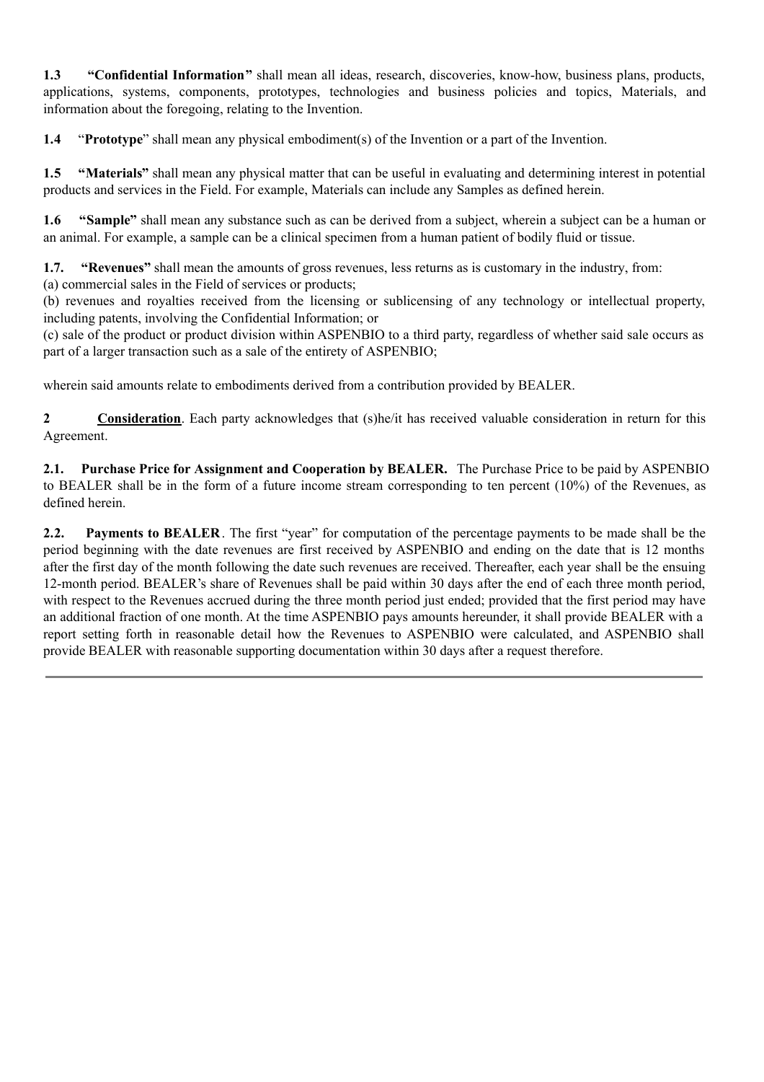**1.3 "Confidential Information"** shall mean all ideas, research, discoveries, know-how, business plans, products, applications, systems, components, prototypes, technologies and business policies and topics, Materials, and information about the foregoing, relating to the Invention.

**1.4** "**Prototype**" shall mean any physical embodiment(s) of the Invention or a part of the Invention.

**1.5 "Materials"** shall mean any physical matter that can be useful in evaluating and determining interest in potential products and services in the Field. For example, Materials can include any Samples as defined herein.

**1.6 "Sample"** shall mean any substance such as can be derived from a subject, wherein a subject can be a human or an animal. For example, a sample can be a clinical specimen from a human patient of bodily fluid or tissue.

**1.7. "Revenues"** shall mean the amounts of gross revenues, less returns as is customary in the industry, from: (a) commercial sales in the Field of services or products;

(b) revenues and royalties received from the licensing or sublicensing of any technology or intellectual property, including patents, involving the Confidential Information; or

(c) sale of the product or product division within ASPENBIO to a third party, regardless of whether said sale occurs as part of a larger transaction such as a sale of the entirety of ASPENBIO;

wherein said amounts relate to embodiments derived from a contribution provided by BEALER.

**2 Consideration**. Each party acknowledges that (s)he/it has received valuable consideration in return for this Agreement.

**2.1. Purchase Price for Assignment and Cooperation by BEALER.** The Purchase Price to be paid by ASPENBIO to BEALER shall be in the form of a future income stream corresponding to ten percent (10%) of the Revenues, as defined herein.

**2.2. Payments to BEALER**. The first "year" for computation of the percentage payments to be made shall be the period beginning with the date revenues are first received by ASPENBIO and ending on the date that is 12 months after the first day of the month following the date such revenues are received. Thereafter, each year shall be the ensuing 12-month period. BEALER's share of Revenues shall be paid within 30 days after the end of each three month period, with respect to the Revenues accrued during the three month period just ended; provided that the first period may have an additional fraction of one month. At the time ASPENBIO pays amounts hereunder, it shall provide BEALER with a report setting forth in reasonable detail how the Revenues to ASPENBIO were calculated, and ASPENBIO shall provide BEALER with reasonable supporting documentation within 30 days after a request therefore.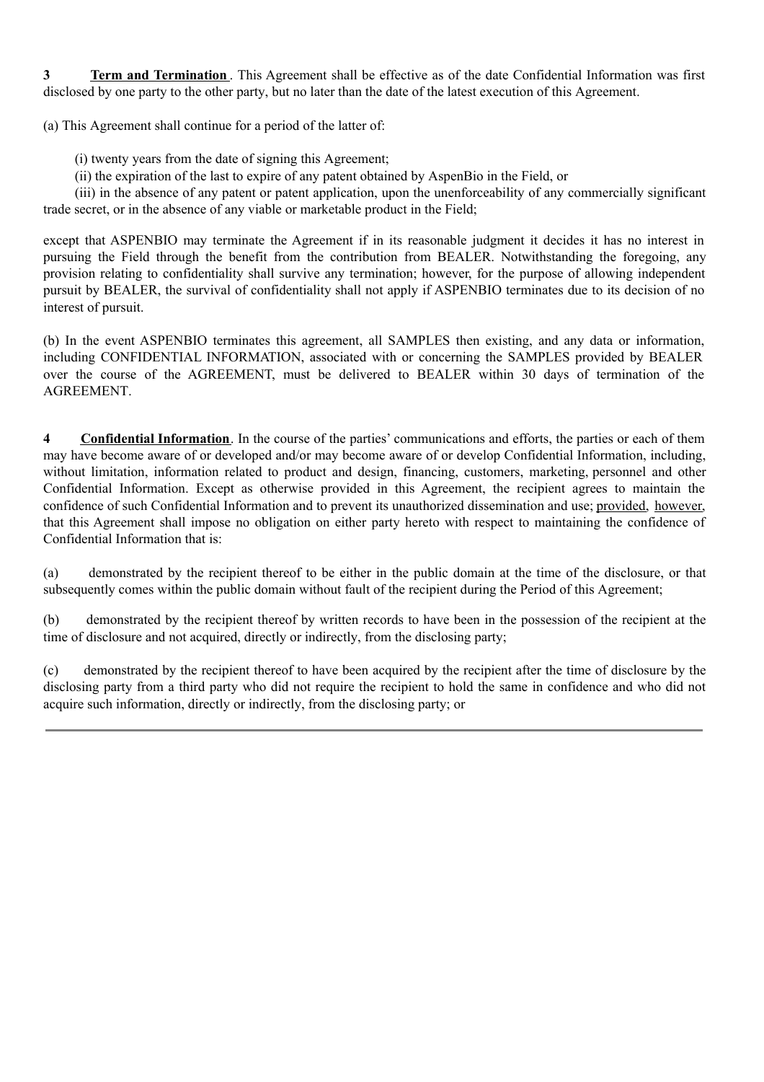**3 Term and Termination** . This Agreement shall be effective as of the date Confidential Information was first disclosed by one party to the other party, but no later than the date of the latest execution of this Agreement.

(a) This Agreement shall continue for a period of the latter of:

(i) twenty years from the date of signing this Agreement;

(ii) the expiration of the last to expire of any patent obtained by AspenBio in the Field, or

(iii) in the absence of any patent or patent application, upon the unenforceability of any commercially significant trade secret, or in the absence of any viable or marketable product in the Field;

except that ASPENBIO may terminate the Agreement if in its reasonable judgment it decides it has no interest in pursuing the Field through the benefit from the contribution from BEALER. Notwithstanding the foregoing, any provision relating to confidentiality shall survive any termination; however, for the purpose of allowing independent pursuit by BEALER, the survival of confidentiality shall not apply if ASPENBIO terminates due to its decision of no interest of pursuit.

(b) In the event ASPENBIO terminates this agreement, all SAMPLES then existing, and any data or information, including CONFIDENTIAL INFORMATION, associated with or concerning the SAMPLES provided by BEALER over the course of the AGREEMENT, must be delivered to BEALER within 30 days of termination of the AGREEMENT.

**4 Confidential Information**. In the course of the parties' communications and efforts, the parties or each of them may have become aware of or developed and/or may become aware of or develop Confidential Information, including, without limitation, information related to product and design, financing, customers, marketing, personnel and other Confidential Information. Except as otherwise provided in this Agreement, the recipient agrees to maintain the confidence of such Confidential Information and to prevent its unauthorized dissemination and use; provided, however, that this Agreement shall impose no obligation on either party hereto with respect to maintaining the confidence of Confidential Information that is:

(a) demonstrated by the recipient thereof to be either in the public domain at the time of the disclosure, or that subsequently comes within the public domain without fault of the recipient during the Period of this Agreement;

(b) demonstrated by the recipient thereof by written records to have been in the possession of the recipient at the time of disclosure and not acquired, directly or indirectly, from the disclosing party;

(c) demonstrated by the recipient thereof to have been acquired by the recipient after the time of disclosure by the disclosing party from a third party who did not require the recipient to hold the same in confidence and who did not acquire such information, directly or indirectly, from the disclosing party; or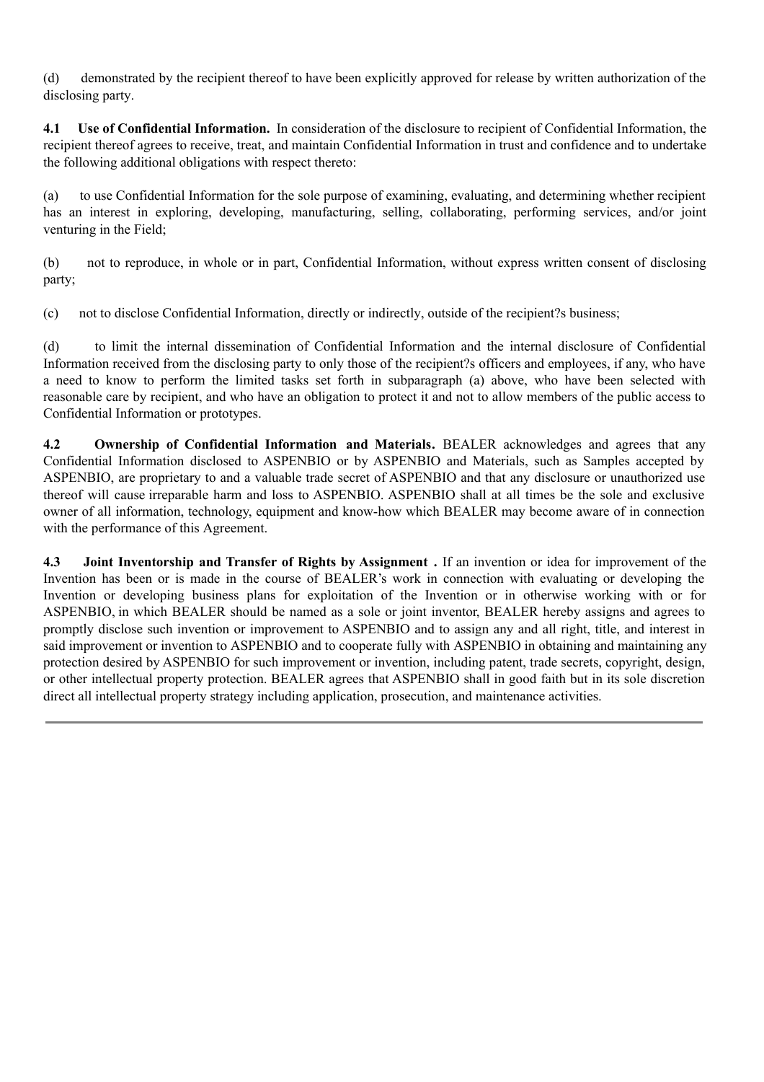(d) demonstrated by the recipient thereof to have been explicitly approved for release by written authorization of the disclosing party.

**4.1 Use of Confidential Information.** In consideration of the disclosure to recipient of Confidential Information, the recipient thereof agrees to receive, treat, and maintain Confidential Information in trust and confidence and to undertake the following additional obligations with respect thereto:

(a) to use Confidential Information for the sole purpose of examining, evaluating, and determining whether recipient has an interest in exploring, developing, manufacturing, selling, collaborating, performing services, and/or joint venturing in the Field;

(b) not to reproduce, in whole or in part, Confidential Information, without express written consent of disclosing party;

(c) not to disclose Confidential Information, directly or indirectly, outside of the recipient?s business;

(d) to limit the internal dissemination of Confidential Information and the internal disclosure of Confidential Information received from the disclosing party to only those of the recipient?s officers and employees, if any, who have a need to know to perform the limited tasks set forth in subparagraph (a) above, who have been selected with reasonable care by recipient, and who have an obligation to protect it and not to allow members of the public access to Confidential Information or prototypes.

**4.2 Ownership of Confidential Information and Materials.** BEALER acknowledges and agrees that any Confidential Information disclosed to ASPENBIO or by ASPENBIO and Materials, such as Samples accepted by ASPENBIO, are proprietary to and a valuable trade secret of ASPENBIO and that any disclosure or unauthorized use thereof will cause irreparable harm and loss to ASPENBIO. ASPENBIO shall at all times be the sole and exclusive owner of all information, technology, equipment and know-how which BEALER may become aware of in connection with the performance of this Agreement.

**4.3 Joint Inventorship and Transfer of Rights by Assignment .** If an invention or idea for improvement of the Invention has been or is made in the course of BEALER's work in connection with evaluating or developing the Invention or developing business plans for exploitation of the Invention or in otherwise working with or for ASPENBIO, in which BEALER should be named as a sole or joint inventor, BEALER hereby assigns and agrees to promptly disclose such invention or improvement to ASPENBIO and to assign any and all right, title, and interest in said improvement or invention to ASPENBIO and to cooperate fully with ASPENBIO in obtaining and maintaining any protection desired by ASPENBIO for such improvement or invention, including patent, trade secrets, copyright, design, or other intellectual property protection. BEALER agrees that ASPENBIO shall in good faith but in its sole discretion direct all intellectual property strategy including application, prosecution, and maintenance activities.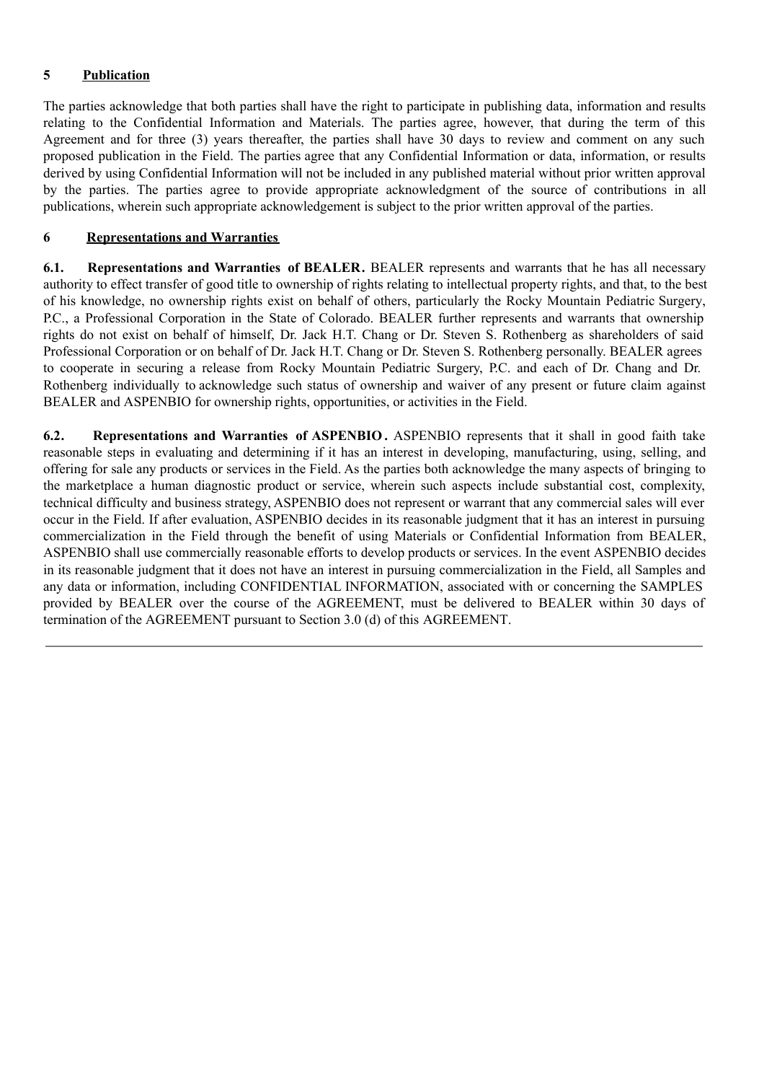# **5 Publication**

The parties acknowledge that both parties shall have the right to participate in publishing data, information and results relating to the Confidential Information and Materials. The parties agree, however, that during the term of this Agreement and for three (3) years thereafter, the parties shall have 30 days to review and comment on any such proposed publication in the Field. The parties agree that any Confidential Information or data, information, or results derived by using Confidential Information will not be included in any published material without prior written approval by the parties. The parties agree to provide appropriate acknowledgment of the source of contributions in all publications, wherein such appropriate acknowledgement is subject to the prior written approval of the parties.

# **6 Representations and Warranties**

**6.1. Representations and Warranties of BEALER.** BEALER represents and warrants that he has all necessary authority to effect transfer of good title to ownership of rights relating to intellectual property rights, and that, to the best of his knowledge, no ownership rights exist on behalf of others, particularly the Rocky Mountain Pediatric Surgery, P.C., a Professional Corporation in the State of Colorado. BEALER further represents and warrants that ownership rights do not exist on behalf of himself, Dr. Jack H.T. Chang or Dr. Steven S. Rothenberg as shareholders of said Professional Corporation or on behalf of Dr. Jack H.T. Chang or Dr. Steven S. Rothenberg personally. BEALER agrees to cooperate in securing a release from Rocky Mountain Pediatric Surgery, P.C. and each of Dr. Chang and Dr. Rothenberg individually to acknowledge such status of ownership and waiver of any present or future claim against BEALER and ASPENBIO for ownership rights, opportunities, or activities in the Field.

**6.2. Representations and Warranties of ASPENBIO .** ASPENBIO represents that it shall in good faith take reasonable steps in evaluating and determining if it has an interest in developing, manufacturing, using, selling, and offering for sale any products or services in the Field. As the parties both acknowledge the many aspects of bringing to the marketplace a human diagnostic product or service, wherein such aspects include substantial cost, complexity, technical difficulty and business strategy, ASPENBIO does not represent or warrant that any commercial sales will ever occur in the Field. If after evaluation, ASPENBIO decides in its reasonable judgment that it has an interest in pursuing commercialization in the Field through the benefit of using Materials or Confidential Information from BEALER, ASPENBIO shall use commercially reasonable efforts to develop products or services. In the event ASPENBIO decides in its reasonable judgment that it does not have an interest in pursuing commercialization in the Field, all Samples and any data or information, including CONFIDENTIAL INFORMATION, associated with or concerning the SAMPLES provided by BEALER over the course of the AGREEMENT, must be delivered to BEALER within 30 days of termination of the AGREEMENT pursuant to Section 3.0 (d) of this AGREEMENT.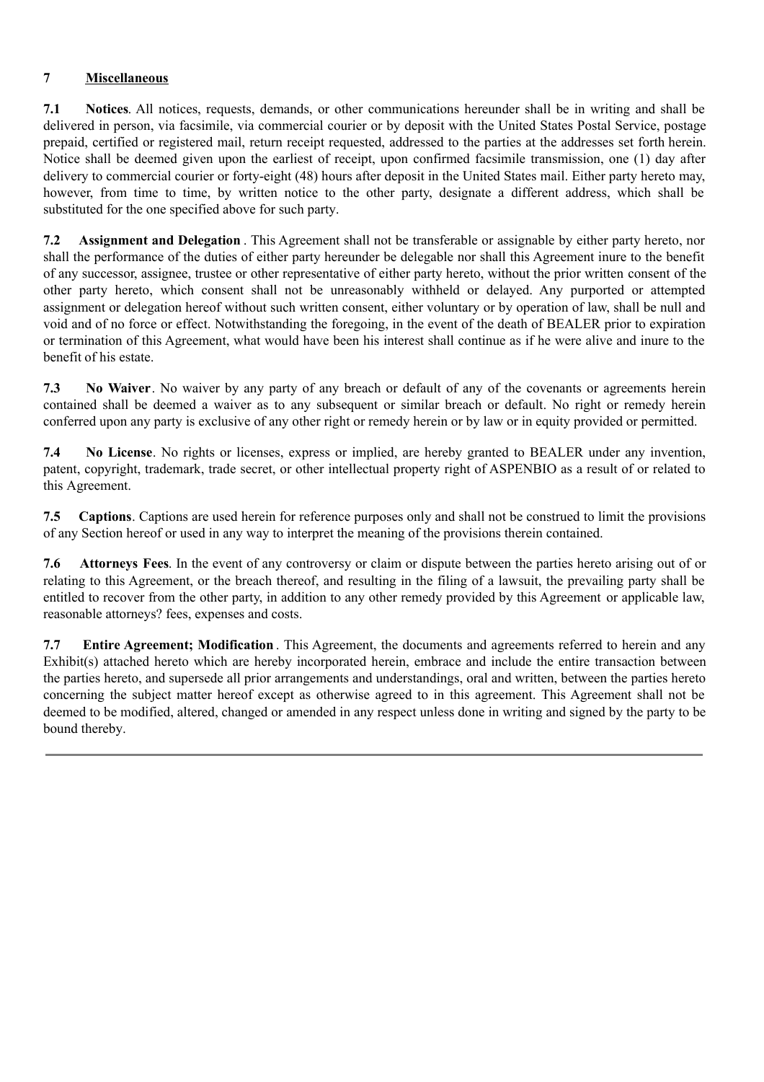# **7 Miscellaneous**

**7.1 Notices**. All notices, requests, demands, or other communications hereunder shall be in writing and shall be delivered in person, via facsimile, via commercial courier or by deposit with the United States Postal Service, postage prepaid, certified or registered mail, return receipt requested, addressed to the parties at the addresses set forth herein. Notice shall be deemed given upon the earliest of receipt, upon confirmed facsimile transmission, one (1) day after delivery to commercial courier or forty-eight (48) hours after deposit in the United States mail. Either party hereto may, however, from time to time, by written notice to the other party, designate a different address, which shall be substituted for the one specified above for such party.

**7.2 Assignment and Delegation** . This Agreement shall not be transferable or assignable by either party hereto, nor shall the performance of the duties of either party hereunder be delegable nor shall this Agreement inure to the benefit of any successor, assignee, trustee or other representative of either party hereto, without the prior written consent of the other party hereto, which consent shall not be unreasonably withheld or delayed. Any purported or attempted assignment or delegation hereof without such written consent, either voluntary or by operation of law, shall be null and void and of no force or effect. Notwithstanding the foregoing, in the event of the death of BEALER prior to expiration or termination of this Agreement, what would have been his interest shall continue as if he were alive and inure to the benefit of his estate.

**7.3 No Waiver**. No waiver by any party of any breach or default of any of the covenants or agreements herein contained shall be deemed a waiver as to any subsequent or similar breach or default. No right or remedy herein conferred upon any party is exclusive of any other right or remedy herein or by law or in equity provided or permitted.

**7.4 No License**. No rights or licenses, express or implied, are hereby granted to BEALER under any invention, patent, copyright, trademark, trade secret, or other intellectual property right of ASPENBIO as a result of or related to this Agreement.

**7.5 Captions**. Captions are used herein for reference purposes only and shall not be construed to limit the provisions of any Section hereof or used in any way to interpret the meaning of the provisions therein contained.

**7.6 Attorneys Fees**. In the event of any controversy or claim or dispute between the parties hereto arising out of or relating to this Agreement, or the breach thereof, and resulting in the filing of a lawsuit, the prevailing party shall be entitled to recover from the other party, in addition to any other remedy provided by this Agreement or applicable law, reasonable attorneys? fees, expenses and costs.

**7.7 Entire Agreement; Modification** . This Agreement, the documents and agreements referred to herein and any Exhibit(s) attached hereto which are hereby incorporated herein, embrace and include the entire transaction between the parties hereto, and supersede all prior arrangements and understandings, oral and written, between the parties hereto concerning the subject matter hereof except as otherwise agreed to in this agreement. This Agreement shall not be deemed to be modified, altered, changed or amended in any respect unless done in writing and signed by the party to be bound thereby.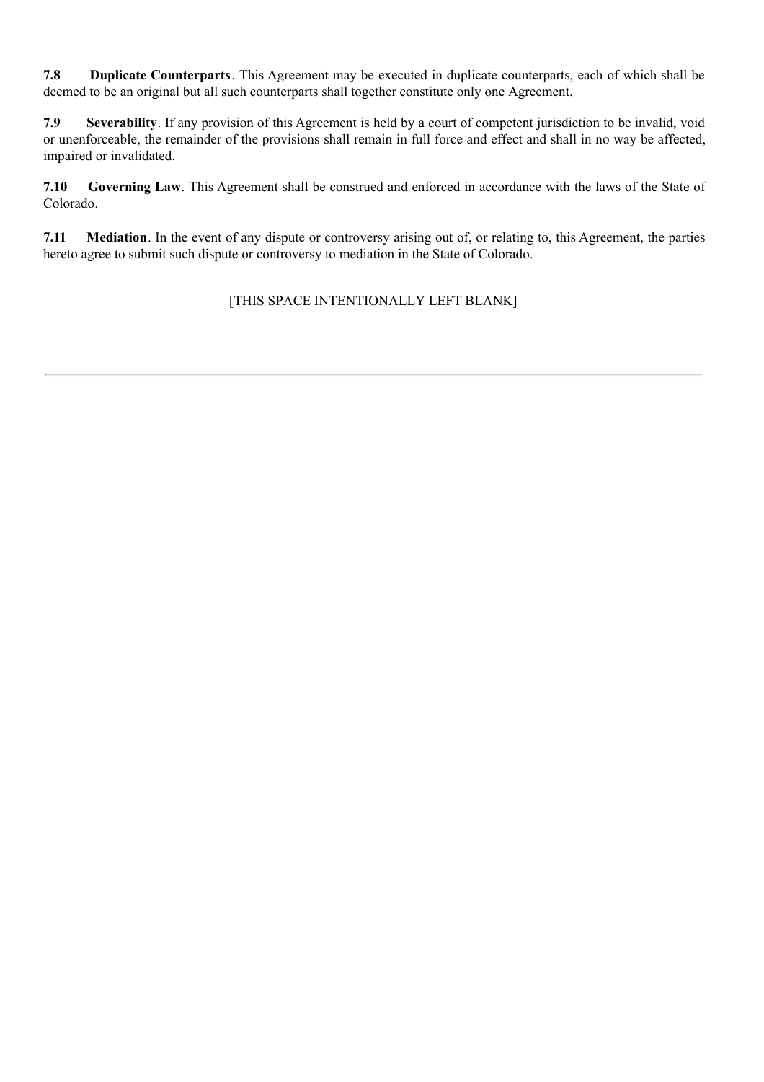**7.8 Duplicate Counterparts**. This Agreement may be executed in duplicate counterparts, each of which shall be deemed to be an original but all such counterparts shall together constitute only one Agreement.

**7.9 Severability**. If any provision of this Agreement is held by a court of competent jurisdiction to be invalid, void or unenforceable, the remainder of the provisions shall remain in full force and effect and shall in no way be affected, impaired or invalidated.

**7.10 Governing Law**. This Agreement shall be construed and enforced in accordance with the laws of the State of Colorado.

**7.11 Mediation**. In the event of any dispute or controversy arising out of, or relating to, this Agreement, the parties hereto agree to submit such dispute or controversy to mediation in the State of Colorado.

[THIS SPACE INTENTIONALLY LEFT BLANK]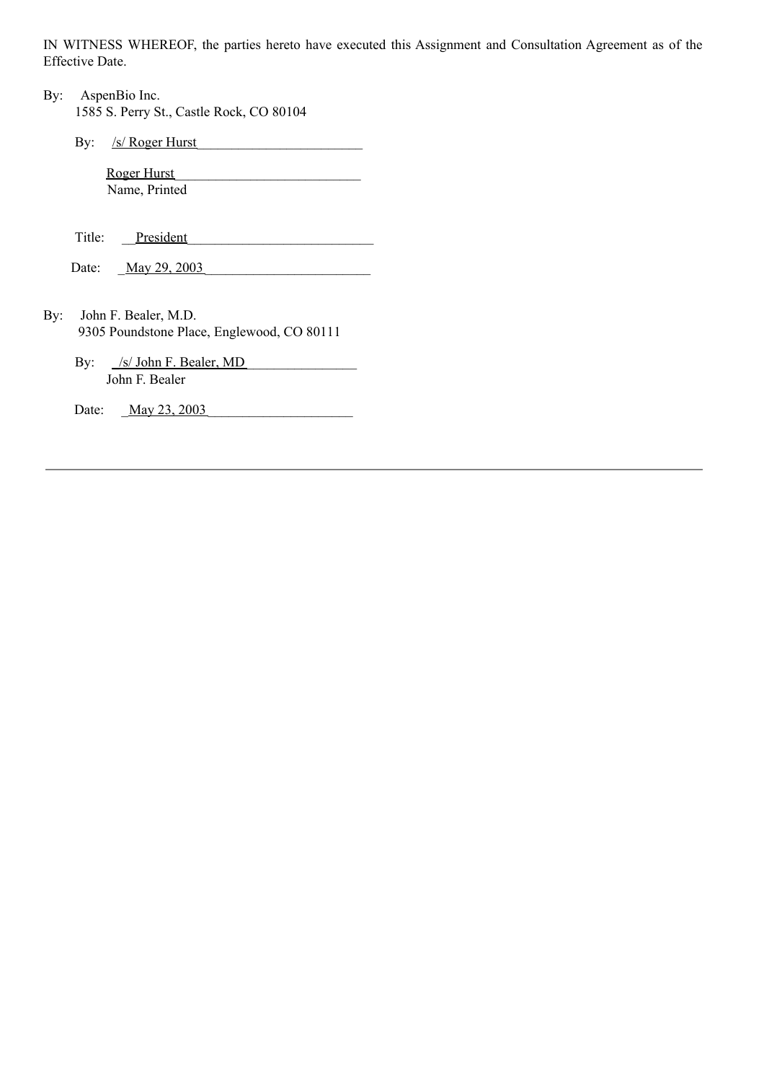IN WITNESS WHEREOF, the parties hereto have executed this Assignment and Consultation Agreement as of the Effective Date.

- By: AspenBio Inc. 1585 S. Perry St., Castle Rock, CO 80104
	- By: /s/ Roger Hurst

Roger Hurst\_\_\_\_\_\_\_\_\_\_\_\_\_\_\_\_\_\_\_\_\_\_\_\_\_\_\_ Name, Printed

- Title: <u>President</u>
- Date: \_\_<u>May 29, 2003</u>
- By: John F. Bealer, M.D. 9305 Poundstone Place, Englewood, CO 80111
	- By: <u>/s/ John F. Bealer, MD</u> John F. Bealer
	- Date: <u>\_May 23, 2003</u>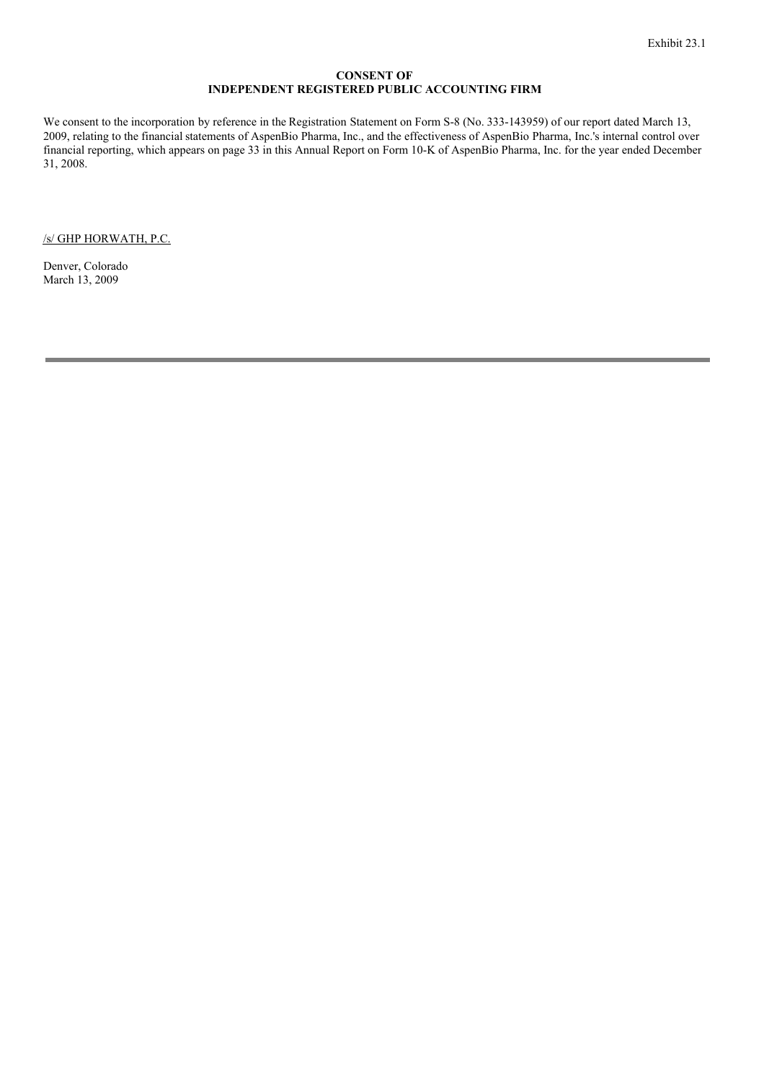# **CONSENT OF INDEPENDENT REGISTERED PUBLIC ACCOUNTING FIRM**

We consent to the incorporation by reference in the Registration Statement on Form S-8 (No. 333-143959) of our report dated March 13, 2009, relating to the financial statements of AspenBio Pharma, Inc., and the effectiveness of AspenBio Pharma, Inc.'s internal control over financial reporting, which appears on page 33 in this Annual Report on Form 10-K of AspenBio Pharma, Inc. for the year ended December 31, 2008.

/s/ GHP HORWATH, P.C.

Denver, Colorado March 13, 2009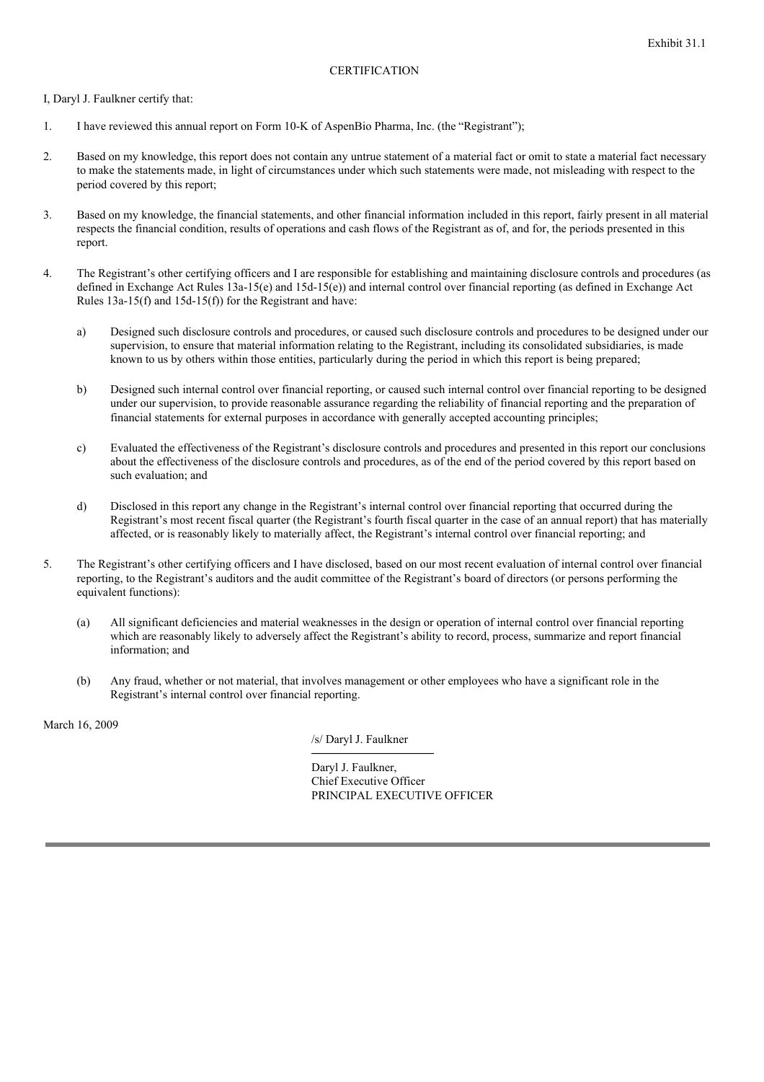# **CERTIFICATION**

## I, Daryl J. Faulkner certify that:

- 1. I have reviewed this annual report on Form 10-K of AspenBio Pharma, Inc. (the "Registrant");
- 2. Based on my knowledge, this report does not contain any untrue statement of a material fact or omit to state a material fact necessary to make the statements made, in light of circumstances under which such statements were made, not misleading with respect to the period covered by this report;
- 3. Based on my knowledge, the financial statements, and other financial information included in this report, fairly present in all material respects the financial condition, results of operations and cash flows of the Registrant as of, and for, the periods presented in this report.
- 4. The Registrant's other certifying officers and I are responsible for establishing and maintaining disclosure controls and procedures (as defined in Exchange Act Rules 13a-15(e) and 15d-15(e)) and internal control over financial reporting (as defined in Exchange Act Rules 13a-15(f) and 15d-15(f)) for the Registrant and have:
	- a) Designed such disclosure controls and procedures, or caused such disclosure controls and procedures to be designed under our supervision, to ensure that material information relating to the Registrant, including its consolidated subsidiaries, is made known to us by others within those entities, particularly during the period in which this report is being prepared;
	- b) Designed such internal control over financial reporting, or caused such internal control over financial reporting to be designed under our supervision, to provide reasonable assurance regarding the reliability of financial reporting and the preparation of financial statements for external purposes in accordance with generally accepted accounting principles;
	- c) Evaluated the effectiveness of the Registrant's disclosure controls and procedures and presented in this report our conclusions about the effectiveness of the disclosure controls and procedures, as of the end of the period covered by this report based on such evaluation; and
	- d) Disclosed in this report any change in the Registrant's internal control over financial reporting that occurred during the Registrant's most recent fiscal quarter (the Registrant's fourth fiscal quarter in the case of an annual report) that has materially affected, or is reasonably likely to materially affect, the Registrant's internal control over financial reporting; and
- 5. The Registrant's other certifying officers and I have disclosed, based on our most recent evaluation of internal control over financial reporting, to the Registrant's auditors and the audit committee of the Registrant's board of directors (or persons performing the equivalent functions):
	- (a) All significant deficiencies and material weaknesses in the design or operation of internal control over financial reporting which are reasonably likely to adversely affect the Registrant's ability to record, process, summarize and report financial information; and
	- (b) Any fraud, whether or not material, that involves management or other employees who have a significant role in the Registrant's internal control over financial reporting.

March 16, 2009

/s/ Daryl J. Faulkner

Daryl J. Faulkner, Chief Executive Officer PRINCIPAL EXECUTIVE OFFICER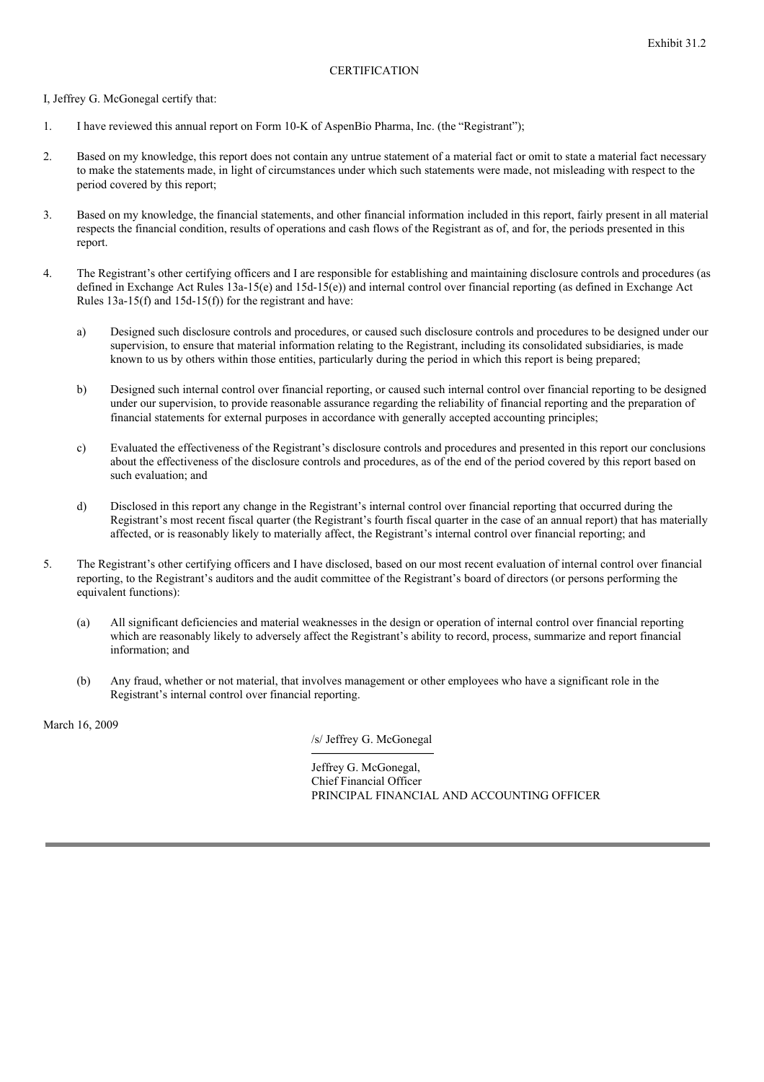# **CERTIFICATION**

I, Jeffrey G. McGonegal certify that:

- 1. I have reviewed this annual report on Form 10-K of AspenBio Pharma, Inc. (the "Registrant");
- 2. Based on my knowledge, this report does not contain any untrue statement of a material fact or omit to state a material fact necessary to make the statements made, in light of circumstances under which such statements were made, not misleading with respect to the period covered by this report;
- 3. Based on my knowledge, the financial statements, and other financial information included in this report, fairly present in all material respects the financial condition, results of operations and cash flows of the Registrant as of, and for, the periods presented in this report.
- 4. The Registrant's other certifying officers and I are responsible for establishing and maintaining disclosure controls and procedures (as defined in Exchange Act Rules 13a-15(e) and 15d-15(e)) and internal control over financial reporting (as defined in Exchange Act Rules 13a-15(f) and 15d-15(f)) for the registrant and have:
	- a) Designed such disclosure controls and procedures, or caused such disclosure controls and procedures to be designed under our supervision, to ensure that material information relating to the Registrant, including its consolidated subsidiaries, is made known to us by others within those entities, particularly during the period in which this report is being prepared;
	- b) Designed such internal control over financial reporting, or caused such internal control over financial reporting to be designed under our supervision, to provide reasonable assurance regarding the reliability of financial reporting and the preparation of financial statements for external purposes in accordance with generally accepted accounting principles;
	- c) Evaluated the effectiveness of the Registrant's disclosure controls and procedures and presented in this report our conclusions about the effectiveness of the disclosure controls and procedures, as of the end of the period covered by this report based on such evaluation; and
	- d) Disclosed in this report any change in the Registrant's internal control over financial reporting that occurred during the Registrant's most recent fiscal quarter (the Registrant's fourth fiscal quarter in the case of an annual report) that has materially affected, or is reasonably likely to materially affect, the Registrant's internal control over financial reporting; and
- 5. The Registrant's other certifying officers and I have disclosed, based on our most recent evaluation of internal control over financial reporting, to the Registrant's auditors and the audit committee of the Registrant's board of directors (or persons performing the equivalent functions):
	- (a) All significant deficiencies and material weaknesses in the design or operation of internal control over financial reporting which are reasonably likely to adversely affect the Registrant's ability to record, process, summarize and report financial information; and
	- (b) Any fraud, whether or not material, that involves management or other employees who have a significant role in the Registrant's internal control over financial reporting.

March 16, 2009

/s/ Jeffrey G. McGonegal

Jeffrey G. McGonegal, Chief Financial Officer PRINCIPAL FINANCIAL AND ACCOUNTING OFFICER